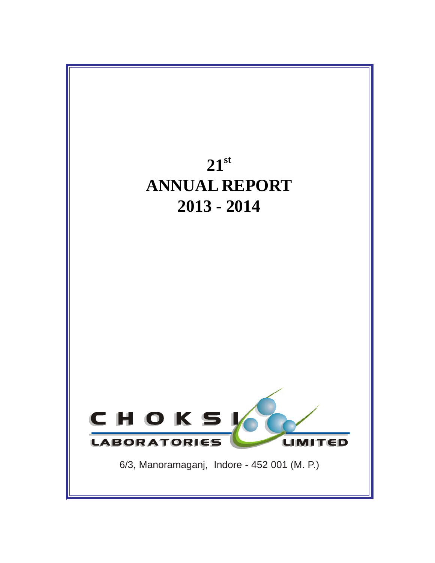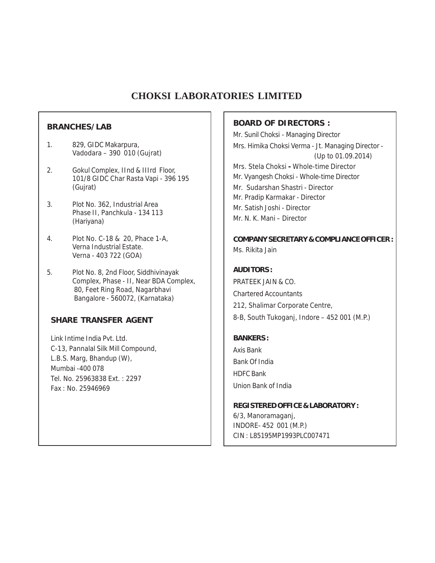# **CHOKSI LABORATORIES LIMITED**

### **BRANCHES/LAB**

- 1. 829, GIDC Makarpura, Vadodara – 390 010 (Gujrat)
- 2. Gokul Complex, IInd & IIIrd Floor, 101/8 GIDC Char Rasta Vapi - 396 195 (Gujrat)
- 3. Plot No. 362, Industrial Area Phase II, Panchkula - 134 113 (Hariyana)
- 4. Plot No. C-18 & 20, Phace 1-A, Verna Industrial Estate. Verna - 403 722 (GOA)
- 5. Plot No. 8, 2nd Floor, Siddhivinayak Complex, Phase - II, Near BDA Complex, 80, Feet Ring Road, Nagarbhavi Bangalore - 560072, (Karnataka)

### **SHARE TRANSFER AGENT**

Link Intime India Pvt. Ltd. C-13, Pannalal Silk Mill Compound, L.B.S. Marg, Bhandup (W), Mumbai -400 078 Tel. No. 25963838 Ext. : 2297 Fax : No. 25946969

### **BOARD OF DIRECTORS :**

Mr. Sunil Choksi - Managing Director Mrs. Himika Choksi Verma - Jt. Managing Director - (Up to 01.09.2014) Mrs. Stela Choksi **-** Whole-time Director Mr. Vyangesh Choksi - Whole-time Director Mr. Sudarshan Shastri - Director Mr. Pradip Karmakar - Director Mr. Satish Joshi - Director Mr. N. K. Mani – Director

### **COMPANY SECRETARY & COMPLIANCE OFFICER :** Ms. Rikita Jain

### **AUDITORS :**

PRATEEK JAIN & CO. Chartered Accountants 212, Shalimar Corporate Centre, 8-B, South Tukoganj, Indore – 452 001 (M.P.)

### **BANKERS :**

Axis Bank Bank Of India HDFC Bank Union Bank of India

#### **REGISTERED OFFICE & LABORATORY :**

6/3, Manoramaganj, INDORE- 452 001 (M.P.) CIN : L85195MP1993PLC007471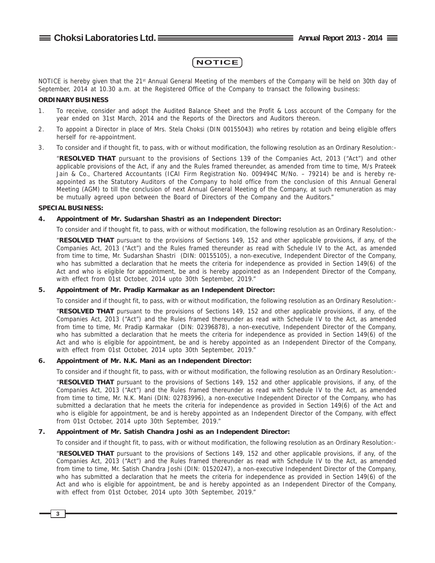### **NOTICE**

NOTICE is hereby given that the 21<sup>st</sup> Annual General Meeting of the members of the Company will be held on 30th day of September, 2014 at 10.30 a.m. at the Registered Office of the Company to transact the following business:

#### **ORDINARY BUSINESS**

- 1. To receive, consider and adopt the Audited Balance Sheet and the Profit & Loss account of the Company for the year ended on 31st March, 2014 and the Reports of the Directors and Auditors thereon.
- 2. To appoint a Director in place of Mrs. Stela Choksi (DIN 00155043) who retires by rotation and being eligible offers herself for re-appointment.
- 3. To consider and if thought fit, to pass, with or without modification, the following resolution as an Ordinary Resolution:-

"**RESOLVED THAT** pursuant to the provisions of Sections 139 of the Companies Act, 2013 ("Act") and other applicable provisions of the Act, if any and the Rules framed thereunder, as amended from time to time, M/s Prateek Jain & Co., Chartered Accountants (ICAI Firm Registration No. 009494C M/No. – 79214) be and is hereby reappointed as the Statutory Auditors of the Company to hold office from the conclusion of this Annual General Meeting (AGM) to till the conclusion of next Annual General Meeting of the Company, at such remuneration as may be mutually agreed upon between the Board of Directors of the Company and the Auditors."

#### **SPECIAL BUSINESS:**

#### **4. Appointment of Mr. Sudarshan Shastri as an Independent Director:**

To consider and if thought fit, to pass, with or without modification, the following resolution as an Ordinary Resolution:-

"**RESOLVED THAT** pursuant to the provisions of Sections 149, 152 and other applicable provisions, if any, of the Companies Act, 2013 ("Act") and the Rules framed thereunder as read with Schedule IV to the Act, as amended from time to time, Mr. Sudarshan Shastri (DIN: 00155105), a non-executive, Independent Director of the Company, who has submitted a declaration that he meets the criteria for independence as provided in Section 149(6) of the Act and who is eligible for appointment, be and is hereby appointed as an Independent Director of the Company, with effect from 01st October, 2014 upto 30th September, 2019."

#### **5. Appointment of Mr. Pradip Karmakar as an Independent Director:**

To consider and if thought fit, to pass, with or without modification, the following resolution as an Ordinary Resolution:-

"**RESOLVED THAT** pursuant to the provisions of Sections 149, 152 and other applicable provisions, if any, of the Companies Act, 2013 ("Act") and the Rules framed thereunder as read with Schedule IV to the Act, as amended from time to time, Mr. Pradip Karmakar (DIN: 02396878), a non-executive, Independent Director of the Company, who has submitted a declaration that he meets the criteria for independence as provided in Section 149(6) of the Act and who is eligible for appointment, be and is hereby appointed as an Independent Director of the Company, with effect from 01st October, 2014 upto 30th September, 2019."

#### **6. Appointment of Mr. N.K. Mani as an Independent Director:**

To consider and if thought fit, to pass, with or without modification, the following resolution as an Ordinary Resolution:-

"**RESOLVED THAT** pursuant to the provisions of Sections 149, 152 and other applicable provisions, if any, of the Companies Act, 2013 ("Act") and the Rules framed thereunder as read with Schedule IV to the Act, as amended from time to time, Mr. N.K. Mani (DIN: 02783996), a non-executive Independent Director of the Company, who has submitted a declaration that he meets the criteria for independence as provided in Section 149(6) of the Act and who is eligible for appointment, be and is hereby appointed as an Independent Director of the Company, with effect from 01st October, 2014 upto 30th September, 2019."

#### **7. Appointment of Mr. Satish Chandra Joshi as an Independent Director:**

To consider and if thought fit, to pass, with or without modification, the following resolution as an Ordinary Resolution:-

"**RESOLVED THAT** pursuant to the provisions of Sections 149, 152 and other applicable provisions, if any, of the Companies Act, 2013 ("Act") and the Rules framed thereunder as read with Schedule IV to the Act, as amended from time to time, Mr. Satish Chandra Joshi (DIN: 01520247), a non-executive Independent Director of the Company, who has submitted a declaration that he meets the criteria for independence as provided in Section 149(6) of the Act and who is eligible for appointment, be and is hereby appointed as an Independent Director of the Company, with effect from 01st October, 2014 upto 30th September, 2019."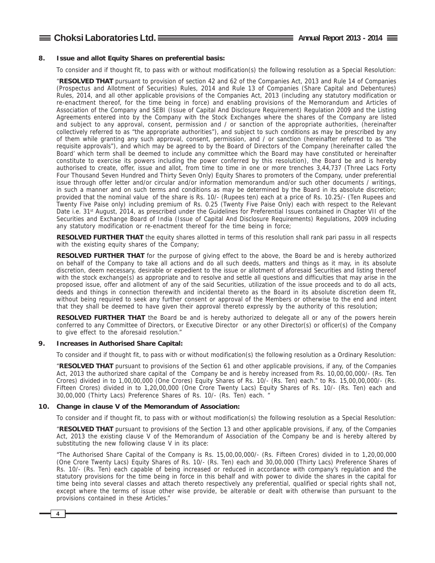#### **8. Issue and allot Equity Shares on preferential basis:**

To consider and if thought fit, to pass with or without modification(s) the following resolution as a Special Resolution:

"**RESOLVED THAT** pursuant to provision of section 42 and 62 of the Companies Act, 2013 and Rule 14 of Companies (Prospectus and Allotment of Securities) Rules, 2014 and Rule 13 of Companies (Share Capital and Debentures) Rules, 2014, and all other applicable provisions of the Companies Act, 2013 (including any statutory modification or re-enactment thereof, for the time being in force) and enabling provisions of the Memorandum and Articles of Association of the Company and SEBI (Issue of Capital And Disclosure Requirement) Regulation 2009 and the Listing Agreements entered into by the Company with the Stock Exchanges where the shares of the Company are listed and subject to any approval, consent, permission and / or sanction of the appropriate authorities, (hereinafter collectively referred to as "the appropriate authorities"), and subject to such conditions as may be prescribed by any of them while granting any such approval, consent, permission, and / or sanction (hereinafter referred to as "the requisite approvals"), and which may be agreed to by the Board of Directors of the Company (hereinafter called 'the Board' which term shall be deemed to include any committee which the Board may have constituted or hereinafter constitute to exercise its powers including the power conferred by this resolution), the Board be and is hereby authorised to create, offer, issue and allot, from time to time in one or more trenches 3,44,737 (Three Lacs Forty Four Thousand Seven Hundred and Thirty Seven Only) Equity Shares to promoters of the Company, under preferential issue through offer letter and/or circular and/or information memorandum and/or such other documents / writings, in such a manner and on such terms and conditions as may be determined by the Board in its absolute discretion; provided that the nominal value of the share is Rs. 10/- (Rupees ten) each at a price of Rs. 10.25/- (Ten Rupees and Twenty Five Paise only) including premium of Rs. 0.25 (Twenty Five Paise Only) each with respect to the Relevant Date i.e. 31<sup>st</sup> August, 2014, as prescribed under the Guidelines for Preferential Issues contained in Chapter VII of the Securities and Exchange Board of India (Issue of Capital And Disclosure Requirements) Regulations, 2009 including any statutory modification or re-enactment thereof for the time being in force;

**RESOLVED FURTHER THAT** the equity shares allotted in terms of this resolution shall rank pari passu in all respects with the existing equity shares of the Company;

**RESOLVED FURTHER THAT** for the purpose of giving effect to the above, the Board be and is hereby authorized on behalf of the Company to take all actions and do all such deeds, matters and things as it may, in its absolute discretion, deem necessary, desirable or expedient to the issue or allotment of aforesaid Securities and listing thereof with the stock exchange(s) as appropriate and to resolve and settle all questions and difficulties that may arise in the proposed issue, offer and allotment of any of the said Securities, utilization of the issue proceeds and to do all acts, deeds and things in connection therewith and incidental thereto as the Board in its absolute discretion deem fit, without being required to seek any further consent or approval of the Members or otherwise to the end and intent that they shall be deemed to have given their approval thereto expressly by the authority of this resolution;

**RESOLVED FURTHER THAT** the Board be and is hereby authorized to delegate all or any of the powers herein conferred to any Committee of Directors, or Executive Director or any other Director(s) or officer(s) of the Company to give effect to the aforesaid resolution."

#### **9. Increases in Authorised Share Capital:**

To consider and if thought fit, to pass with or without modification(s) the following resolution as a Ordinary Resolution:

"**RESOLVED THAT** pursuant to provisions of the Section 61 and other applicable provisions, if any, of the Companies Act, 2013 the authorized share capital of the Company be and is hereby increased from Rs. 10,00,00,000/- (Rs. Ten Crores) divided in to 1,00,00,000 (One Crores) Equity Shares of Rs. 10/- (Rs. Ten) each." to Rs. 15,00,00,000/- (Rs. Fifteen Crores) divided in to 1,20,00,000 (One Crore Twenty Lacs) Equity Shares of Rs. 10/- (Rs. Ten) each and 30,00,000 (Thirty Lacs) Preference Shares of Rs. 10/- (Rs. Ten) each. "

#### **10. Change in clause V of the Memorandum of Association:**

To consider and if thought fit, to pass with or without modification(s) the following resolution as a Special Resolution:

"**RESOLVED THAT** pursuant to provisions of the Section 13 and other applicable provisions, if any, of the Companies Act, 2013 the existing clause V of the Memorandum of Association of the Company be and is hereby altered by substituting the new following clause V in its place:

"The Authorised Share Capital of the Company is Rs. 15,00,00,000/- (Rs. Fifteen Crores) divided in to 1,20,00,000 (One Crore Twenty Lacs) Equity Shares of Rs. 10/- (Rs. Ten) each and 30,00,000 (Thirty Lacs) Preference Shares of Rs. 10/- (Rs. Ten) each capable of being increased or reduced in accordance with company's regulation and the statutory provisions for the time being in force in this behalf and with power to divide the shares in the capital for time being into several classes and attach thereto respectively any preferential, qualified or special rights shall not, except where the terms of issue other wise provide, be alterable or dealt with otherwise than pursuant to the provisions contained in these Articles."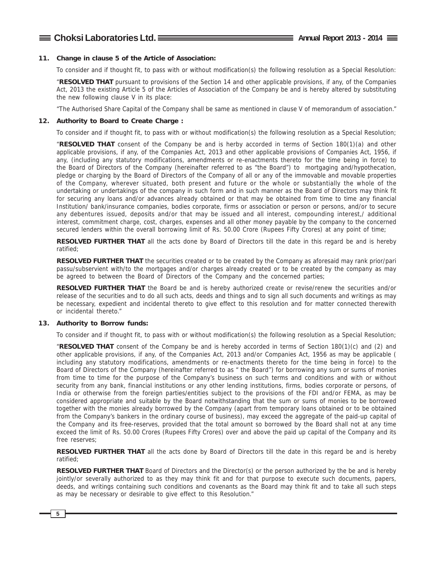#### **11. Change in clause 5 of the Article of Association:**

To consider and if thought fit, to pass with or without modification(s) the following resolution as a Special Resolution:

"**RESOLVED THAT** pursuant to provisions of the Section 14 and other applicable provisions, if any, of the Companies Act, 2013 the existing Article 5 of the Articles of Association of the Company be and is hereby altered by substituting the new following clause V in its place:

"The Authorised Share Capital of the Company shall be same as mentioned in clause V of memorandum of association."

#### **12. Authority to Board to Create Charge :**

To consider and if thought fit, to pass with or without modification(s) the following resolution as a Special Resolution;

"**RESOLVED THAT** consent of the Company be and is herby accorded in terms of Section 180(1)(a) and other applicable provisions, if any, of the Companies Act, 2013 and other applicable provisions of Companies Act, 1956, if any, (including any statutory modifications, amendments or re-enactments thereto for the time being in force) to the Board of Directors of the Company (hereinafter referred to as "the Board") to mortgaging and/hypothecation, pledge or charging by the Board of Directors of the Company of all or any of the immovable and movable properties of the Company, wherever situated, both present and future or the whole or substantially the whole of the undertaking or undertakings of the company in such form and in such manner as the Board of Directors may think fit for securing any loans and/or advances already obtained or that may be obtained from time to time any financial Institution/ bank/insurance companies, bodies corporate, firms or association or person or persons, and/or to secure any debentures issued, deposits and/or that may be issued and all interest, compounding interest,/ additional interest, commitment charge, cost, charges, expenses and all other money payable by the company to the concerned secured lenders within the overall borrowing limit of Rs. 50.00 Crore (Rupees Fifty Crores) at any point of time;

**RESOLVED FURTHER THAT** all the acts done by Board of Directors till the date in this regard be and is hereby ratified;

**RESOLVED FURTHER THAT** the securities created or to be created by the Company as aforesaid may rank prior/pari passu/subservient with/to the mortgages and/or charges already created or to be created by the company as may be agreed to between the Board of Directors of the Company and the concerned parties;

**RESOLVED FURTHER THAT** the Board be and is hereby authorized create or revise/renew the securities and/or release of the securities and to do all such acts, deeds and things and to sign all such documents and writings as may be necessary, expedient and incidental thereto to give effect to this resolution and for matter connected therewith or incidental thereto."

#### **13. Authority to Borrow funds:**

To consider and if thought fit, to pass with or without modification(s) the following resolution as a Special Resolution;

"**RESOLVED THAT** consent of the Company be and is hereby accorded in terms of Section 180(1)(c) and (2) and other applicable provisions, if any, of the Companies Act, 2013 and/or Companies Act, 1956 as may be applicable ( including any statutory modifications, amendments or re-enactments thereto for the time being in force) to the Board of Directors of the Company (hereinafter referred to as " the Board") for borrowing any sum or sums of monies from time to time for the purpose of the Company's business on such terms and conditions and with or without security from any bank, financial institutions or any other lending institutions, firms, bodies corporate or persons, of India or otherwise from the foreign parties/entities subject to the provisions of the FDI and/or FEMA, as may be considered appropriate and suitable by the Board notwithstanding that the sum or sums of monies to be borrowed together with the monies already borrowed by the Company (apart from temporary loans obtained or to be obtained from the Company's bankers in the ordinary course of business), may exceed the aggregate of the paid-up capital of the Company and its free-reserves, provided that the total amount so borrowed by the Board shall not at any time exceed the limit of Rs. 50.00 Crores (Rupees Fifty Crores) over and above the paid up capital of the Company and its free reserves;

**RESOLVED FURTHER THAT** all the acts done by Board of Directors till the date in this regard be and is hereby ratified;

**RESOLVED FURTHER THAT** Board of Directors and the Director(s) or the person authorized by the be and is hereby jointly/or severally authorized to as they may think fit and for that purpose to execute such documents, papers, deeds, and writings containing such conditions and covenants as the Board may think fit and to take all such steps as may be necessary or desirable to give effect to this Resolution."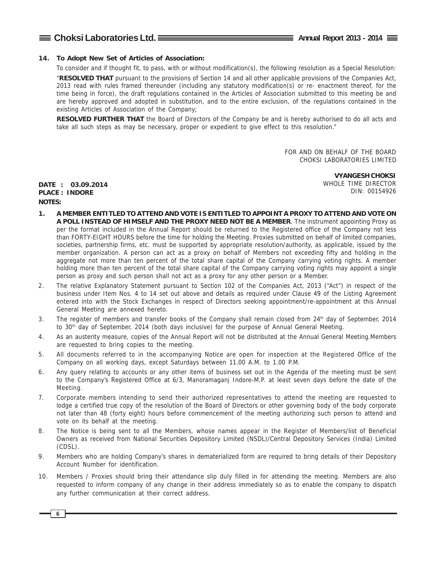#### **14. To Adopt New Set of Articles of Association:**

To consider and if thought fit, to pass, with or without modification(s), the following resolution as a Special Resolution:

"**RESOLVED THAT** pursuant to the provisions of Section 14 and all other applicable provisions of the Companies Act, 2013 read with rules framed thereunder (including any statutory modification(s) or re- enactment thereof, for the time being in force), the draft regulations contained in the Articles of Association submitted to this meeting be and are hereby approved and adopted in substitution, and to the entire exclusion, of the regulations contained in the existing Articles of Association of the Company;

**RESOLVED FURTHER THAT** the Board of Directors of the Company be and is hereby authorised to do all acts and take all such steps as may be necessary, proper or expedient to give effect to this resolution."

> FOR AND ON BEHALF OF THE BOARD CHOKSI LABORATORIES LIMITED

**NOTES: DATE : 03.09.2014 PLACE : INDORE**

**VYANGESH CHOKSI** WHOLE TIME DIRECTOR DIN: 00154926

- **1. A MEMBER ENTITLED TO ATTEND AND VOTE IS ENTITLED TO APPOINT A PROXY TO ATTEND AND VOTE ON A POLL INSTEAD OF HIMSELF AND THE PROXY NEED NOT BE A MEMBER**. The instrument appointing Proxy as per the format included in the Annual Report should be returned to the Registered office of the Company not less than FORTY-EIGHT HOURS before the time for holding the Meeting. Proxies submitted on behalf of limited companies, societies, partnership firms, etc. must be supported by appropriate resolution/authority, as applicable, issued by the member organization. A person can act as a proxy on behalf of Members not exceeding fifty and holding in the aggregate not more than ten percent of the total share capital of the Company carrying voting rights. A member holding more than ten percent of the total share capital of the Company carrying voting rights may appoint a single person as proxy and such person shall not act as a proxy for any other person or a Member.
- 2. The relative Explanatory Statement pursuant to Section 102 of the Companies Act, 2013 ("Act") in respect of the business under Item Nos. 4 to 14 set out above and details as required under Clause 49 of the Listing Agreement entered into with the Stock Exchanges in respect of Directors seeking appointment/re-appointment at this Annual General Meeting are annexed hereto.
- 3. The register of members and transfer books of the Company shall remain closed from 24<sup>th</sup> day of September, 2014 to 30<sup>th</sup> day of September, 2014 (both days inclusive) for the purpose of Annual General Meeting.
- 4. As an austerity measure, copies of the Annual Report will not be distributed at the Annual General Meeting.Members are requested to bring copies to the meeting.
- 5. All documents referred to in the accompanying Notice are open for inspection at the Registered Office of the Company on all working days, except Saturdays between 11.00 A.M. to 1.00 P.M.
- 6. Any query relating to accounts or any other items of business set out in the Agenda of the meeting must be sent to the Company's Registered Office at 6/3, Manoramaganj Indore-M.P. at least seven days before the date of the Meeting.
- 7. Corporate members intending to send their authorized representatives to attend the meeting are requested to lodge a certified true copy of the resolution of the Board of Directors or other governing body of the body corporate not later than 48 (forty eight) hours before commencement of the meeting authorizing such person to attend and vote on its behalf at the meeting.
- 8. The Notice is being sent to all the Members, whose names appear in the Register of Members/list of Beneficial Owners as received from National Securities Depository Limited (NSDL)/Central Depository Services (India) Limited (CDSL).
- 9. Members who are holding Company's shares in dematerialized form are required to bring details of their Depository Account Number for identification.
- 10. Members / Proxies should bring their attendance slip duly filled in for attending the meeting. Members are also requested to inform company of any change in their address immediately so as to enable the company to dispatch any further communication at their correct address.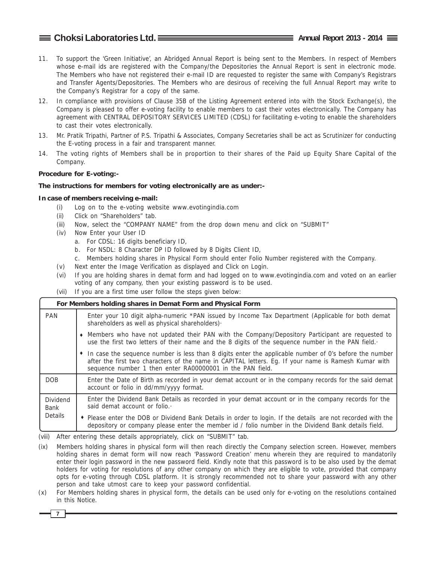- 11. To support the 'Green Initiative', an Abridged Annual Report is being sent to the Members. In respect of Members whose e-mail ids are registered with the Company/the Depositories the Annual Report is sent in electronic mode. The Members who have not registered their e-mail ID are requested to register the same with Company's Registrars and Transfer Agents/Depositories. The Members who are desirous of receiving the full Annual Report may write to the Company's Registrar for a copy of the same.
- 12. In compliance with provisions of Clause 35B of the Listing Agreement entered into with the Stock Exchange(s), the Company is pleased to offer e-voting facility to enable members to cast their votes electronically. The Company has agreement with CENTRAL DEPOSITORY SERVICES LIMITED (CDSL) for facilitating e-voting to enable the shareholders to cast their votes electronically.
- 13. Mr. Pratik Tripathi, Partner of P.S. Tripathi & Associates, Company Secretaries shall be act as Scrutinizer for conducting the E-voting process in a fair and transparent manner.
- 14. The voting rights of Members shall be in proportion to their shares of the Paid up Equity Share Capital of the Company.

#### **Procedure for E-voting:-**

#### **The instructions for members for voting electronically are as under:-**

#### **In case of members receiving e-mail:**

- (i) Log on to the e-voting website www.evotingindia.com
- (ii) Click on "Shareholders" tab.
- (iii) Now, select the "COMPANY NAME" from the drop down menu and click on "SUBMIT"
- (iv) Now Enter your User ID
	- a. For CDSL: 16 digits beneficiary ID,
	- b. For NSDL: 8 Character DP ID followed by 8 Digits Client ID,
	- c. Members holding shares in Physical Form should enter Folio Number registered with the Company.
- (v) Next enter the Image Verification as displayed and Click on Login.
- (vi) If you are holding shares in demat form and had logged on to www.evotingindia.com and voted on an earlier voting of any company, then your existing password is to be used.
- (vii) If you are a first time user follow the steps given below:

|                  | For Members holding shares in Demat Form and Physical Form                                                                                                                                                                                                                    |  |  |  |  |  |  |  |
|------------------|-------------------------------------------------------------------------------------------------------------------------------------------------------------------------------------------------------------------------------------------------------------------------------|--|--|--|--|--|--|--|
| PAN              | Enter your 10 digit alpha-numeric *PAN issued by Income Tax Department (Applicable for both demat<br>shareholders as well as physical shareholders).                                                                                                                          |  |  |  |  |  |  |  |
|                  | • Members who have not updated their PAN with the Company/Depository Participant are requested to<br>use the first two letters of their name and the 8 digits of the sequence number in the PAN field.                                                                        |  |  |  |  |  |  |  |
|                  | • In case the sequence number is less than 8 digits enter the applicable number of 0's before the number<br>after the first two characters of the name in CAPITAL letters. Eg. If your name is Ramesh Kumar with<br>sequence number 1 then enter RA00000001 in the PAN field. |  |  |  |  |  |  |  |
| <b>DOB</b>       | Enter the Date of Birth as recorded in your demat account or in the company records for the said demat<br>account or folio in dd/mm/yyyy format.                                                                                                                              |  |  |  |  |  |  |  |
| Dividend<br>Bank | Enter the Dividend Bank Details as recorded in your demat account or in the company records for the<br>said demat account or folio.                                                                                                                                           |  |  |  |  |  |  |  |
| Details          | • Please enter the DOB or Dividend Bank Details in order to login. If the details are not recorded with the<br>depository or company please enter the member id / folio number in the Dividend Bank details field.                                                            |  |  |  |  |  |  |  |

(viii) After entering these details appropriately, click on "SUBMIT" tab.

- (ix) Members holding shares in physical form will then reach directly the Company selection screen. However, members holding shares in demat form will now reach 'Password Creation' menu wherein they are required to mandatorily enter their login password in the new password field. Kindly note that this password is to be also used by the demat holders for voting for resolutions of any other company on which they are eligible to vote, provided that company opts for e-voting through CDSL platform. It is strongly recommended not to share your password with any other person and take utmost care to keep your password confidential.
- (x) For Members holding shares in physical form, the details can be used only for e-voting on the resolutions contained in this Notice.

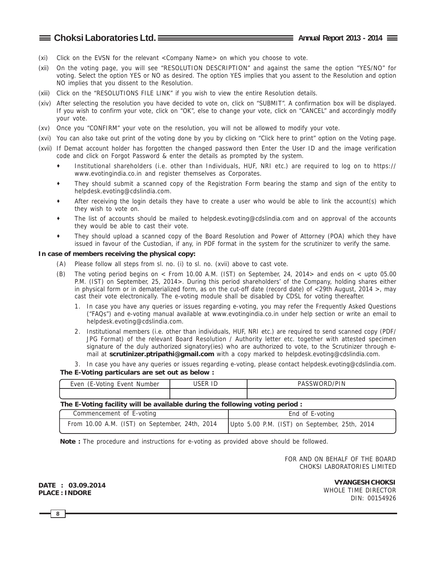- (xi) Click on the EVSN for the relevant <Company Name> on which you choose to vote.
- (xii) On the voting page, you will see "RESOLUTION DESCRIPTION" and against the same the option "YES/NO" for voting. Select the option YES or NO as desired. The option YES implies that you assent to the Resolution and option NO implies that you dissent to the Resolution.
- (xiii) Click on the "RESOLUTIONS FILE LINK" if you wish to view the entire Resolution details.
- (xiv) After selecting the resolution you have decided to vote on, click on "SUBMIT". A confirmation box will be displayed. If you wish to confirm your vote, click on "OK", else to change your vote, click on "CANCEL" and accordingly modify your vote.
- (xv) Once you "CONFIRM" your vote on the resolution, you will not be allowed to modify your vote.
- (xvi) You can also take out print of the voting done by you by clicking on "Click here to print" option on the Voting page.
- (xvii) If Demat account holder has forgotten the changed password then Enter the User ID and the image verification code and click on Forgot Password & enter the details as prompted by the system.
	- Institutional shareholders (i.e. other than Individuals, HUF, NRI etc.) are required to log on to https:// www.evotingindia.co.in and register themselves as Corporates.
	- They should submit a scanned copy of the Registration Form bearing the stamp and sign of the entity to helpdesk.evoting@cdslindia.com.
	- After receiving the login details they have to create a user who would be able to link the account(s) which they wish to vote on.
	- The list of accounts should be mailed to helpdesk.evoting@cdslindia.com and on approval of the accounts they would be able to cast their vote.
	- They should upload a scanned copy of the Board Resolution and Power of Attorney (POA) which they have issued in favour of the Custodian, if any, in PDF format in the system for the scrutinizer to verify the same.

#### **In case of members receiving the physical copy:**

- (A) Please follow all steps from sl. no. (i) to sl. no. (xvii) above to cast vote.
- (B) The voting period begins on < From 10.00 A.M. (IST) on September, 24, 2014> and ends on < upto 05.00 P.M. (IST) on September, 25, 2014>. During this period shareholders' of the Company, holding shares either in physical form or in dematerialized form, as on the cut-off date (record date) of <29th August, 2014 >, may cast their vote electronically. The e-voting module shall be disabled by CDSL for voting thereafter.
	- 1. In case you have any queries or issues regarding e-voting, you may refer the Frequently Asked Questions ("FAQs") and e-voting manual available at www.evotingindia.co.in under help section or write an email to helpdesk.evoting@cdslindia.com.
	- 2. Institutional members (i.e. other than individuals, HUF, NRI etc.) are required to send scanned copy (PDF/ JPG Format) of the relevant Board Resolution / Authority letter etc. together with attested specimen signature of the duly authorized signatory(ies) who are authorized to vote, to the Scrutinizer through email at **scrutinizer.ptripathi@gmail.com** with a copy marked to helpdesk.evoting@cdslindia.com.

3. In case you have any queries or issues regarding e-voting, please contact helpdesk.evoting@cdslindia.com.

#### **The E-Voting particulars are set out as below :**

| Even (E-Voting Event Number                                                  | USER ID |  | PASSWORD/PIN                                  |
|------------------------------------------------------------------------------|---------|--|-----------------------------------------------|
|                                                                              |         |  |                                               |
| The E-Voting facility will be available during the following voting period : |         |  |                                               |
| Commencement of E-voting                                                     |         |  | End of E-voting                               |
| From 10.00 A.M. (IST) on September, 24th, 2014                               |         |  | Upto 5.00 P.M. (IST) on September, 25th, 2014 |

**Note :** The procedure and instructions for e-voting as provided above should be followed.

FOR AND ON BEHALF OF THE BOARD CHOKSI LABORATORIES LIMITED

> **VYANGESH CHOKSI** WHOLE TIME DIRECTOR DIN: 00154926

**DATE : 03.09.2014 PLACE : INDORE**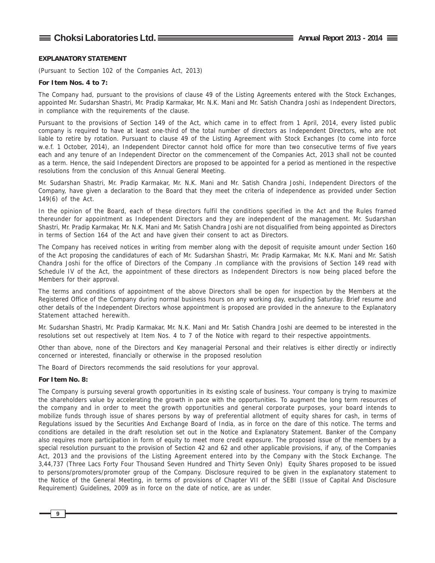#### **EXPLANATORY STATEMENT**

(Pursuant to Section 102 of the Companies Act, 2013)

#### **For Item Nos. 4 to 7:**

The Company had, pursuant to the provisions of clause 49 of the Listing Agreements entered with the Stock Exchanges, appointed Mr. Sudarshan Shastri, Mr. Pradip Karmakar, Mr. N.K. Mani and Mr. Satish Chandra Joshi as Independent Directors, in compliance with the requirements of the clause.

Pursuant to the provisions of Section 149 of the Act, which came in to effect from 1 April, 2014, every listed public company is required to have at least one-third of the total number of directors as Independent Directors, who are not liable to retire by rotation. Pursuant to clause 49 of the Listing Agreement with Stock Exchanges (to come into force w.e.f. 1 October, 2014), an Independent Director cannot hold office for more than two consecutive terms of five years each and any tenure of an Independent Director on the commencement of the Companies Act, 2013 shall not be counted as a term. Hence, the said Independent Directors are proposed to be appointed for a period as mentioned in the respective resolutions from the conclusion of this Annual General Meeting.

Mr. Sudarshan Shastri, Mr. Pradip Karmakar, Mr. N.K. Mani and Mr. Satish Chandra Joshi, Independent Directors of the Company, have given a declaration to the Board that they meet the criteria of independence as provided under Section 149(6) of the Act.

In the opinion of the Board, each of these directors fulfil the conditions specified in the Act and the Rules framed thereunder for appointment as Independent Directors and they are independent of the management. Mr. Sudarshan Shastri, Mr. Pradip Karmakar, Mr. N.K. Mani and Mr. Satish Chandra Joshi are not disqualified from being appointed as Directors in terms of Section 164 of the Act and have given their consent to act as Directors.

The Company has received notices in writing from member along with the deposit of requisite amount under Section 160 of the Act proposing the candidatures of each of Mr. Sudarshan Shastri, Mr. Pradip Karmakar, Mr. N.K. Mani and Mr. Satish Chandra Joshi for the office of Directors of the Company .In compliance with the provisions of Section 149 read with Schedule IV of the Act, the appointment of these directors as Independent Directors is now being placed before the Members for their approval.

The terms and conditions of appointment of the above Directors shall be open for inspection by the Members at the Registered Office of the Company during normal business hours on any working day, excluding Saturday. Brief resume and other details of the Independent Directors whose appointment is proposed are provided in the annexure to the Explanatory Statement attached herewith.

Mr. Sudarshan Shastri, Mr. Pradip Karmakar, Mr. N.K. Mani and Mr. Satish Chandra Joshi are deemed to be interested in the resolutions set out respectively at Item Nos. 4 to 7 of the Notice with regard to their respective appointments.

Other than above, none of the Directors and Key managerial Personal and their relatives is either directly or indirectly concerned or interested, financially or otherwise in the proposed resolution

The Board of Directors recommends the said resolutions for your approval.

#### **For Item No. 8:**

The Company is pursuing several growth opportunities in its existing scale of business. Your company is trying to maximize the shareholders value by accelerating the growth in pace with the opportunities. To augment the long term resources of the company and in order to meet the growth opportunities and general corporate purposes, your board intends to mobilize funds through issue of shares persons by way of preferential allotment of equity shares for cash, in terms of Regulations issued by the Securities And Exchange Board of India, as in force on the dare of this notice. The terms and conditions are detailed in the draft resolution set out in the Notice and Explanatory Statement. Banker of the Company also requires more participation in form of equity to meet more credit exposure. The proposed issue of the members by a special resolution pursuant to the provision of Section 42 and 62 and other applicable provisions, if any, of the Companies Act, 2013 and the provisions of the Listing Agreement entered into by the Company with the Stock Exchange. The 3,44,737 (Three Lacs Forty Four Thousand Seven Hundred and Thirty Seven Only) Equity Shares proposed to be issued to persons/promoters/promoter group of the Company. Disclosure required to be given in the explanatory statement to the Notice of the General Meeting, in terms of provisions of Chapter VII of the SEBI (Issue of Capital And Disclosure Requirement) Guidelines, 2009 as in force on the date of notice, are as under.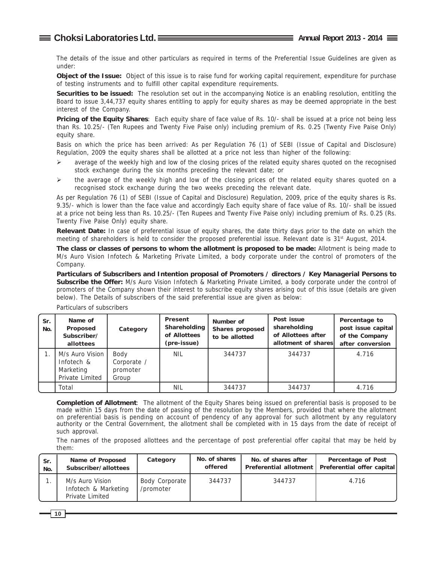The details of the issue and other particulars as required in terms of the Preferential Issue Guidelines are given as under:

**Object of the Issue:** Object of this issue is to raise fund for working capital requirement, expenditure for purchase of testing instruments and to fulfill other capital expenditure requirements.

**Securities to be issued:** The resolution set out in the accompanying Notice is an enabling resolution, entitling the Board to issue 3,44,737 equity shares entitling to apply for equity shares as may be deemed appropriate in the best interest of the Company.

**Pricing of the Equity Shares**: Each equity share of face value of Rs. 10/- shall be issued at a price not being less than Rs. 10.25/- (Ten Rupees and Twenty Five Paise only) including premium of Rs. 0.25 (Twenty Five Paise Only) equity share.

Basis on which the price has been arrived: As per Regulation 76 (1) of SEBI (Issue of Capital and Disclosure) Regulation, 2009 the equity shares shall be allotted at a price not less than higher of the following:

- $\triangleright$  average of the weekly high and low of the closing prices of the related equity shares quoted on the recognised stock exchange during the six months preceding the relevant date; or
- $\triangleright$  the average of the weekly high and low of the closing prices of the related equity shares quoted on a recognised stock exchange during the two weeks preceding the relevant date.

As per Regulation 76 (1) of SEBI (Issue of Capital and Disclosure) Regulation, 2009, price of the equity shares is Rs. 9.35/- which is lower than the face value and accordingly Each equity share of face value of Rs. 10/- shall be issued at a price not being less than Rs. 10.25/- (Ten Rupees and Twenty Five Paise only) including premium of Rs. 0.25 (Rs. Twenty Five Paise Only) equity share.

**Relevant Date:** In case of preferential issue of equity shares, the date thirty days prior to the date on which the meeting of shareholders is held to consider the proposed preferential issue. Relevant date is 31<sup>st</sup> August, 2014.

**The class or classes of persons to whom the allotment is proposed to be made:** Allotment is being made to M/s Auro Vision Infotech & Marketing Private Limited, a body corporate under the control of promoters of the Company.

**Particulars of Subscribers and Intention proposal of Promoters / directors / Key Managerial Persons to Subscribe the Offer:** M/s Auro Vision Infotech & Marketing Private Limited, a body corporate under the control of promoters of the Company shown their interest to subscribe equity shares arising out of this issue (details are given below). The Details of subscribers of the said preferential issue are given as below:

| Sr.<br>No. | Name of<br>Proposed<br>Subscriber/<br>allottees               | Category                                 | Present<br>Shareholding<br>of Allottees<br>(pre-issue) | Number of<br>Shares proposed<br>to be allotted | Post issue<br>shareholding<br>of Allottees after<br>allotment of shares | Percentage to<br>post issue capital<br>of the Company<br>after conversion |
|------------|---------------------------------------------------------------|------------------------------------------|--------------------------------------------------------|------------------------------------------------|-------------------------------------------------------------------------|---------------------------------------------------------------------------|
|            | M/s Auro Vision<br>Infotech &<br>Marketing<br>Private Limited | Body<br>Corporate /<br>promoter<br>Group | <b>NIL</b>                                             | 344737                                         | 344737                                                                  | 4.716                                                                     |
|            | Total                                                         |                                          | NIL                                                    | 344737                                         | 344737                                                                  | 4.716                                                                     |

Particulars of subscribers

**Completion of Allotment**: The allotment of the Equity Shares being issued on preferential basis is proposed to be made within 15 days from the date of passing of the resolution by the Members, provided that where the allotment on preferential basis is pending on account of pendency of any approval for such allotment by any regulatory authority or the Central Government, the allotment shall be completed with in 15 days from the date of receipt of such approval.

The names of the proposed allottees and the percentage of post preferential offer capital that may be held by them:

| Sr.<br>No. | Name of Proposed<br>Subscriber/allottees                   | Category                    | No. of shares<br>offered | No. of shares after | Percentage of Post<br>Preferential allotment   Preferential offer capital |
|------------|------------------------------------------------------------|-----------------------------|--------------------------|---------------------|---------------------------------------------------------------------------|
|            | M/s Auro Vision<br>Infotech & Marketing<br>Private Limited | Body Corporate<br>/promoter | 344737                   | 344737              | 4.716                                                                     |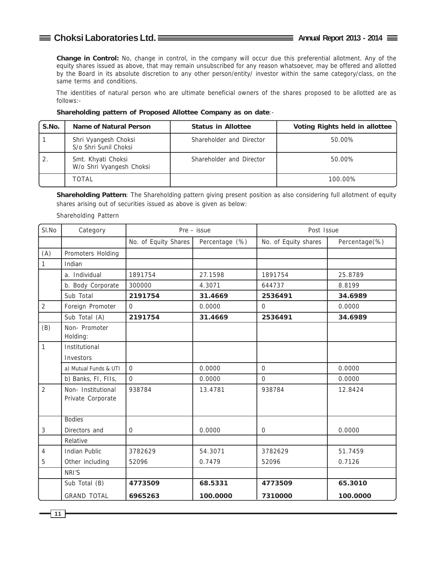**Change in Control:** No, change in control, in the company will occur due this preferential allotment. Any of the equity shares issued as above, that may remain unsubscribed for any reason whatsoever, may be offered and allotted by the Board in its absolute discretion to any other person/entity/ investor within the same category/class, on the same terms and conditions.

The identities of natural person who are ultimate beneficial owners of the shares proposed to be allotted are as follows:-

| Shareholding pattern of Proposed Allottee Company as on date:- |  |  |  |  |
|----------------------------------------------------------------|--|--|--|--|
|                                                                |  |  |  |  |

| S.No. | Name of Natural Person                         | <b>Status in Allottee</b> | Voting Rights held in allottee |
|-------|------------------------------------------------|---------------------------|--------------------------------|
|       | Shri Vyangesh Choksi<br>S/o Shri Sunil Choksi  | Shareholder and Director  | 50.00%                         |
|       | Smt. Khyati Choksi<br>W/o Shri Vyangesh Choksi | Shareholder and Director  | 50.00%                         |
|       | TOTAL                                          |                           | 100.00%                        |

**Shareholding Pattern**: The Shareholding pattern giving present position as also considering full allotment of equity shares arising out of securities issued as above is given as below:

| SI.No          | Category                                | $Pre - issue$        |                | Post Issue           |               |  |
|----------------|-----------------------------------------|----------------------|----------------|----------------------|---------------|--|
|                |                                         | No. of Equity Shares | Percentage (%) | No. of Equity shares | Percentage(%) |  |
| (A)            | Promoters Holding                       |                      |                |                      |               |  |
| $\mathbf{1}$   | Indian                                  |                      |                |                      |               |  |
|                | a. Individual                           | 1891754              | 27.1598        | 1891754              | 25.8789       |  |
|                | b. Body Corporate                       | 300000               | 4.3071         | 644737               | 8.8199        |  |
|                | Sub Total                               | 2191754              | 31.4669        | 2536491              | 34.6989       |  |
| $\overline{2}$ | Foreign Promoter                        | $\Omega$             | 0.0000         | $\Omega$             | 0.0000        |  |
|                | Sub Total (A)                           | 2191754              | 31.4669        | 2536491              | 34.6989       |  |
| (B)            | Non- Promoter<br>Holding:               |                      |                |                      |               |  |
| $\mathbf{1}$   | Institutional                           |                      |                |                      |               |  |
|                | Investors                               |                      |                |                      |               |  |
|                | a) Mutual Funds & UTI                   | $\overline{0}$       | 0.0000         | $\Omega$             | 0.0000        |  |
|                | b) Banks, FI, FIIs,                     | $\overline{0}$       | 0.0000         | $\Omega$             | 0.0000        |  |
| $\overline{2}$ | Non- Institutional<br>Private Corporate | 938784               | 13.4781        | 938784               | 12.8424       |  |
|                | <b>Bodies</b>                           |                      |                |                      |               |  |
| $\sqrt{3}$     | Directors and                           | $\overline{0}$       | 0.0000         | $\mathbf{0}$         | 0.0000        |  |
|                | Relative                                |                      |                |                      |               |  |
| $\overline{4}$ | <b>Indian Public</b>                    | 3782629              | 54.3071        | 3782629              | 51.7459       |  |
| 5              | Other including                         | 52096                | 0.7479         | 52096                | 0.7126        |  |
|                | NRI'S                                   |                      |                |                      |               |  |
|                | Sub Total (B)                           | 4773509              | 68.5331        | 4773509              | 65.3010       |  |
|                | <b>GRAND TOTAL</b>                      | 6965263              | 100.0000       | 7310000              | 100.0000      |  |

Shareholding Pattern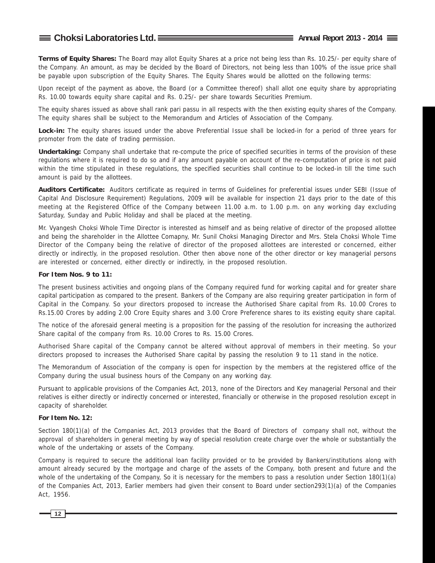**Terms of Equity Shares:** The Board may allot Equity Shares at a price not being less than Rs. 10.25/- per equity share of the Company. An amount, as may be decided by the Board of Directors, not being less than 100% of the issue price shall be payable upon subscription of the Equity Shares. The Equity Shares would be allotted on the following terms:

Upon receipt of the payment as above, the Board (or a Committee thereof) shall allot one equity share by appropriating Rs. 10.00 towards equity share capital and Rs. 0.25/- per share towards Securities Premium.

The equity shares issued as above shall rank pari passu in all respects with the then existing equity shares of the Company. The equity shares shall be subject to the Memorandum and Articles of Association of the Company.

**Lock-in:** The equity shares issued under the above Preferential Issue shall be locked-in for a period of three years for promoter from the date of trading permission.

**Undertaking:** Company shall undertake that re-compute the price of specified securities in terms of the provision of these regulations where it is required to do so and if any amount payable on account of the re-computation of price is not paid within the time stipulated in these regulations, the specified securities shall continue to be locked-in till the time such amount is paid by the allottees.

**Auditors Certificate:** Auditors certificate as required in terms of Guidelines for preferential issues under SEBI (Issue of Capital And Disclosure Requirement) Regulations, 2009 will be available for inspection 21 days prior to the date of this meeting at the Registered Office of the Company between 11.00 a.m. to 1.00 p.m. on any working day excluding Saturday, Sunday and Public Holiday and shall be placed at the meeting.

Mr. Vyangesh Choksi Whole Time Director is interested as himself and as being relative of director of the proposed allottee and being the shareholder in the Allottee Comapny, Mr. Sunil Choksi Managing Director and Mrs. Stela Choksi Whole Time Director of the Company being the relative of director of the proposed allottees are interested or concerned, either directly or indirectly, in the proposed resolution. Other then above none of the other director or key managerial persons are interested or concerned, either directly or indirectly, in the proposed resolution.

#### **For Item Nos. 9 to 11:**

The present business activities and ongoing plans of the Company required fund for working capital and for greater share capital participation as compared to the present. Bankers of the Company are also requiring greater participation in form of Capital in the Company. So your directors proposed to increase the Authorised Share capital from Rs. 10.00 Crores to Rs.15.00 Crores by adding 2.00 Crore Equity shares and 3.00 Crore Preference shares to its existing equity share capital.

The notice of the aforesaid general meeting is a proposition for the passing of the resolution for increasing the authorized Share capital of the company from Rs. 10.00 Crores to Rs. 15.00 Crores.

Authorised Share capital of the Company cannot be altered without approval of members in their meeting. So your directors proposed to increases the Authorised Share capital by passing the resolution 9 to 11 stand in the notice.

The Memorandum of Association of the company is open for inspection by the members at the registered office of the Company during the usual business hours of the Company on any working day.

Pursuant to applicable provisions of the Companies Act, 2013, none of the Directors and Key managerial Personal and their relatives is either directly or indirectly concerned or interested, financially or otherwise in the proposed resolution except in capacity of shareholder.

#### **For Item No. 12:**

Section 180(1)(a) of the Companies Act, 2013 provides that the Board of Directors of company shall not, without the approval of shareholders in general meeting by way of special resolution create charge over the whole or substantially the whole of the undertaking or assets of the Company.

Company is required to secure the additional loan facility provided or to be provided by Bankers/institutions along with amount already secured by the mortgage and charge of the assets of the Company, both present and future and the whole of the undertaking of the Company, So it is necessary for the members to pass a resolution under Section 180(1)(a) of the Companies Act, 2013, Earlier members had given their consent to Board under section293(1)(a) of the Companies Act, 1956.

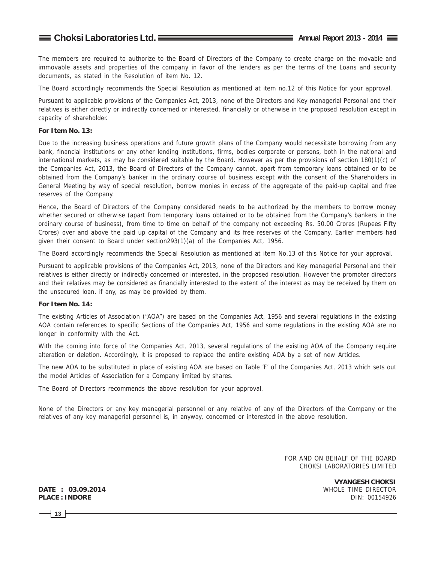The members are required to authorize to the Board of Directors of the Company to create charge on the movable and immovable assets and properties of the company in favor of the lenders as per the terms of the Loans and security documents, as stated in the Resolution of item No. 12.

The Board accordingly recommends the Special Resolution as mentioned at item no.12 of this Notice for your approval.

Pursuant to applicable provisions of the Companies Act, 2013, none of the Directors and Key managerial Personal and their relatives is either directly or indirectly concerned or interested, financially or otherwise in the proposed resolution except in capacity of shareholder.

#### **For Item No. 13:**

Due to the increasing business operations and future growth plans of the Company would necessitate borrowing from any bank, financial institutions or any other lending institutions, firms, bodies corporate or persons, both in the national and international markets, as may be considered suitable by the Board. However as per the provisions of section 180(1)(c) of the Companies Act, 2013, the Board of Directors of the Company cannot, apart from temporary loans obtained or to be obtained from the Company's banker in the ordinary course of business except with the consent of the Shareholders in General Meeting by way of special resolution, borrow monies in excess of the aggregate of the paid-up capital and free reserves of the Company.

Hence, the Board of Directors of the Company considered needs to be authorized by the members to borrow money whether secured or otherwise (apart from temporary loans obtained or to be obtained from the Company's bankers in the ordinary course of business), from time to time on behalf of the company not exceeding Rs. 50.00 Crores (Rupees Fifty Crores) over and above the paid up capital of the Company and its free reserves of the Company. Earlier members had given their consent to Board under section293(1)(a) of the Companies Act, 1956.

The Board accordingly recommends the Special Resolution as mentioned at item No.13 of this Notice for your approval.

Pursuant to applicable provisions of the Companies Act, 2013, none of the Directors and Key managerial Personal and their relatives is either directly or indirectly concerned or interested, in the proposed resolution. However the promoter directors and their relatives may be considered as financially interested to the extent of the interest as may be received by them on the unsecured loan, if any, as may be provided by them.

#### **For Item No. 14:**

The existing Articles of Association ("AOA") are based on the Companies Act, 1956 and several regulations in the existing AOA contain references to specific Sections of the Companies Act, 1956 and some regulations in the existing AOA are no longer in conformity with the Act.

With the coming into force of the Companies Act, 2013, several regulations of the existing AOA of the Company require alteration or deletion. Accordingly, it is proposed to replace the entire existing AOA by a set of new Articles.

The new AOA to be substituted in place of existing AOA are based on Table 'F' of the Companies Act, 2013 which sets out the model Articles of Association for a Company limited by shares.

The Board of Directors recommends the above resolution for your approval.

None of the Directors or any key managerial personnel or any relative of any of the Directors of the Company or the relatives of any key managerial personnel is, in anyway, concerned or interested in the above resolution.

> FOR AND ON BEHALF OF THE BOARD CHOKSI LABORATORIES LIMITED

> > **VYANGESH CHOKSI** WHOLE TIME DIRECTOR DIN: 00154926

**DATE : 03.09.2014 PLACE : INDORE**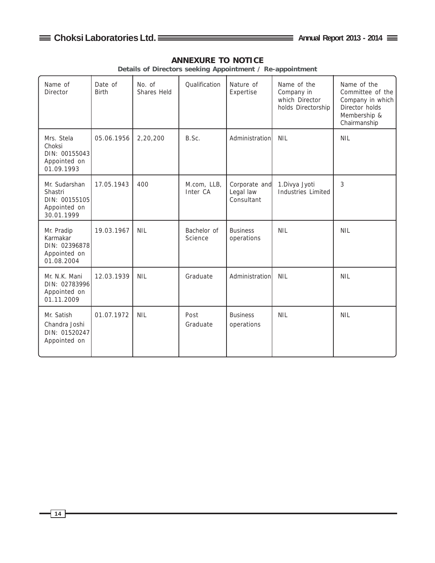| Name of<br>Director                                                     | Date of<br><b>Birth</b> | No. of<br>Shares Held | Qualification           | Nature of<br>Expertise                   | Name of the<br>Company in<br>which Director<br>holds Directorship | Name of the<br>Committee of the<br>Company in which<br>Director holds<br>Membership &<br>Chairmanship |
|-------------------------------------------------------------------------|-------------------------|-----------------------|-------------------------|------------------------------------------|-------------------------------------------------------------------|-------------------------------------------------------------------------------------------------------|
| Mrs. Stela<br>Choksi<br>DIN: 00155043<br>Appointed on<br>01.09.1993     | 05.06.1956              | 2,20,200              | B.Sc.                   | Administration                           | <b>NIL</b>                                                        | <b>NIL</b>                                                                                            |
| Mr. Sudarshan<br>Shastri<br>DIN: 00155105<br>Appointed on<br>30.01.1999 | 17.05.1943              | 400                   | M.com, LLB,<br>Inter CA | Corporate and<br>Legal law<br>Consultant | 1.Divya Jyoti<br><b>Industries Limited</b>                        | 3                                                                                                     |
| Mr. Pradip<br>Karmakar<br>DIN: 02396878<br>Appointed on<br>01.08.2004   | 19.03.1967              | <b>NIL</b>            | Bachelor of<br>Science  | <b>Business</b><br>operations            | <b>NIL</b>                                                        | <b>NIL</b>                                                                                            |
| Mr. N.K. Mani<br>DIN: 02783996<br>Appointed on<br>01.11.2009            | 12.03.1939              | <b>NIL</b>            | Graduate                | Administration                           | <b>NIL</b>                                                        | <b>NIL</b>                                                                                            |
| Mr. Satish<br>Chandra Joshi<br>DIN: 01520247<br>Appointed on            | 01.07.1972              | <b>NIL</b>            | Post<br>Graduate        | <b>Business</b><br>operations            | <b>NIL</b>                                                        | <b>NIL</b>                                                                                            |

### **ANNEXURE TO NOTICE**

**Details of Directors seeking Appointment / Re-appointment**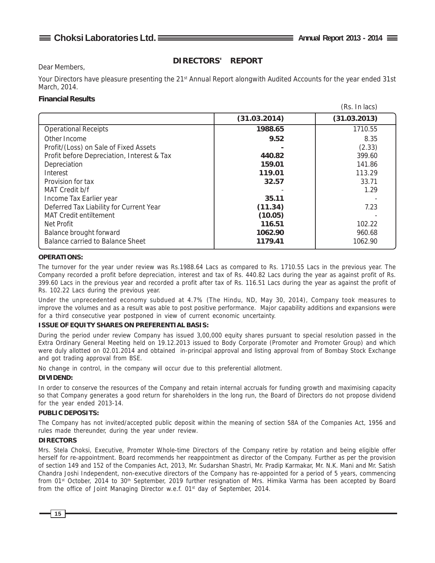#### Dear Members,

### **DIRECTORS' REPORT**

Your Directors have pleasure presenting the 21<sup>st</sup> Annual Report alongwith Audited Accounts for the year ended 31st March, 2014.

#### **Financial Results**

|                                            |              | (Rs. In lacs) |
|--------------------------------------------|--------------|---------------|
|                                            | (31.03.2014) | (31.03.2013)  |
| <b>Operational Receipts</b>                | 1988.65      | 1710.55       |
| Other Income                               | 9.52         | 8.35          |
| Profit/(Loss) on Sale of Fixed Assets      |              | (2.33)        |
| Profit before Depreciation, Interest & Tax | 440.82       | 399.60        |
| Depreciation                               | 159.01       | 141.86        |
| Interest                                   | 119.01       | 113.29        |
| Provision for tax                          | 32.57        | 33.71         |
| MAT Credit b/f                             |              | 1.29          |
| Income Tax Earlier year                    | 35.11        |               |
| Deferred Tax Liability for Current Year    | (11.34)      | 7.23          |
| <b>MAT Credit entiltement</b>              | (10.05)      |               |
| Net Profit                                 | 116.51       | 102.22        |
| Balance brought forward                    | 1062.90      | 960.68        |
| <b>Balance carried to Balance Sheet</b>    | 1179.41      | 1062.90       |

#### **OPERATIONS:**

The turnover for the year under review was Rs.1988.64 Lacs as compared to Rs. 1710.55 Lacs in the previous year. The Company recorded a profit before depreciation, interest and tax of Rs. 440.82 Lacs during the year as against profit of Rs. 399.60 Lacs in the previous year and recorded a profit after tax of Rs. 116.51 Lacs during the year as against the profit of Rs. 102.22 Lacs during the previous year.

Under the unprecedented economy subdued at 4.7% (The Hindu, ND, May 30, 2014), Company took measures to improve the volumes and as a result was able to post positive performance. Major capability additions and expansions were for a third consecutive year postponed in view of current economic uncertainty.

#### **ISSUE OF EQUITY SHARES ON PREFERENTIAL BASIS:**

During the period under review Company has issued 3,00,000 equity shares pursuant to special resolution passed in the Extra Ordinary General Meeting held on 19.12.2013 issued to Body Corporate (Promoter and Promoter Group) and which were duly allotted on 02.01.2014 and obtained in-principal approval and listing approval from of Bombay Stock Exchange and got trading approval from BSE.

No change in control, in the company will occur due to this preferential allotment.

#### **DIVIDEND:**

In order to conserve the resources of the Company and retain internal accruals for funding growth and maximising capacity so that Company generates a good return for shareholders in the long run, the Board of Directors do not propose dividend for the year ended 2013-14.

#### **PUBLIC DEPOSITS:**

The Company has not invited/accepted public deposit within the meaning of section 58A of the Companies Act, 1956 and rules made thereunder, during the year under review.

#### **DIRECTORS**

Mrs. Stela Choksi, Executive, Promoter Whole-time Directors of the Company retire by rotation and being eligible offer herself for re-appointment. Board recommends her reappointment as director of the Company. Further as per the provision of section 149 and 152 of the Companies Act, 2013, Mr. Sudarshan Shastri, Mr. Pradip Karmakar, Mr. N.K. Mani and Mr. Satish Chandra Joshi Independent, non-executive directors of the Company has re-appointed for a period of 5 years, commencing from 01st October, 2014 to 30<sup>th</sup> September, 2019 further resignation of Mrs. Himika Varma has been accepted by Board from the office of Joint Managing Director w.e.f. 01<sup>st</sup> day of September, 2014.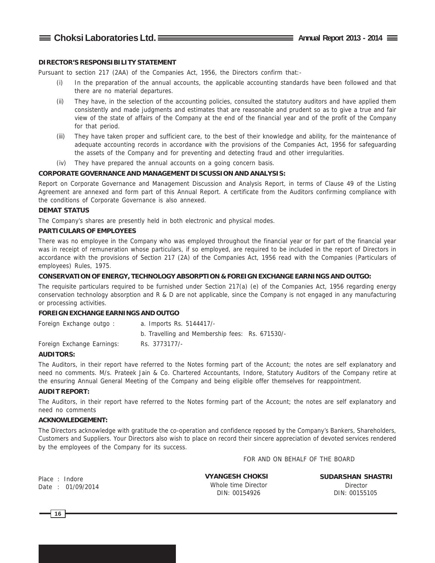#### **DIRECTOR'S RESPONSIBILITY STATEMENT**

Pursuant to section 217 (2AA) of the Companies Act, 1956, the Directors confirm that:-

- (i) In the preparation of the annual accounts, the applicable accounting standards have been followed and that there are no material departures.
- (ii) They have, in the selection of the accounting policies, consulted the statutory auditors and have applied them consistently and made judgments and estimates that are reasonable and prudent so as to give a true and fair view of the state of affairs of the Company at the end of the financial year and of the profit of the Company for that period.
- (iii) They have taken proper and sufficient care, to the best of their knowledge and ability, for the maintenance of adequate accounting records in accordance with the provisions of the Companies Act, 1956 for safeguarding the assets of the Company and for preventing and detecting fraud and other irregularities.
- (iv) They have prepared the annual accounts on a going concern basis.

#### **CORPORATE GOVERNANCE AND MANAGEMENT DISCUSSION AND ANALYSIS:**

Report on Corporate Governance and Management Discussion and Analysis Report, in terms of Clause 49 of the Listing Agreement are annexed and form part of this Annual Report. A certificate from the Auditors confirming compliance with the conditions of Corporate Governance is also annexed.

#### **DEMAT STATUS**

The Company's shares are presently held in both electronic and physical modes.

#### **PARTICULARS OF EMPLOYEES**

There was no employee in the Company who was employed throughout the financial year or for part of the financial year was in receipt of remuneration whose particulars, if so employed, are required to be included in the report of Directors in accordance with the provisions of Section 217 (2A) of the Companies Act, 1956 read with the Companies (Particulars of employees) Rules, 1975.

#### **CONSERVATION OF ENERGY, TECHNOLOGY ABSORPTION & FOREIGN EXCHANGE EARNINGS AND OUTGO:**

The requisite particulars required to be furnished under Section 217(a) (e) of the Companies Act, 1956 regarding energy conservation technology absorption and R & D are not applicable, since the Company is not engaged in any manufacturing or processing activities.

#### **FOREIGN EXCHANGE EARNINGS AND OUTGO**

| Foreign Exchange outgo:    | a. Imports Rs. 5144417/-                        |  |
|----------------------------|-------------------------------------------------|--|
|                            | b. Travelling and Membership fees: Rs. 671530/- |  |
| Foreign Exchange Earnings: | Rs. 3773177/-                                   |  |

#### **AUDITORS:**

The Auditors, in their report have referred to the Notes forming part of the Account; the notes are self explanatory and need no comments. M/s. Prateek Jain & Co. Chartered Accountants, Indore, Statutory Auditors of the Company retire at the ensuring Annual General Meeting of the Company and being eligible offer themselves for reappointment.

#### **AUDIT REPORT:**

The Auditors, in their report have referred to the Notes forming part of the Account; the notes are self explanatory and need no comments

#### **ACKNOWLEDGEMENT:**

The Directors acknowledge with gratitude the co-operation and confidence reposed by the Company's Bankers, Shareholders, Customers and Suppliers. Your Directors also wish to place on record their sincere appreciation of devoted services rendered by the employees of the Company for its success.

FOR AND ON BEHALF OF THE BOARD

Place : Indore Date : 01/09/2014  **VYANGESH CHOKSI** Whole time Director DIN: 00154926

**SUDARSHAN SHASTRI** Director DIN: 00155105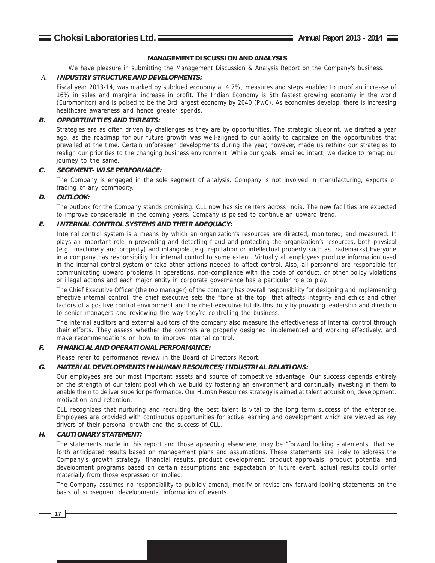#### **MANAGEMENT DISCUSSION AND ANALYSIS**

We have pleasure in submitting the Management Discussion & Analysis Report on the Company's business.

#### A. **INDUSTRY STRUCTURE AND DEVELOPMENTS:**

Fiscal year 2013-14, was marked by subdued economy at 4.7%, measures and steps enabled to proof an increase of 16% in sales and marginal increase in profit. The Indian Economy is 5th fastest growing economy in the world (Euromonitor) and is poised to be the 3rd largest economy by 2040 (PwC). As economies develop, there is increasing healthcare awareness and hence greater spends.

#### **B. OPPORTUNITIES AND THREATS:**

Strategies are as often driven by challenges as they are by opportunities. The strategic blueprint, we drafted a year ago, as the roadmap for our future growth was well-aligned to our ability to capitalize on the opportunities that prevailed at the time. Certain unforeseen developments during the year, however, made us rethink our strategies to realign our priorities to the changing business environment. While our goals remained intact, we decide to remap our journey to the same.

#### **C. SEGEMENT- WISE PERFORMACE:**

The Company is engaged in the sole segment of analysis. Company is not involved in manufacturing, exports or trading of any commodity.

#### **D. OUTLOOK:**

The outlook for the Company stands promising. CLL now has six centers across India. The new facilities are expected to improve considerable in the coming years. Company is poised to continue an upward trend.

#### **E. INTERNAL CONTROL SYSTEMS AND THEIR ADEQUACY:**

Internal control system is a means by which an organization's resources are directed, monitored, and measured. It plays an important role in preventing and detecting fraud and protecting the organization's resources, both physical (e.g., machinery and property) and intangible (e.g. reputation or intellectual property such as trademarks).Everyone in a company has responsibility for internal control to some extent. Virtually all employees produce information used in the internal control system or take other actions needed to affect control. Also, all personnel are responsible for communicating upward problems in operations, non-compliance with the code of conduct, or other policy violations or illegal actions and each major entity in corporate governance has a particular role to play.

The Chief Executive Officer (the top manager) of the company has overall responsibility for designing and implementing effective internal control, the chief executive sets the "tone at the top" that affects integrity and ethics and other factors of a positive control environment and the chief executive fulfills this duty by providing leadership and direction to senior managers and reviewing the way they're controlling the business.

The internal auditors and external auditors of the company also measure the effectiveness of internal control through their efforts. They assess whether the controls are properly designed, implemented and working effectively, and make recommendations on how to improve internal control.

#### **F. FINANCIAL AND OPERATIONAL PERFORMANCE:**

Please refer to performance review in the Board of Directors Report.

#### **G. MATERIAL DEVELOPMENTS IN HUMAN RESOURCES/INDUSTRIAL RELATIONS:**

Our employees are our most important assets and source of competitive advantage. Our success depends entirely on the strength of our talent pool which we build by fostering an environment and continually investing in them to enable them to deliver superior performance. Our Human Resources strategy is aimed at talent acquisition, development, motivation and retention.

CLL recognizes that nurturing and recruiting the best talent is vital to the long term success of the enterprise. Employees are provided with continuous opportunities for active learning and development which are viewed as key drivers of their personal growth and the success of CLL.

#### **H. CAUTIONARY STATEMENT:**

The statements made in this report and those appearing elsewhere, may be "forward looking statements" that set forth anticipated results based on management plans and assumptions. These statements are likely to address the Company's growth strategy, financial results, product development, product approvals, product potential and development programs based on certain assumptions and expectation of future event, actual results could differ materially from those expressed or implied.

The Company assumes no responsibility to publicly amend, modify or revise any forward looking statements on the basis of subsequent developments, information of events.

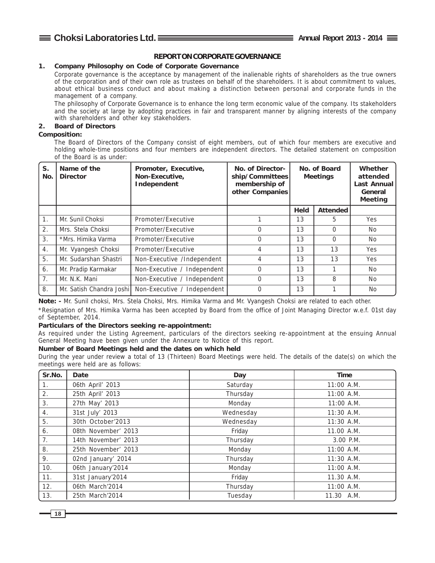#### **REPORT ON CORPORATE GOVERNANCE**

#### **1. Company Philosophy on Code of Corporate Governance**

Corporate governance is the acceptance by management of the inalienable rights of shareholders as the true owners of the corporation and of their own role as trustees on behalf of the shareholders. It is about commitment to values, about ethical business conduct and about making a distinction between personal and corporate funds in the management of a company.

The philosophy of Corporate Governance is to enhance the long term economic value of the company. Its stakeholders and the society at large by adopting practices in fair and transparent manner by aligning interests of the company with shareholders and other key stakeholders.

#### **2. Board of Directors**

#### **Composition:**

The Board of Directors of the Company consist of eight members, out of which four members are executive and holding whole-time positions and four members are independent directors. The detailed statement on composition of the Board is as under:

| $S_{1}$<br>No. | Name of the<br>Director  | Promoter, Executive,<br>Non-Executive,<br>Independent | No. of Director-<br>ship/Committees<br>membership of<br>other Companies | No. of Board<br><b>Meetings</b> |          | Whether<br>attended<br>Last Annual<br>General<br>Meeting |
|----------------|--------------------------|-------------------------------------------------------|-------------------------------------------------------------------------|---------------------------------|----------|----------------------------------------------------------|
|                |                          |                                                       |                                                                         | Held                            | Attended |                                                          |
| 1 <sub>1</sub> | Mr. Sunil Choksi         | Promoter/Executive                                    |                                                                         | 13                              | 5        | <b>Yes</b>                                               |
| 2.             | Mrs. Stela Choksi        | Promoter/Executive                                    | $\Omega$                                                                | 13                              | $\Omega$ | No                                                       |
| 3 <sub>1</sub> | *Mrs. Himika Varmal      | Promoter/Executive                                    | $\Omega$                                                                | 13                              | $\Omega$ | No                                                       |
| 4.             | Mr. Vyangesh Choksi      | Promoter/Executive                                    | 4                                                                       | 13                              | 13       | Yes                                                      |
| 5.             | Mr. Sudarshan Shastri    | Non-Executive /Independent                            | 4                                                                       | 13                              | 13       | Yes                                                      |
| 6.             | Mr. Pradip Karmakar      | Non-Executive / Independent                           | $\Omega$                                                                | 1.3                             |          | No                                                       |
| 7 <sub>1</sub> | Mr. N.K. Mani            | Non-Executive / Independent                           | $\Omega$                                                                | 1.3                             | 8        | No.                                                      |
| 8.             | Mr. Satish Chandra Joshi | Non-Executive / Independent                           | $\Omega$                                                                | 13                              |          | No                                                       |

**Note: -** Mr. Sunil choksi, Mrs. Stela Choksi, Mrs. Himika Varma and Mr. Vyangesh Choksi are related to each other.

\*Resignation of Mrs. Himika Varma has been accepted by Board from the office of Joint Managing Director w.e.f. 01st day of September, 2014.

#### **Particulars of the Directors seeking re-appointment:**

As required under the Listing Agreement, particulars of the directors seeking re-appointment at the ensuing Annual General Meeting have been given under the Annexure to Notice of this report.

#### **Number of Board Meetings held and the dates on which held**

During the year under review a total of 13 (Thirteen) Board Meetings were held. The details of the date(s) on which the meetings were held are as follows:

| Sr.No.         | Date                | Day       | Time         |
|----------------|---------------------|-----------|--------------|
| 1.             | 06th April' 2013    | Saturday  | 11:00 A.M.   |
| 2.             | 25th April' 2013    | Thursday  | $11:00$ A.M. |
| 3 <sub>1</sub> | 27th May' 2013      | Monday    | 11:00 A.M.   |
| 4.             | 31st July' 2013     | Wednesday | $11:30$ A.M. |
| 5.             | 30th October'2013   | Wednesday | $11:30$ A.M. |
| 6.             | 08th November' 2013 | Friday    | 11.00 A.M.   |
| 7.             | 14th November' 2013 | Thursday  | 3.00 P.M.    |
| 8.             | 25th November' 2013 | Monday    | $11:00$ A.M. |
| 9.             | 02nd January' 2014  | Thursday  | $11:30$ A.M. |
| 10.            | 06th January'2014   | Monday    | $11:00$ A.M. |
| 11.            | 31st January'2014   | Friday    | 11.30 A.M.   |
| 12.            | 06th March'2014     | Thursday  | 11:00 A.M.   |
| 13.            | 25th March'2014     | Tuesday   | 11.30 A.M.   |

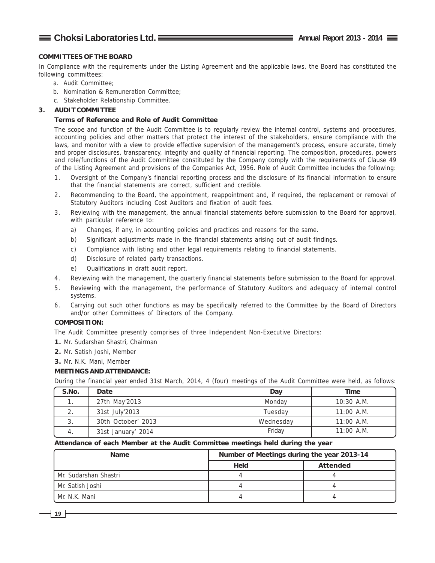#### **COMMITTEES OF THE BOARD**

In Compliance with the requirements under the Listing Agreement and the applicable laws, the Board has constituted the following committees:

- a. Audit Committee;
- b. Nomination & Remuneration Committee;
- c. Stakeholder Relationship Committee.

#### **3. AUDIT COMMITTEE**

#### **Terms of Reference and Role of Audit Committee**

The scope and function of the Audit Committee is to regularly review the internal control, systems and procedures, accounting policies and other matters that protect the interest of the stakeholders, ensure compliance with the laws, and monitor with a view to provide effective supervision of the management's process, ensure accurate, timely and proper disclosures, transparency, integrity and quality of financial reporting. The composition, procedures, powers and role/functions of the Audit Committee constituted by the Company comply with the requirements of Clause 49 of the Listing Agreement and provisions of the Companies Act, 1956. Role of Audit Committee includes the following:

- 1. Oversight of the Company's financial reporting process and the disclosure of its financial information to ensure that the financial statements are correct, sufficient and credible.
- 2. Recommending to the Board, the appointment, reappointment and, if required, the replacement or removal of Statutory Auditors including Cost Auditors and fixation of audit fees.
- 3. Reviewing with the management, the annual financial statements before submission to the Board for approval, with particular reference to:
	- a) Changes, if any, in accounting policies and practices and reasons for the same.
	- b) Significant adjustments made in the financial statements arising out of audit findings.
	- c) Compliance with listing and other legal requirements relating to financial statements.
	- d) Disclosure of related party transactions.
	- e) Qualifications in draft audit report.
- 4. Reviewing with the management, the quarterly financial statements before submission to the Board for approval.
- 5. Reviewing with the management, the performance of Statutory Auditors and adequacy of internal control systems.
- 6. Carrying out such other functions as may be specifically referred to the Committee by the Board of Directors and/or other Committees of Directors of the Company.

#### **COMPOSITION:**

The Audit Committee presently comprises of three Independent Non-Executive Directors:

- **1.** Mr. Sudarshan Shastri, Chairman
- **2.** Mr. Satish Joshi, Member
- **3.** Mr. N.K. Mani, Member

#### **MEETINGS AND ATTENDANCE:**

During the financial year ended 31st March, 2014, 4 (four) meetings of the Audit Committee were held, as follows:

| S.No. | Date               | Day       | Time         |
|-------|--------------------|-----------|--------------|
|       | 27th May'2013      | Mondav    | $10:30$ A.M. |
|       | 31st July'2013     | Tuesday   | $11:00$ A.M. |
|       | 30th October' 2013 | Wednesday | $11:00$ A.M. |
|       | 31st January' 2014 | Friday    | $11:00$ A.M. |

#### **Attendance of each Member at the Audit Committee meetings held during the year**

| <b>Name</b>           | Number of Meetings during the year 2013-14 |          |  |
|-----------------------|--------------------------------------------|----------|--|
|                       | Held                                       | Attended |  |
| Mr. Sudarshan Shastri |                                            |          |  |
| Mr. Satish Joshi      |                                            |          |  |
| Mr. N.K. Mani         |                                            |          |  |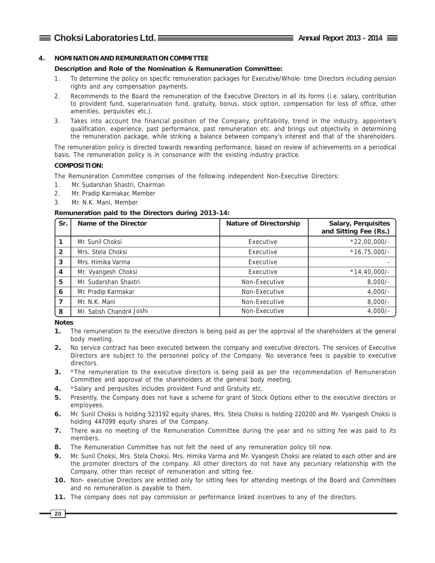#### **4. NOMINATION AND REMUNERATION COMMITTEE**

#### **Description and Role of the Nomination & Remuneration Committee:**

- 1. To determine the policy on specific remuneration packages for Executive/Whole- time Directors including pension rights and any compensation payments.
- 2. Recommends to the Board the remuneration of the Executive Directors in all its forms (i.e. salary, contribution to provident fund, superannuation fund, gratuity, bonus, stock option, compensation for loss of office, other amenities, perquisites etc.).
- 3. Takes into account the financial position of the Company, profitability, trend in the industry, appointee's qualification, experience, past performance, past remuneration etc. and brings out objectivity in determining the remuneration package, while striking a balance between company's interest and that of the shareholders.

The remuneration policy is directed towards rewarding performance, based on review of achievements on a periodical basis. The remuneration policy is in consonance with the existing industry practice.

#### **COMPOSITION:**

The Remuneration Committee comprises of the following independent Non-Executive Directors:

- 1. Mr. Sudarshan Shastri, Chairman
- 2. Mr. Pradip Karmakar, Member
- 3. Mr. N.K. Mani, Member

#### **Remuneration paid to the Directors during 2013-14:**

| Sr.            | Name of the Director     | Nature of Directorship | Salary, Perquisites<br>and Sitting Fee (Rs.) |
|----------------|--------------------------|------------------------|----------------------------------------------|
|                | Mr. Sunil Choksi         | Executive              | $*22,00,000/-$                               |
| $\overline{2}$ | Mrs. Stela Choksi        | Executive              | $*16,75,000/-$                               |
| 3              | Mrs. Himika Varma        | Executive              |                                              |
| 4              | Mr. Vyangesh Choksi      | Executive              | $*14,40,000/-$                               |
| 5              | Mr. Sudarshan Shastri    | Non-Executive          | $8,000/-$                                    |
| 6              | Mr. Pradip Karmakar      | Non-Executive          | $4,000/-$                                    |
|                | Mr. N.K. Mani            | Non-Executive          | $8.000/-$                                    |
| 8              | Mr. Satish Chandra Joshi | Non-Executive          | $4,000/-$                                    |

**Notes**

- **1.** The remuneration to the executive directors is being paid as per the approval of the shareholders at the general body meeting.
- **2.** No service contract has been executed between the company and executive directors. The services of Executive Directors are subject to the personnel policy of the Company. No severance fees is payable to executive directors.
- **3.** \*The remuneration to the executive directors is being paid as per the recommendation of Remuneration Committee and approval of the shareholders at the general body meeting.
- **4.** \*Salary and perquisites includes provident Fund and Gratuity etc.
- **5.** Presently, the Company does not have a scheme for grant of Stock Options either to the executive directors or employees.
- **6.** Mr. Sunil Choksi is holding 523192 equity shares, Mrs. Stela Choksi is holding 220200 and Mr. Vyangesh Choksi is holding 447099 equity shares of the Company.
- **7.** There was no meeting of the Remuneration Committee during the year and no sitting fee was paid to its members.
- **8.** The Remuneration Committee has not felt the need of any remuneration policy till now.
- **9.** Mr. Sunil Choksi, Mrs. Stela Choksi, Mrs. Himika Varma and Mr. Vyangesh Choksi are related to each other and are the promoter directors of the company. All other directors do not have any pecuniary relationship with the Company, other than receipt of remuneration and sitting fee.
- **10.** Non- executive Directors are entitled only for sitting fees for attending meetings of the Board and Committees and no remuneration is payable to them.
- **11.** The company does not pay commission or performance linked incentives to any of the directors.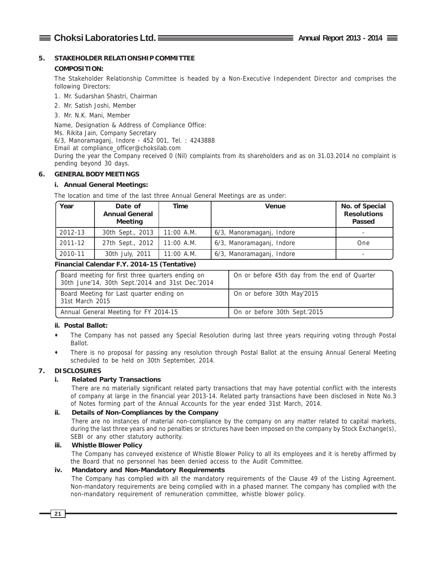#### **5. STAKEHOLDER RELATIONSHIP COMMITTEE**

#### **COMPOSITION:**

The Stakeholder Relationship Committee is headed by a Non-Executive Independent Director and comprises the following Directors:

1. Mr. Sudarshan Shastri, Chairman

- 2. Mr. Satish Joshi, Member
- 3. Mr. N.K. Mani, Member

Name, Designation & Address of Compliance Office:

Ms. Rikita Jain, Company Secretary

6/3, Manoramaganj, Indore - 452 001, Tel. : 4243888

Email at compliance\_officer@choksilab.com

During the year the Company received 0 (Nil) complaints from its shareholders and as on 31.03.2014 no complaint is pending beyond 30 days.

#### **6. GENERAL BODY MEETINGS**

#### **i. Annual General Meetings:**

The location and time of the last three Annual General Meetings are as under:

| Year    | Date of<br><b>Annual General</b><br>Meeting | Time         | Venue                     | No. of Special<br><b>Resolutions</b><br>Passed |
|---------|---------------------------------------------|--------------|---------------------------|------------------------------------------------|
| 2012-13 | 30th Sept., 2013                            | $11:00$ A.M. | 6/3, Manoramaganj, Indore | $\overline{\phantom{a}}$                       |
| 2011-12 | 27th Sept., 2012                            | $11:00$ A.M. | 6/3, Manoramaganj, Indore | One                                            |
| 2010-11 | 30th July, 2011                             | $11:00$ A.M. | 6/3, Manoramaganj, Indore | $\overline{\phantom{a}}$                       |

#### **Financial Calendar F.Y. 2014-15 (Tentative)**

| Board meeting for first three quarters ending on<br>30th June'14, 30th Sept.'2014 and 31st Dec.'2014 | On or before 45th day from the end of Quarter |
|------------------------------------------------------------------------------------------------------|-----------------------------------------------|
| Board Meeting for Last quarter ending on<br>31st March 2015                                          | On or before 30th May'2015                    |
| Annual General Meeting for FY 2014-15                                                                | On or before 30th Sept.'2015                  |

#### **ii. Postal Ballot:**

- The Company has not passed any Special Resolution during last three years requiring voting through Postal Ballot.
- There is no proposal for passing any resolution through Postal Ballot at the ensuing Annual General Meeting scheduled to be held on 30th September, 2014.

#### **7. DISCLOSURES**

#### **i. Related Party Transactions**

There are no materially significant related party transactions that may have potential conflict with the interests of company at large in the financial year 2013-14. Related party transactions have been disclosed in Note No.3 of Notes forming part of the Annual Accounts for the year ended 31st March, 2014.

#### **ii. Details of Non-Compliances by the Company**

There are no instances of material non-compliance by the company on any matter related to capital markets, during the last three years and no penalties or strictures have been imposed on the company by Stock Exchange(s), SEBI or any other statutory authority.

#### **iii. Whistle Blower Policy**

The Company has conveyed existence of Whistle Blower Policy to all its employees and it is hereby affirmed by the Board that no personnel has been denied access to the Audit Committee.

#### **iv. Mandatory and Non-Mandatory Requirements**

The Company has complied with all the mandatory requirements of the Clause 49 of the Listing Agreement. Non-mandatory requirements are being complied with in a phased manner. The company has complied with the non-mandatory requirement of remuneration committee, whistle blower policy.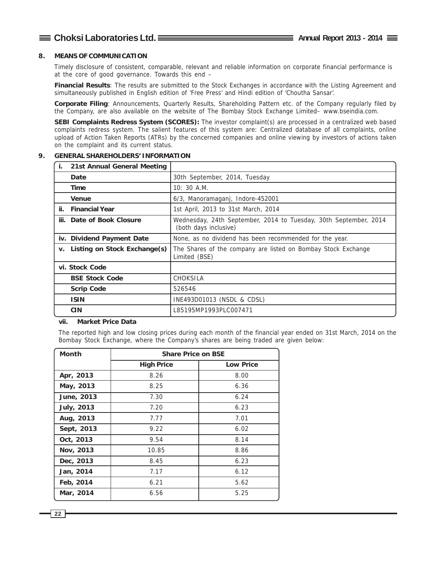#### **8. MEANS OF COMMUNICATION**

Timely disclosure of consistent, comparable, relevant and reliable information on corporate financial performance is at the core of good governance. Towards this end –

**Financial Results**: The results are submitted to the Stock Exchanges in accordance with the Listing Agreement and simultaneously published in English edition of 'Free Press' and Hindi edition of 'Choutha Sansar'.

**Corporate Filing**: Announcements, Quarterly Results, Shareholding Pattern etc. of the Company regularly filed by the Company, are also available on the website of The Bombay Stock Exchange Limited– www.bseindia.com.

**SEBI Complaints Redress System (SCORES):** The investor complaint(s) are processed in a centralized web based complaints redress system. The salient features of this system are: Centralized database of all complaints, online upload of Action Taken Reports (ATRs) by the concerned companies and online viewing by investors of actions taken on the complaint and its current status.

#### **9. GENERAL SHAREHOLDERS' INFORMATION**

| j.  | 21st Annual General Meeting     |                                                                                           |
|-----|---------------------------------|-------------------------------------------------------------------------------------------|
|     | Date                            | 30th September, 2014, Tuesday                                                             |
|     | Time                            | 10: 30 A.M.                                                                               |
|     | Venue                           | 6/3, Manoramaganj, Indore-452001                                                          |
| ii. | <b>Financial Year</b>           | 1st April, 2013 to 31st March, 2014                                                       |
|     | iii. Date of Book Closure       | Wednesday, 24th September, 2014 to Tuesday, 30th September, 2014<br>(both days inclusive) |
|     | iv. Dividend Payment Date       | None, as no dividend has been recommended for the year.                                   |
|     | v. Listing on Stock Exchange(s) | The Shares of the company are listed on Bombay Stock Exchange<br>Limited (BSE)            |
|     | vi. Stock Code                  |                                                                                           |
|     | <b>BSE Stock Code</b>           | <b>CHOKSILA</b>                                                                           |
|     | Scrip Code                      | 526546                                                                                    |
|     | <b>ISIN</b>                     | INE493D01013 (NSDL & CDSL)                                                                |
|     | <b>CIN</b>                      | L85195MP1993PLC007471                                                                     |

#### **vii. Market Price Data**

The reported high and low closing prices during each month of the financial year ended on 31st March, 2014 on the Bombay Stock Exchange, where the Company's shares are being traded are given below:

| Month      | <b>Share Price on BSE</b> |           |  |  |
|------------|---------------------------|-----------|--|--|
|            | <b>High Price</b>         | Low Price |  |  |
| Apr, 2013  | 8.26                      | 8.00      |  |  |
| May, 2013  | 8.25                      | 6.36      |  |  |
| June, 2013 | 7.30                      | 6.24      |  |  |
| July, 2013 | 7.20                      | 6.23      |  |  |
| Aug, 2013  | 7.77                      | 7.01      |  |  |
| Sept, 2013 | 9.22                      | 6.02      |  |  |
| Oct, 2013  | 9.54                      | 8.14      |  |  |
| Nov, 2013  | 10.85                     | 8.86      |  |  |
| Dec, 2013  | 8.45                      | 6.23      |  |  |
| Jan, 2014  | 7.17                      | 6.12      |  |  |
| Feb, 2014  | 6.21                      | 5.62      |  |  |
| Mar, 2014  | 6.56                      | 5.25      |  |  |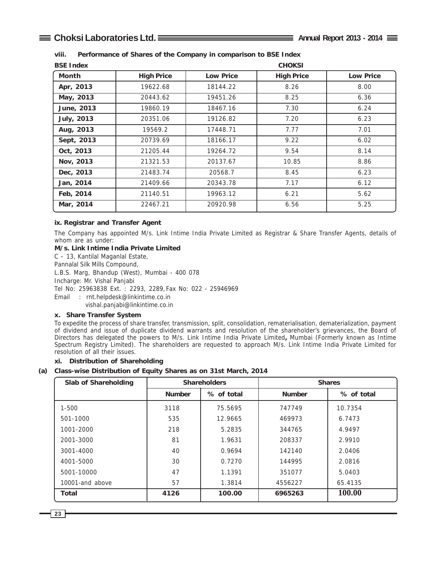| viii. |  |  |  |  |  | Performance of Shares of the Company in comparison to BSE Index |
|-------|--|--|--|--|--|-----------------------------------------------------------------|
|-------|--|--|--|--|--|-----------------------------------------------------------------|

| <b>BSE Index</b> |                   |           | <b>CHOKSI</b>     |           |
|------------------|-------------------|-----------|-------------------|-----------|
| Month            | <b>High Price</b> | Low Price | <b>High Price</b> | Low Price |
| Apr, 2013        | 19622.68          | 18144.22  | 8.26              | 8.00      |
| May, 2013        | 20443.62          | 19451.26  | 8.25              | 6.36      |
| June, 2013       | 19860.19          | 18467.16  | 7.30              | 6.24      |
| July, 2013       | 20351.06          | 19126.82  | 7.20              | 6.23      |
| Aug, 2013        | 19569.2           | 17448.71  | 7.77              | 7.01      |
| Sept, 2013       | 20739.69          | 18166.17  | 9.22              | 6.02      |
| Oct, 2013        | 21205.44          | 19264.72  | 9.54              | 8.14      |
| Nov, 2013        | 21321.53          | 20137.67  | 10.85             | 8.86      |
| Dec, 2013        | 21483.74          | 20568.7   | 8.45              | 6.23      |
| Jan, 2014        | 21409.66          | 20343.78  | 7.17              | 6.12      |
| Feb, 2014        | 21140.51          | 19963.12  | 6.21              | 5.62      |
| Mar, 2014        | 22467.21          | 20920.98  | 6.56              | 5.25      |
|                  |                   |           |                   |           |

#### **ix. Registrar and Transfer Agent**

The Company has appointed M/s. Link Intime India Private Limited as Registrar & Share Transfer Agents, details of whom are as under:

#### **M/s. Link Intime India Private Limited**

C – 13, Kantilal Maganlal Estate,

Pannalal Silk Mills Compound,

L.B.S. Marg, Bhandup (West), Mumbai - 400 078

Incharge: Mr. Vishal Panjabi

Tel No: 25963838 Ext. : 2293, 2289, Fax No: 022 - 25946969

Email : rnt.helpdesk@linkintime.co.in

vishal.panjabi@linkintime.co.in

#### **x. Share Transfer System**

To expedite the process of share transfer, transmission, split, consolidation, rematerialisation, dematerialization, payment of dividend and issue of duplicate dividend warrants and resolution of the shareholder's grievances, the Board of Directors has delegated the powers to M/s. Link Intime India Private Limited**,** Mumbai (Formerly known as Intime Spectrum Registry Limited). The shareholders are requested to approach M/s. Link Intime India Private Limited for resolution of all their issues.

#### **xi. Distribution of Shareholding**

#### **(a) Class-wise Distribution of Equity Shares as on 31st March, 2014**

| Slab of Shareholding | <b>Shareholders</b> |            | <b>Shares</b> |            |
|----------------------|---------------------|------------|---------------|------------|
|                      | <b>Number</b>       | % of total | <b>Number</b> | % of total |
| $1 - 500$            | 3118                | 75.5695    | 747749        | 10.7354    |
| 501-1000             | 535                 | 12.9665    | 469973        | 6.7473     |
| 1001-2000            | 218                 | 5.2835     | 344765        | 4.9497     |
| 2001-3000            | 81                  | 1.9631     | 208337        | 2.9910     |
| 3001-4000            | 40                  | 0.9694     | 142140        | 2.0406     |
| 4001-5000            | 30                  | 0.7270     | 144995        | 2.0816     |
| 5001-10000           | 47                  | 1.1391     | 351077        | 5.0403     |
| 10001-and above      | 57                  | 1.3814     | 4556227       | 65.4135    |
| Total                | 4126                | 100.00     | 6965263       | 100.00     |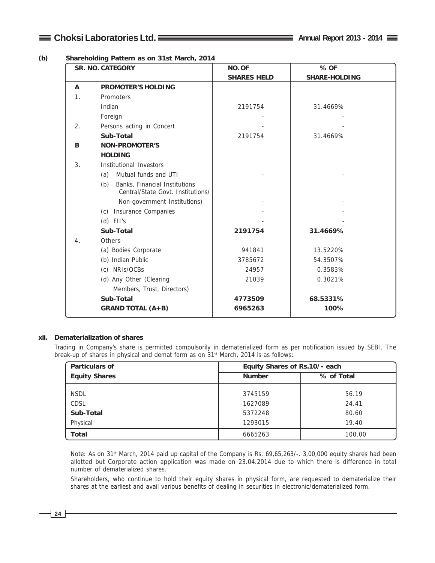**(b) Shareholding Pattern as on 31st March, 2014**

|                | SR. NO. CATEGORY                                                          | NO. OF             | $%$ OF        |
|----------------|---------------------------------------------------------------------------|--------------------|---------------|
|                |                                                                           | <b>SHARES HELD</b> | SHARE-HOLDING |
| A              | PROMOTER'S HOLDING                                                        |                    |               |
| 1 <sub>1</sub> | Promoters                                                                 |                    |               |
|                | Indian                                                                    | 2191754            | 31.4669%      |
|                | Foreign                                                                   |                    |               |
| 2.             | Persons acting in Concert                                                 |                    |               |
|                | Sub-Total                                                                 | 2191754            | 31.4669%      |
| B              | NON-PROMOTER'S                                                            |                    |               |
|                | <b>HOLDING</b>                                                            |                    |               |
| 3 <sub>1</sub> | Institutional Investors                                                   |                    |               |
|                | Mutual funds and UTI<br>(a)                                               |                    |               |
|                | Banks, Financial Institutions<br>(b)<br>Central/State Govt. Institutions/ |                    |               |
|                | Non-government Institutions)                                              |                    |               |
|                | (c) Insurance Companies                                                   |                    |               |
|                | $(d)$ FII's                                                               |                    |               |
|                | Sub-Total                                                                 | 2191754            | 31.4669%      |
| 4.             | Others                                                                    |                    |               |
|                | (a) Bodies Corporate                                                      | 941841             | 13.5220%      |
|                | (b) Indian Public                                                         | 3785672            | 54.3507%      |
|                | (c) NRIs/OCBs                                                             | 24957              | 0.3583%       |
|                | (d) Any Other (Clearing                                                   | 21039              | 0.3021%       |
|                | Members, Trust, Directors)                                                |                    |               |
|                | Sub-Total                                                                 | 4773509            | 68.5331%      |
|                | <b>GRAND TOTAL (A+B)</b>                                                  | 6965263            | 100%          |

#### **xii. Dematerialization of shares**

Trading in Company's share is permitted compulsorily in dematerialized form as per notification issued by SEBI. The break-up of shares in physical and demat form as on 31<sup>st</sup> March, 2014 is as follows:

| Particulars of       | Equity Shares of Rs.10/- each |            |  |
|----------------------|-------------------------------|------------|--|
| <b>Equity Shares</b> | <b>Number</b>                 | % of Total |  |
| <b>NSDL</b>          | 3745159                       | 56.19      |  |
| CDSL                 | 1627089                       | 24.41      |  |
| Sub-Total            | 5372248                       | 80.60      |  |
| Physical             | 1293015                       | 19.40      |  |
| Total                | 6665263                       | 100.00     |  |

Note: As on 31<sup>st</sup> March, 2014 paid up capital of the Company is Rs. 69,65,263/-. 3,00,000 equity shares had been allotted but Corporate action application was made on 23.04.2014 due to which there is difference in total number of dematerialized shares.

Shareholders, who continue to hold their equity shares in physical form, are requested to dematerialize their shares at the earliest and avail various benefits of dealing in securities in electronic/dematerialized form.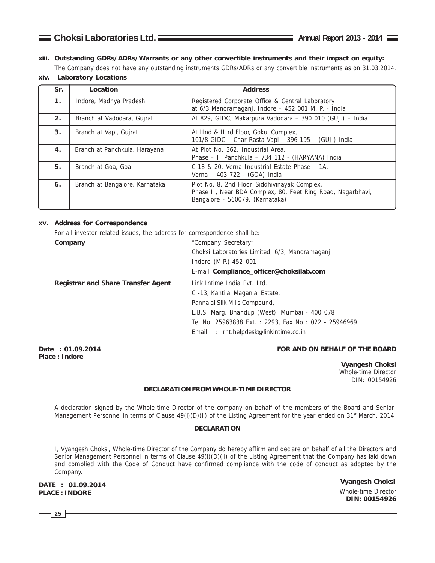**xiii. Outstanding GDRs/ADRs/Warrants or any other convertible instruments and their impact on equity:** The Company does not have any outstanding instruments GDRs/ADRs or any convertible instruments as on 31.03.2014.

**xiv. Laboratory Locations**

| Sr. | Location                       | <b>Address</b>                                                                                                                                  |
|-----|--------------------------------|-------------------------------------------------------------------------------------------------------------------------------------------------|
| 1.  | Indore, Madhya Pradesh         | Registered Corporate Office & Central Laboratory<br>at 6/3 Manoramaganj, Indore - 452 001 M. P. - India                                         |
| 2.  | Branch at Vadodara, Guirat     | At 829, GIDC, Makarpura Vadodara - 390 010 (GUJ.) - India                                                                                       |
| 3.  | Branch at Vapi, Gujrat         | At IInd & IIIrd Floor, Gokul Complex,<br>101/8 GIDC - Char Rasta Vapi - 396 195 - (GUJ.) India                                                  |
| 4.  | Branch at Panchkula, Harayana  | At Plot No. 362, Industrial Area,<br>Phase - II Panchkula - 734 112 - (HARYANA) India                                                           |
| 5.  | Branch at Goa, Goa             | C-18 & 20, Verna Industrial Estate Phase - 1A,<br>Verna - 403 722 - (GOA) India                                                                 |
| 6.  | Branch at Bangalore, Karnataka | Plot No. 8, 2nd Floor, Siddhivinayak Complex,<br>Phase II, Near BDA Complex, 80, Feet Ring Road, Nagarbhavi,<br>Bangalore - 560079, (Karnataka) |

#### **xv. Address for Correspondence**

For all investor related issues, the address for correspondence shall be:

| Company                            | "Company Secretary"                                 |
|------------------------------------|-----------------------------------------------------|
|                                    | Choksi Laboratories Limited, 6/3, Manoramaganj      |
|                                    | Indore (M.P.)-452 001                               |
|                                    | E-mail: Compliance_officer@choksilab.com            |
| Registrar and Share Transfer Agent | Link Intime India Pyt. Ltd.                         |
|                                    | C -13, Kantilal Maganial Estate,                    |
|                                    | Pannalal Silk Mills Compound,                       |
|                                    | L.B.S. Marg, Bhandup (West), Mumbai - 400 078       |
|                                    | Tel No: 25963838 Ext.: 2293, Fax No: 022 - 25946969 |
|                                    | Email : rnt.helpdesk@linkintime.co.in               |

**Place : Indore**

#### **Date : 01.09.2014 FOR AND ON BEHALF OF THE BOARD**

 **Vyangesh Choksi** Whole-time Director DIN: 00154926

#### **DECLARATION FROM WHOLE-TIME DIRECTOR**

A declaration signed by the Whole-time Director of the company on behalf of the members of the Board and Senior Management Personnel in terms of Clause 49(l)(D)(ii) of the Listing Agreement for the year ended on 31<sup>st</sup> March, 2014:

#### **DECLARATION**

I, Vyangesh Choksi, Whole-time Director of the Company do hereby affirm and declare on behalf of all the Directors and Senior Management Personnel in terms of Clause 49(I)(D)(ii) of the Listing Agreement that the Company has laid down and complied with the Code of Conduct have confirmed compliance with the code of conduct as adopted by the Company.

**DATE : 01.09.2014 PLACE : INDORE**

 **Vyangesh Choksi** Whole-time Director **DIN: 00154926**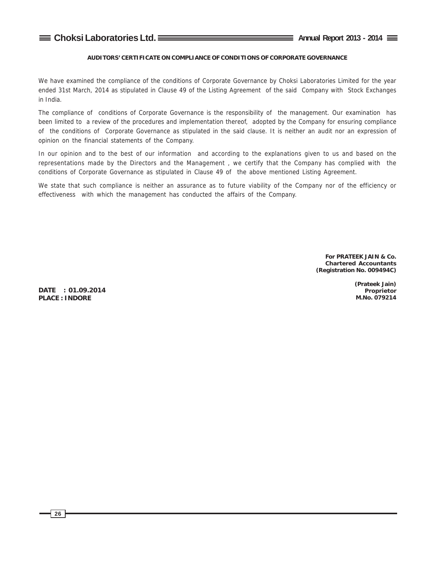#### **AUDITORS' CERTIFICATE ON COMPLIANCE OF CONDITIONS OF CORPORATE GOVERNANCE**

We have examined the compliance of the conditions of Corporate Governance by Choksi Laboratories Limited for the year ended 31st March, 2014 as stipulated in Clause 49 of the Listing Agreement of the said Company with Stock Exchanges in India.

The compliance of conditions of Corporate Governance is the responsibility of the management. Our examination has been limited to a review of the procedures and implementation thereof, adopted by the Company for ensuring compliance of the conditions of Corporate Governance as stipulated in the said clause. It is neither an audit nor an expression of opinion on the financial statements of the Company.

In our opinion and to the best of our information and according to the explanations given to us and based on the representations made by the Directors and the Management , we certify that the Company has complied with the conditions of Corporate Governance as stipulated in Clause 49 of the above mentioned Listing Agreement.

We state that such compliance is neither an assurance as to future viability of the Company nor of the efficiency or effectiveness with which the management has conducted the affairs of the Company.

> **For PRATEEK JAIN & Co. Chartered Accountants (Registration No. 009494C)**

**DATE : 01.09.2014 PLACE : INDORE**

 **(Prateek Jain) Proprietor M.No. 079214**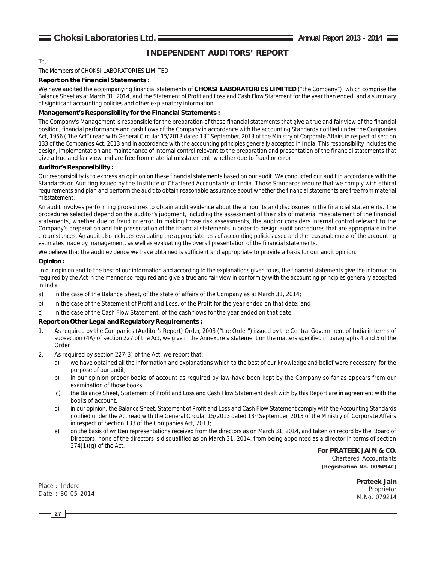### **INDEPENDENT AUDITORS' REPORT**

#### To,

#### The Members of CHOKSI LABORATORIES LIMITED

#### **Report on the Financial Statements :**

We have audited the accompanying financial statements of **CHOKSI LABORATORIES LIMITED** ("the Company"), which comprise the Balance Sheet as at March 31, 2014, and the Statement of Profit and Loss and Cash Flow Statement for the year then ended, and a summary of significant accounting policies and other explanatory information.

#### **Management's Responsibility for the Financial Statements :**

The Company's Management is responsible for the preparation of these financial statements that give a true and fair view of the financial position, financial performance and cash flows of the Company in accordance with the accounting Standards notified under the Companies Act, 1956 ("the Act") read with General Circular 15/2013 dated 13<sup>th</sup> September, 2013 of the Ministry of Corporate Affairs in respect of section 133 of the Companies Act, 2013 and in accordance with the accounting principles generally accepted in India. This responsibility includes the design, implementation and maintenance of internal control relevant to the preparation and presentation of the financial statements that give a true and fair view and are free from material misstatement, whether due to fraud or error.

#### **Auditor's Responsibility :**

Our responsibility is to express an opinion on these financial statements based on our audit. We conducted our audit in accordance with the Standards on Auditing issued by the Institute of Chartered Accountants of India. Those Standards require that we comply with ethical requirements and plan and perform the audit to obtain reasonable assurance about whether the financial statements are free from material misstatement.

An audit involves performing procedures to obtain audit evidence about the amounts and disclosures in the financial statements. The procedures selected depend on the auditor's judgment, including the assessment of the risks of material misstatement of the financial statements, whether due to fraud or error. In making those risk assessments, the auditor considers internal control relevant to the Company's preparation and fair presentation of the financial statements in order to design audit procedures that are appropriate in the circumstances. An audit also includes evaluating the appropriateness of accounting policies used and the reasonableness of the accounting estimates made by management, as well as evaluating the overall presentation of the financial statements.

We believe that the audit evidence we have obtained is sufficient and appropriate to provide a basis for our audit opinion.

#### **Opinion :**

In our opinion and to the best of our information and according to the explanations given to us, the financial statements give the information required by the Act in the manner so required and give a true and fair view in conformity with the accounting principles generally accepted in India :

- a) in the case of the Balance Sheet, of the state of affairs of the Company as at March 31, 2014;
- b) in the case of the Statement of Profit and Loss, of the Profit for the year ended on that date; and
- c) in the case of the Cash Flow Statement, of the cash flows for the year ended on that date.

#### **Report on Other Legal and Regulatory Requirements :**

- 1. As required by the Companies (Auditor's Report) Order, 2003 ("the Order") issued by the Central Government of India in terms of subsection (4A) of section 227 of the Act, we give in the Annexure a statement on the matters specified in paragraphs 4 and 5 of the Order.
- 2. As required by section 227(3) of the Act, we report that:
	- a) we have obtained all the information and explanations which to the best of our knowledge and belief were necessary for the purpose of our audit;
	- b) in our opinion proper books of account as required by law have been kept by the Company so far as appears from our examination of those books
	- c) the Balance Sheet, Statement of Profit and Loss and Cash Flow Statement dealt with by this Report are in agreement with the books of account.
	- d) in our opinion, the Balance Sheet, Statement of Profit and Loss and Cash Flow Statement comply with the Accounting Standards notified under the Act read with the General Circular 15/2013 dated 13<sup>th</sup> September, 2013 of the Ministry of Corporate Affairs in respect of Section 133 of the Companies Act, 2013;
	- e) on the basis of written representations received from the directors as on March 31, 2014, and taken on record by the Board of Directors, none of the directors is disqualified as on March 31, 2014, from being appointed as a director in terms of section  $274(1)(g)$  of the Act.

 **For PRATEEK JAIN & CO.** Chartered Accountants  **(Registration No. 009494C)**

> **Prateek Jain** Proprietor M.No. 079214

Place : Indore Date : 30-05-2014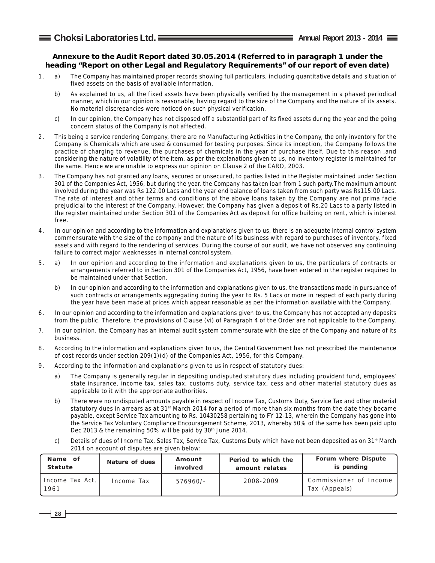### **Annexure to the Audit Report dated 30.05.2014 (Referred to in paragraph 1 under the heading "Report on other Legal and Regulatory Requirements" of our report of even date)**

- 1. a) The Company has maintained proper records showing full particulars, including quantitative details and situation of fixed assets on the basis of available information.
	- b) As explained to us, all the fixed assets have been physically verified by the management in a phased periodical manner, which in our opinion is reasonable, having regard to the size of the Company and the nature of its assets. No material discrepancies were noticed on such physical verification.
	- c) In our opinion, the Company has not disposed off a substantial part of its fixed assets during the year and the going concern status of the Company is not affected.
- 2. This being a service rendering Company, there are no Manufacturing Activities in the Company, the only inventory for the Company is Chemicals which are used & consumed for testing purposes. Since its inception, the Company follows the practice of charging to revenue, the purchases of chemicals in the year of purchase itself. Due to this reason ,and considering the nature of volatility of the item, as per the explanations given to us, no inventory register is maintained for the same. Hence we are unable to express our opinion on Clause 2 of the CARO, 2003.
- 3. The Company has not granted any loans, secured or unsecured, to parties listed in the Register maintained under Section 301 of the Companies Act, 1956, but during the year, the Company has taken loan from 1 such party.The maximum amount involved during the year was Rs 122.00 Lacs and the year end balance of loans taken from such party was Rs115.00 Lacs. The rate of interest and other terms and conditions of the above loans taken by the Company are not prima facie prejudicial to the interest of the Company. However, the Company has given a deposit of Rs.20 Lacs to a party listed in the register maintained under Section 301 of the Companies Act as deposit for office building on rent, which is interest free.
- 4. In our opinion and according to the information and explanations given to us, there is an adequate internal control system commensurate with the size of the company and the nature of its business with regard to purchases of inventory, fixed assets and with regard to the rendering of services. During the course of our audit, we have not observed any continuing failure to correct major weaknesses in internal control system.
- 5. a) In our opinion and according to the information and explanations given to us, the particulars of contracts or arrangements referred to in Section 301 of the Companies Act, 1956, have been entered in the register required to be maintained under that Section.
	- b) In our opinion and according to the information and explanations given to us, the transactions made in pursuance of such contracts or arrangements aggregating during the year to Rs. 5 Lacs or more in respect of each party during the year have been made at prices which appear reasonable as per the information available with the Company.
- 6. In our opinion and according to the information and explanations given to us, the Company has not accepted any deposits from the public. Therefore, the provisions of Clause (vi) of Paragraph 4 of the Order are not applicable to the Company.
- 7. In our opinion, the Company has an internal audit system commensurate with the size of the Company and nature of its business.
- 8. According to the information and explanations given to us, the Central Government has not prescribed the maintenance of cost records under section 209(1)(d) of the Companies Act, 1956, for this Company.
- 9. According to the information and explanations given to us in respect of statutory dues:
	- a) The Company is generally regular in depositing undisputed statutory dues including provident fund, employees' state insurance, income tax, sales tax, customs duty, service tax, cess and other material statutory dues as applicable to it with the appropriate authorities.
	- b) There were no undisputed amounts payable in respect of Income Tax, Customs Duty, Service Tax and other material statutory dues in arrears as at 31st March 2014 for a period of more than six months from the date they became payable, except Service Tax amounting to Rs. 10430258 pertaining to FY 12-13, wherein the Company has gone into the Service Tax Voluntary Compliance Encouragement Scheme, 2013, whereby 50% of the same has been paid upto Dec 2013 & the remaining 50% will be paid by 30<sup>th</sup> June 2014.
	- c) Details of dues of Income Tax, Sales Tax, Service Tax, Customs Duty which have not been deposited as on 31<sup>st</sup> March 2014 on account of disputes are given below:

| Name of                 | Nature of dues | Amount     | Period to which the | Forum where Dispute                     |
|-------------------------|----------------|------------|---------------------|-----------------------------------------|
| Statute                 |                | involved   | amount relates      | is pending                              |
| Income Tax Act,<br>1961 | Income Tax     | $576960/-$ | 2008-2009           | Commissioner of Income<br>Tax (Appeals) |

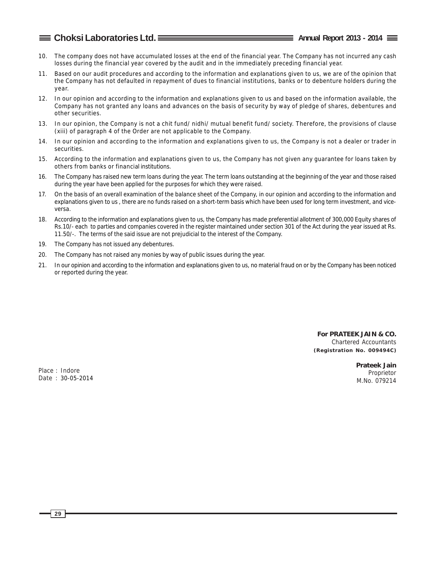- 10. The company does not have accumulated losses at the end of the financial year. The Company has not incurred any cash losses during the financial year covered by the audit and in the immediately preceding financial year.
- 11. Based on our audit procedures and according to the information and explanations given to us, we are of the opinion that the Company has not defaulted in repayment of dues to financial institutions, banks or to debenture holders during the year.
- 12. In our opinion and according to the information and explanations given to us and based on the information available, the Company has not granted any loans and advances on the basis of security by way of pledge of shares, debentures and other securities.
- 13. In our opinion, the Company is not a chit fund/ nidhi/ mutual benefit fund/ society. Therefore, the provisions of clause (xiii) of paragraph 4 of the Order are not applicable to the Company.
- 14. In our opinion and according to the information and explanations given to us, the Company is not a dealer or trader in securities.
- 15. According to the information and explanations given to us, the Company has not given any guarantee for loans taken by others from banks or financial institutions.
- 16. The Company has raised new term loans during the year. The term loans outstanding at the beginning of the year and those raised during the year have been applied for the purposes for which they were raised.
- 17. On the basis of an overall examination of the balance sheet of the Company, in our opinion and according to the information and explanations given to us , there are no funds raised on a short-term basis which have been used for long term investment, and viceversa.
- 18. According to the information and explanations given to us, the Company has made preferential allotment of 300,000 Equity shares of Rs.10/- each to parties and companies covered in the register maintained under section 301 of the Act during the year issued at Rs. 11.50/-. The terms of the said issue are not prejudicial to the interest of the Company.
- 19. The Company has not issued any debentures.
- 20. The Company has not raised any monies by way of public issues during the year.
- 21. In our opinion and according to the information and explanations given to us, no material fraud on or by the Company has been noticed or reported during the year.

 **For PRATEEK JAIN & CO.** Chartered Accountants **(Registration No. 009494C)**

Place : Indore Date : 30-05-2014  **Prateek Jain** Proprietor M.No. 079214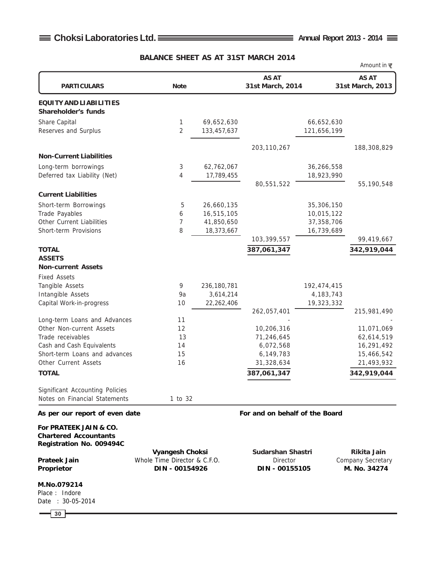**BALANCE SHEET AS AT 31ST MARCH 2014**

|                                                                                    |                                                                   |                           |                                                        |                           | Amount in स्                                     |
|------------------------------------------------------------------------------------|-------------------------------------------------------------------|---------------------------|--------------------------------------------------------|---------------------------|--------------------------------------------------|
| <b>PARTICULARS</b>                                                                 | <b>Note</b>                                                       |                           | AS AT<br>31st March, 2014                              |                           | AS AT<br>31st March, 2013                        |
| EQUITY AND LIABILITIES<br>Shareholder's funds                                      |                                                                   |                           |                                                        |                           |                                                  |
| Share Capital<br>Reserves and Surplus                                              | 1<br>$\overline{2}$                                               | 69,652,630<br>133,457,637 |                                                        | 66,652,630<br>121,656,199 |                                                  |
|                                                                                    |                                                                   |                           | 203,110,267                                            |                           | 188,308,829                                      |
| <b>Non-Current Liabilities</b>                                                     |                                                                   |                           |                                                        |                           |                                                  |
| Long-term borrowings                                                               | 3                                                                 | 62,762,067                |                                                        | 36,266,558                |                                                  |
| Deferred tax Liability (Net)                                                       | 4                                                                 | 17,789,455                |                                                        | 18,923,990                |                                                  |
|                                                                                    |                                                                   |                           | 80,551,522                                             |                           | 55,190,548                                       |
| <b>Current Liabilities</b>                                                         |                                                                   |                           |                                                        |                           |                                                  |
| Short-term Borrowings                                                              | 5                                                                 | 26,660,135                |                                                        | 35,306,150                |                                                  |
| Trade Payables                                                                     | 6                                                                 | 16,515,105                |                                                        | 10,015,122                |                                                  |
| Other Current Liabilities                                                          | 7                                                                 | 41,850,650                |                                                        | 37,358,706                |                                                  |
| Short-term Provisions                                                              | 8                                                                 | 18,373,667                |                                                        | 16,739,689                |                                                  |
|                                                                                    |                                                                   |                           | 103,399,557                                            |                           | 99,419,667                                       |
| <b>TOTAL</b><br><b>ASSETS</b>                                                      |                                                                   |                           | 387,061,347                                            |                           | 342,919,044                                      |
| <b>Non-current Assets</b>                                                          |                                                                   |                           |                                                        |                           |                                                  |
| <b>Fixed Assets</b>                                                                |                                                                   |                           |                                                        |                           |                                                  |
| Tangible Assets                                                                    | 9                                                                 | 236,180,781               |                                                        | 192,474,415               |                                                  |
| Intangible Assets                                                                  | 9a                                                                | 3,614,214                 |                                                        | 4, 183, 743               |                                                  |
| Capital Work-in-progress                                                           | 10                                                                | 22,262,406                |                                                        | 19,323,332                |                                                  |
|                                                                                    |                                                                   |                           | 262,057,401                                            |                           | 215,981,490                                      |
| Long-term Loans and Advances                                                       | 11                                                                |                           |                                                        |                           |                                                  |
| Other Non-current Assets                                                           | 12<br>13                                                          |                           | 10,206,316                                             |                           | 11,071,069                                       |
| Trade receivables<br>Cash and Cash Equivalents                                     | 14                                                                |                           | 71,246,645<br>6,072,568                                |                           | 62,614,519<br>16,291,492                         |
| Short-term Loans and advances                                                      | 15                                                                |                           | 6,149,783                                              |                           | 15,466,542                                       |
| Other Current Assets                                                               | 16                                                                |                           | 31,328,634                                             |                           | 21,493,932                                       |
| <b>TOTAL</b>                                                                       |                                                                   |                           | 387,061,347                                            |                           | 342,919,044                                      |
|                                                                                    |                                                                   |                           |                                                        |                           |                                                  |
| Significant Accounting Policies<br>Notes on Financial Statements                   | 1 to 32                                                           |                           |                                                        |                           |                                                  |
| As per our report of even date                                                     |                                                                   |                           | For and on behalf of the Board                         |                           |                                                  |
| For PRATEEK JAIN & CO.<br><b>Chartered Accountants</b><br>Registration No. 009494C |                                                                   |                           |                                                        |                           |                                                  |
| Prateek Jain<br>Proprietor                                                         | Vyangesh Choksi<br>Whole Time Director & C.F.O.<br>DIN - 00154926 |                           | Sudarshan Shastri<br><b>Director</b><br>DIN - 00155105 |                           | Rikita Jain<br>Company Secretary<br>M. No. 34274 |
| M.No.079214<br>Place: Indore                                                       |                                                                   |                           |                                                        |                           |                                                  |

Date : 30-05-2014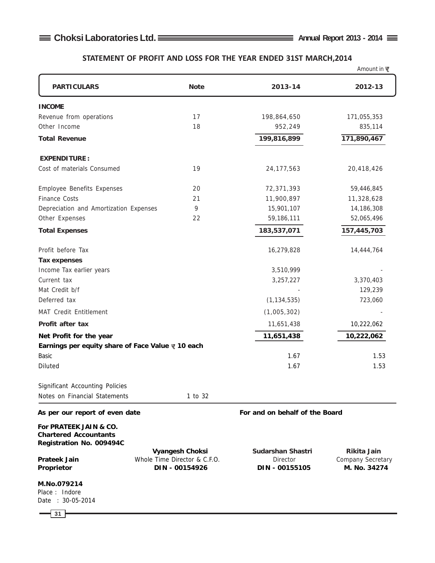### **STATEMENT OF PROFIT AND LOSS FOR THE YEAR ENDED 31ST MARCH,2014**

|                                                                                    |                                                                   |                                                        | Amount in ए                                      |
|------------------------------------------------------------------------------------|-------------------------------------------------------------------|--------------------------------------------------------|--------------------------------------------------|
| <b>PARTICULARS</b>                                                                 | <b>Note</b>                                                       | 2013-14                                                | 2012-13                                          |
| <b>INCOME</b>                                                                      |                                                                   |                                                        |                                                  |
| Revenue from operations                                                            | 17                                                                | 198,864,650                                            | 171,055,353                                      |
| Other Income                                                                       | 18                                                                | 952,249                                                | 835,114                                          |
| <b>Total Revenue</b>                                                               |                                                                   | 199,816,899                                            | 171,890,467                                      |
| <b>EXPENDITURE:</b>                                                                |                                                                   |                                                        |                                                  |
| Cost of materials Consumed                                                         | 19                                                                | 24, 177, 563                                           | 20,418,426                                       |
| <b>Employee Benefits Expenses</b>                                                  | 20                                                                | 72,371,393                                             | 59,446,845                                       |
| Finance Costs                                                                      | 21                                                                | 11,900,897                                             | 11,328,628                                       |
| Depreciation and Amortization Expenses                                             | 9                                                                 | 15,901,107                                             | 14,186,308                                       |
| Other Expenses                                                                     | 22                                                                | 59,186,111                                             | 52,065,496                                       |
| <b>Total Expenses</b>                                                              |                                                                   | 183,537,071                                            | 157,445,703                                      |
| Profit before Tax                                                                  |                                                                   | 16,279,828                                             | 14,444,764                                       |
| Tax expenses<br>Income Tax earlier years                                           |                                                                   | 3,510,999                                              |                                                  |
| Current tax                                                                        |                                                                   | 3,257,227                                              | 3,370,403                                        |
| Mat Credit b/f                                                                     |                                                                   |                                                        | 129,239                                          |
| Deferred tax                                                                       |                                                                   | (1, 134, 535)                                          | 723,060                                          |
| MAT Credit Entitlement                                                             |                                                                   | (1,005,302)                                            |                                                  |
| Profit after tax                                                                   |                                                                   | 11,651,438                                             | 10,222,062                                       |
| Net Profit for the year                                                            |                                                                   | 11,651,438                                             | 10,222,062                                       |
| Earnings per equity share of Face Value ₹ 10 each                                  |                                                                   |                                                        |                                                  |
| Basic                                                                              |                                                                   | 1.67                                                   | 1.53                                             |
| Diluted                                                                            |                                                                   | 1.67                                                   | 1.53                                             |
| Significant Accounting Policies<br>Notes on Financial Statements                   | 1 to 32                                                           |                                                        |                                                  |
| As per our report of even date                                                     |                                                                   | For and on behalf of the Board                         |                                                  |
| For PRATEEK JAIN & CO.<br><b>Chartered Accountants</b><br>Registration No. 009494C |                                                                   |                                                        |                                                  |
| Prateek Jain<br>Proprietor                                                         | Vyangesh Choksi<br>Whole Time Director & C.F.O.<br>DIN - 00154926 | Sudarshan Shastri<br><b>Director</b><br>DIN - 00155105 | Rikita Jain<br>Company Secretary<br>M. No. 34274 |
| M.No.079214<br>Place: Indore<br>Date: 30-05-2014                                   |                                                                   |                                                        |                                                  |

 $-31$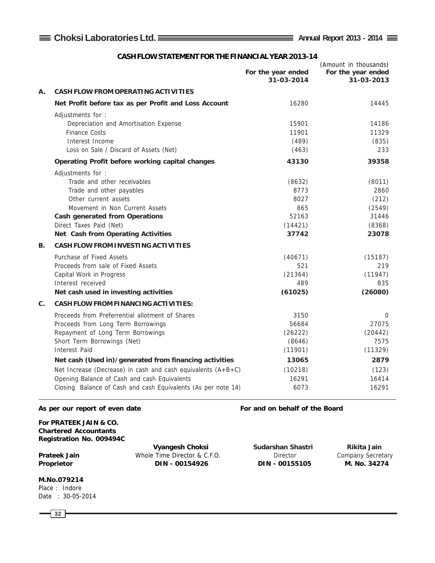|    |                                                               | For the year ended<br>31-03-2014 | (Amount in thousands)<br>For the year ended<br>31-03-2013 |
|----|---------------------------------------------------------------|----------------------------------|-----------------------------------------------------------|
| А. | CASH FLOW FROM OPERATING ACTIVITIES                           |                                  |                                                           |
|    | Net Profit before tax as per Profit and Loss Account          | 16280                            | 14445                                                     |
|    | Adjustments for :                                             |                                  |                                                           |
|    | Depreciation and Amortisation Expense                         | 15901                            | 14186                                                     |
|    | <b>Finance Costs</b>                                          | 11901                            | 11329                                                     |
|    | Interest Income                                               | (489)                            | (835)                                                     |
|    | Loss on Sale / Discard of Assets (Net)                        | (463)                            | 233                                                       |
|    | Operating Profit before working capital changes               | 43130                            | 39358                                                     |
|    | Adjustments for:                                              |                                  |                                                           |
|    | Trade and other receivables                                   | (8632)                           | (8011)                                                    |
|    | Trade and other payables                                      | 8773                             | 2860                                                      |
|    | Other current assets                                          | 8027                             | (212)                                                     |
|    | Movement in Non Current Assets                                | 865                              | (2549)                                                    |
|    | Cash generated from Operations                                | 52163                            | 31446                                                     |
|    | Direct Taxes Paid (Net)                                       | (14421)                          | (8368)                                                    |
|    | Net Cash from Operating Activities                            | 37742                            | 23078                                                     |
| В. | CASH FLOW FROM INVESTING ACTIVITIES                           |                                  |                                                           |
|    | Purchase of Fixed Assets                                      | (40671)                          | (15187)                                                   |
|    | Proceeds from sale of Fixed Assets                            | 521                              | 219                                                       |
|    | Capital Work in Progress                                      | (21364)                          | (11947)                                                   |
|    | Interest received                                             | 489                              | 835                                                       |
|    | Net cash used in investing activities                         | (61025)                          | (26080)                                                   |
| C. | CASH FLOW FROM FINANCING ACTIVITIES:                          |                                  |                                                           |
|    | Proceeds from Preferrential allotment of Shares               | 3150                             | $\mathbf 0$                                               |
|    | Proceeds from Long Term Borrowings                            | 56684                            | 27075                                                     |
|    | Repayment of Long Term Borrowings                             | (26222)                          | (20442)                                                   |
|    | Short Term Borrowings (Net)                                   | (8646)                           | 7575                                                      |
|    | Interest Paid                                                 | (11901)                          | (11329)                                                   |
|    | Net cash (Used in)/generated from financing activities        | 13065                            | 2879                                                      |
|    | Net Increase (Decrease) in cash and cash equivalents (A+B+C)  | (10218)                          | (123)                                                     |
|    | Opening Balance of Cash and cash Equivalents                  | 16291                            | 16414                                                     |
|    | Closing Balance of Cash and cash Equivalents (As per note 14) | 6073                             | 16291                                                     |
|    |                                                               |                                  |                                                           |

### **CASH FLOW STATEMENT FOR THE FINANCIAL YEAR 2013-14**

As per our report of even date **For and on behalf of the Board** 

**For PRATEEK JAIN & CO. Chartered Accountants Registration No. 009494C**

**Vyangesh Choksi Sudarshan Shastri Rikita Jain**<br>Filme Director & C.F.O. **Superan Acceptance Company Secretary Prateek Jain** Whole Time Director & C.F.O. Director Company Secretary **Proprietor DIN - 00154926 DIN - 00155105 M. No. 34274**

## **M.No.079214**

Place : Indore Date : 30-05-2014

$$
\dashv
$$
 32  $\vdash$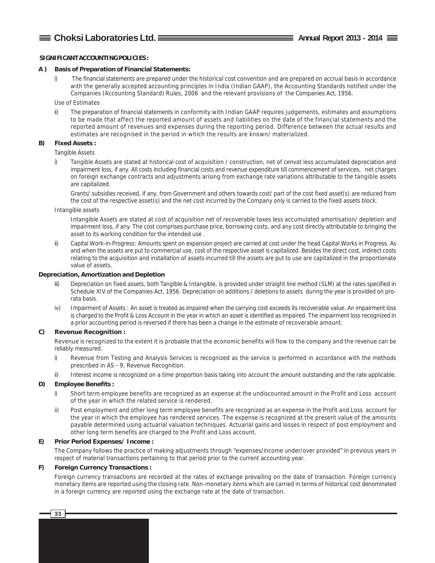#### **SIGNIFICANTACCOUNTINGPOLICIES:**

#### **A ) Basis of Preparation of Financial Statements:**

i) The financial statements are prepared under the historical cost convention and are prepared on accrual basis in accordance with the generally accepted accounting principles in India (Indian GAAP), the Accounting Standards notified under the Companies (Accounting Standard) Rules, 2006 and the relevant provisions of the Companies Act, 1956.

Use of Estimates

ii) The preparation of financial statements in conformity with Indian GAAP requires judgements, estimates and assumptions to be made that affect the reported amount of assets and liabilities on the date of the financial statements and the reported amount of revenues and expenses during the reporting period. Difference between the actual results and estimates are recognised in the period in which the results are known/ materialized.

#### **B) Fixed Assets :**

Tangible Assets

i) Tangible Assets are stated at historical cost of acquisition / construction, net of cenvat less accumulated depreciation and impairment loss, if any. All costs including financial costs and revenue expenditure till commencement of services, net charges on foreign exchange contracts and adjustments arising from exchange rate variations attributable to the tangible assets are capitalized.

Grants/ subsidies received, if any, from Government and others towards cost/ part of the cost fixed asset(s) are reduced from the cost of the respective asset(s) and the net cost incurred by the Company only is carried to the fixed assets block.

Intangible assets

Intangible Assets are stated at cost of acquisition net of recoverable taxes less accumulated amortisation/ depletion and impairment loss, if any. The cost comprises purchase price, borrowing costs, and any cost directly attributable to bringing the asset to its working condition for the intended use .

ii) Capital Work-in-Progress: Amounts spent on expansion project are carried at cost under the head Capital Works in Progress. As and when the assets are put to commercial use, cost of the respective asset is capitalized. Besides the direct cost, indirect costs relating to the acquisition and installation of assets incurred till the assets are put to use are capitalized in the proportionate value of assets.

#### **Depreciation, Amortization and Depletion**

- iii) Depreciation on fixed assets, both Tangible & Intangible, is provided under straight line method (SLM) at the rates specified in Schedule XIV of the Companies Act, 1956. Depreciation on additions / deletions to assets during the year is provided on prorata basis.
- iv) Impairment of Assets : An asset is treated as impaired when the carrying cost exceeds its recoverable value. An impairment loss is charged to the Profit & Loss Account in the year in which an asset is identified as impaired. The impairment loss recognized in a prior accounting period is reversed if there has been a change in the estimate of recoverable amount.

#### **C) Revenue Recognition :**

Revenue is recognized to the extent it is probable that the economic benefits will flow to the company and the revenue can be reliably measured.

i) Revenue from Testing and Analysis Services is recognized as the service is performed in accordance with the methods prescribed in AS - 9, Revenue Recognition.

ii) Interest income is recognized on a time proportion basis taking into account the amount outstanding and the rate applicable.

#### **D) Employee Benefits :**

- i) Short term employee benefits are recognized as an expense at the undiscounted amount in the Profit and Loss account of the year in which the related service is rendered.
- ii) Post employment and other long term employee benefits are recognized as an expense in the Profit and Loss account for the year in which the employee has rendered services. The expense is recognized at the present value of the amounts payable determined using actuarial valuation techniques. Actuarial gains and losses in respect of post employment and other long term benefits are charged to the Profit and Loss account.

#### **E) Prior Period Expenses/ Income :**

The Company follows the practice of making adjustments through "expenses/income under/over provided" in previous years in respect of material transactions pertaining to that period prior to the current accounting year.

#### **F) Foreign Currency Transactions :**

Foreign currency transactions are recorded at the rates of exchange prevailing on the date of transaction. Foreign currency monetary items are reported using the closing rate. Non-monetary items which are carried in terms of historical cost denominated in a foreign currency are reported using the exchange rate at the date of transaction.

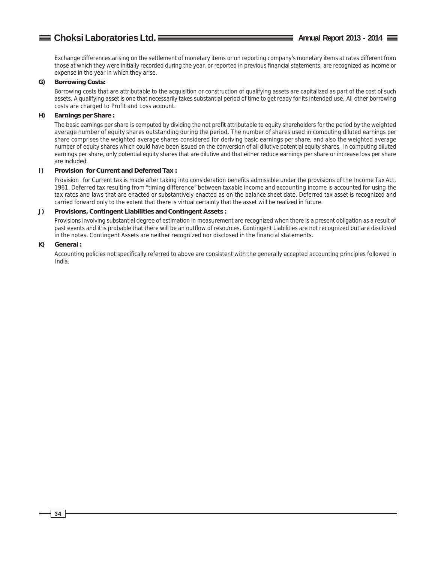Exchange differences arising on the settlement of monetary items or on reporting company's monetary items at rates different from those at which they were initially recorded during the year, or reported in previous financial statements, are recognized as income or expense in the year in which they arise.

#### **G) Borrowing Costs:**

Borrowing costs that are attributable to the acquisition or construction of qualifying assets are capitalized as part of the cost of such assets. A qualifying asset is one that necessarily takes substantial period of time to get ready for its intended use. All other borrowing costs are charged to Profit and Loss account.

#### **H) Earnings per Share :**

The basic earnings per share is computed by dividing the net profit attributable to equity shareholders for the period by the weighted average number of equity shares outstanding during the period. The number of shares used in computing diluted earnings per share comprises the weighted average shares considered for deriving basic earnings per share, and also the weighted average number of equity shares which could have been issued on the conversion of all dilutive potential equity shares. In computing diluted earnings per share, only potential equity shares that are dilutive and that either reduce earnings per share or increase loss per share are included.

#### **I) Provision for Current and Deferred Tax :**

Provision for Current tax is made after taking into consideration benefits admissible under the provisions of the Income Tax Act, 1961. Deferred tax resulting from "timing difference" between taxable income and accounting income is accounted for using the tax rates and laws that are enacted or substantively enacted as on the balance sheet date. Deferred tax asset is recognized and carried forward only to the extent that there is virtual certainty that the asset will be realized in future.

#### **J) Provisions, Contingent Liabilities and Contingent Assets :**

Provisions involving substantial degree of estimation in measurement are recognized when there is a present obligation as a result of past events and it is probable that there will be an outflow of resources. Contingent Liabilities are not recognized but are disclosed in the notes. Contingent Assets are neither recognized nor disclosed in the financial statements.

#### **K) General :**

Accounting policies not specifically referred to above are consistent with the generally accepted accounting principles followed in India.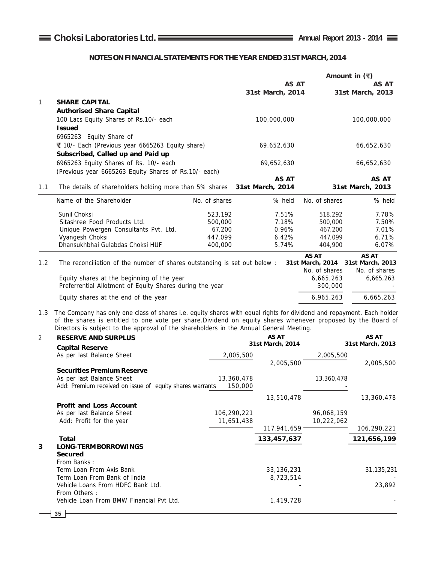### **NOTES ON FINANCIAL STATEMENTS FOR THE YEAR ENDED 31ST MARCH, 2014**

|     |                                                                                                                       |               |                  |                      | Amount in (₹)    |
|-----|-----------------------------------------------------------------------------------------------------------------------|---------------|------------------|----------------------|------------------|
|     |                                                                                                                       |               | AS AT            |                      | AS AT            |
|     |                                                                                                                       |               | 31st March, 2014 |                      | 31st March, 2013 |
| 1   | <b>SHARE CAPITAL</b>                                                                                                  |               |                  |                      |                  |
|     | <b>Authorised Share Capital</b>                                                                                       |               |                  |                      |                  |
|     | 100 Lacs Equity Shares of Rs.10/- each                                                                                |               | 100,000,000      |                      | 100,000,000      |
|     | <b>Issued</b>                                                                                                         |               |                  |                      |                  |
|     | 6965263 Equity Share of                                                                                               |               |                  |                      |                  |
|     | ₹ 10/- Each (Previous year 6665263 Equity share)                                                                      |               | 69,652,630       |                      | 66,652,630       |
|     | Subscribed, Called up and Paid up                                                                                     |               |                  |                      |                  |
|     | 6965263 Equity Shares of Rs. 10/- each                                                                                |               | 69,652,630       |                      | 66,652,630       |
|     | (Previous year 6665263 Equity Shares of Rs.10/- each)                                                                 |               |                  |                      |                  |
|     |                                                                                                                       |               | AS AT            |                      | AS AT            |
| 1.1 | The details of shareholders holding more than 5% shares 31st March, 2014                                              |               |                  |                      | 31st March, 2013 |
|     | Name of the Shareholder                                                                                               | No. of shares | % held           | No. of shares        | % held           |
|     | Sunil Choksi                                                                                                          | 523,192       | 7.51%            | 518,292              | 7.78%            |
|     | Sitashree Food Products Ltd.                                                                                          | 500,000       | 7.18%            | 500,000              | 7.50%            |
|     | Unique Powergen Consultants Pvt. Ltd.                                                                                 | 67,200        | 0.96%            | 467,200              | 7.01%            |
|     | Vyangesh Choksi                                                                                                       | 447,099       | 6.42%            | 447,099              | 6.71%            |
|     | Dhansukhbhai Gulabdas Choksi HUF                                                                                      | 400,000       | 5.74%            | 404,900              | 6.07%            |
|     |                                                                                                                       |               |                  | <b>AS AT</b>         | <b>AS AT</b>     |
| 1.2 | The reconciliation of the number of shares outstanding is set out below :                                             |               |                  | 31st March, 2014     | 31st March, 2013 |
|     |                                                                                                                       |               |                  | No. of shares        | No. of shares    |
|     | Equity shares at the beginning of the year<br>Preferrential Allotment of Equity Shares during the year                |               |                  | 6,665,263<br>300,000 | 6,665,263        |
|     |                                                                                                                       |               |                  |                      |                  |
|     | Equity shares at the end of the year                                                                                  |               |                  | 6,965,263            | 6,665,263        |
| 1.3 | The Company has only one class of shares i.e. equity shares with equal rights for dividend and repayment. Each holder |               |                  |                      |                  |
|     | of the shares is entitled to one vote per share. Dividend on equity shares whenever proposed by the Board of          |               |                  |                      |                  |
|     | Directors is subject to the approval of the shareholders in the Annual General Meeting.                               |               | AS AT            |                      | AS AT            |
| 2   | <b>RESERVE AND SURPLUS</b>                                                                                            |               | 31st March, 2014 |                      | 31st March, 2013 |
|     | <b>Capital Reserve</b>                                                                                                |               |                  |                      |                  |
|     | As per last Balance Sheet                                                                                             | 2,005,500     |                  | 2,005,500            |                  |
|     | <b>Securities Premium Reserve</b>                                                                                     |               | 2,005,500        |                      | 2,005,500        |
|     | As per last Balance Sheet                                                                                             | 13,360,478    |                  | 13,360,478           |                  |
|     | Add: Premium received on issue of equity shares warrants                                                              | 150,000       |                  |                      |                  |
|     |                                                                                                                       |               |                  |                      |                  |
|     |                                                                                                                       |               | 13,510,478       |                      | 13,360,478       |
|     | Profit and Loss Account<br>As per last Balance Sheet                                                                  | 106,290,221   |                  | 96,068,159           |                  |
|     | Add: Profit for the year                                                                                              | 11,651,438    |                  | 10,222,062           |                  |
|     |                                                                                                                       |               | 117,941,659      |                      | 106,290,221      |
|     |                                                                                                                       |               |                  |                      |                  |
| 3   | Total<br><b>LONG-TERM BORROWINGS</b>                                                                                  |               | 133,457,637      |                      | 121,656,199      |
|     |                                                                                                                       |               |                  |                      |                  |

Vehicle Loans From HDFC Bank Ltd. 23,892 Part 23,892 Part 23,892 Part 23,892.

Vehicle Loan From BMW Financial Pvt Ltd. 1,419,728

**Secured** From Banks : Term Loan From Axis Bank 33,136,231 31,135,231 31,135,231 31,135,231 31,135,231 31,135,231 31,135,231 31,135,231 Term Loan From Bank of India and Security 19,723,514 19,723,514 19,8,723,514 19,892

**35**

From Others :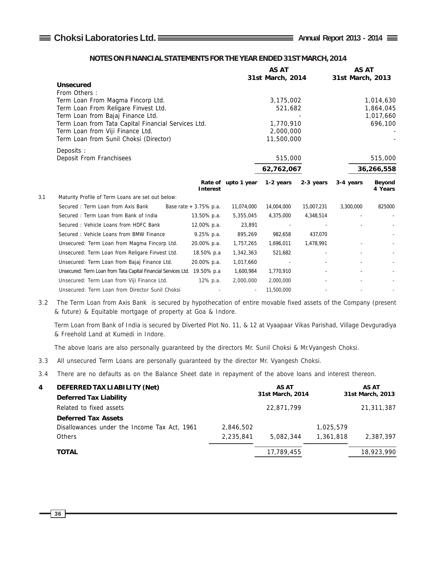#### **NOTES ON FINANCIAL STATEMENTS FOR THE YEAR ENDED 31ST MARCH, 2014**

|     |                                                                           |                          |                          | AS AT<br>31st March, 2014 |            | AS AT<br>31st March, 2013 |                   |
|-----|---------------------------------------------------------------------------|--------------------------|--------------------------|---------------------------|------------|---------------------------|-------------------|
|     | <b>Unsecured</b>                                                          |                          |                          |                           |            |                           |                   |
|     | From Others:                                                              |                          |                          |                           |            |                           |                   |
|     | Term Loan From Magma Fincorp Ltd.                                         |                          |                          | 3,175,002                 |            |                           | 1,014,630         |
|     | Term Loan From Religare Finvest Ltd.                                      |                          |                          | 521,682                   |            |                           | 1,864,045         |
|     | Term Loan from Bajaj Finance Ltd.                                         |                          |                          |                           |            |                           | 1,017,660         |
|     | Term Loan from Tata Capital Financial Services Ltd.                       |                          |                          | 1.770.910                 |            |                           | 696,100           |
|     | Term Loan from Viji Finance Ltd.                                          |                          |                          | 2,000,000                 |            |                           |                   |
|     | Term Loan from Sunil Choksi (Director)                                    |                          |                          | 11,500,000                |            |                           |                   |
|     | Deposits :                                                                |                          |                          | 515,000                   |            |                           | 515,000           |
|     | Deposit From Franchisees                                                  |                          |                          |                           |            |                           |                   |
|     |                                                                           |                          |                          | 62,762,067                |            |                           | 36,266,558        |
|     |                                                                           | Interest                 | Rate of upto 1 year      | 1-2 years                 | 2-3 years  | 3-4 years                 | Beyond<br>4 Years |
| 3.1 | Maturity Profile of Term Loans are set out below:                         |                          |                          |                           |            |                           |                   |
|     | Secured: Term Loan from Axis Bank                                         | Base rate $+3.75\%$ p.a. | 11,074,000               | 14,004,000                | 15,007,231 | 3,300,000                 | 825000            |
|     | Secured: Term Loan from Bank of India                                     | 13.50% p.a.              | 5,355,045                | 4,375,000                 | 4,348,514  |                           |                   |
|     | Secured: Vehicle Loans from HDFC Bank                                     | 12.00% p.a.              | 23,891                   |                           |            |                           |                   |
|     | Secured: Vehicle Loans from BMW Finance                                   | $9.25%$ p.a.             | 895,269                  | 982,658                   | 437,070    |                           |                   |
|     | Unsecured: Term Loan from Magma Fincorp Ltd.                              | 20.00% p.a.              | 1,757,265                | 1,696,011                 | 1,478,991  |                           |                   |
|     | Unsecured: Term Loan from Religare Finvest Ltd.                           | 18.50% p.a               | 1,342,363                | 521,682                   |            |                           |                   |
|     | Unsecured: Term Loan from Bajaj Finance Ltd.                              | 20.00% p.a.              | 1,017,660                |                           |            |                           |                   |
|     | Unsecured: Term Loan from Tata Capital Financial Services Ltd. 19.50% p.a |                          | 1,600,984                | 1,770,910                 |            |                           |                   |
|     | Unsecured: Term Loan from Viji Finance Ltd.                               | 12% p.a.                 | 2,000,000                | 2,000,000                 |            |                           |                   |
|     | Unsecured: Term Loan from Director Sunil Choksi                           |                          | $\overline{\phantom{a}}$ | 11,500,000                |            |                           |                   |

3.2 The Term Loan from Axis Bank is secured by hypothecation of entire movable fixed assets of the Company (present & future) & Equitable mortgage of property at Goa & Indore.

Term Loan from Bank of India is secured by Diverted Plot No. 11, & 12 at Vyaapaar Vikas Parishad, Village Devguradiya & Freehold Land at Kumedi in Indore.

The above loans are also personally guaranteed by the directors Mr. Sunil Choksi & Mr.Vyangesh Choksi.

- 3.3 All unsecured Term Loans are personally guaranteed by the director Mr. Vyangesh Choksi.
- 3.4 There are no defaults as on the Balance Sheet date in repayment of the above loans and interest thereon.

| 4 | DEFERRED TAX LIABILITY (Net)                 |           | AS AT            |           | AS AT            |
|---|----------------------------------------------|-----------|------------------|-----------|------------------|
|   | <b>Deferred Tax Liability</b>                |           | 31st March, 2014 |           | 31st March, 2013 |
|   | Related to fixed assets                      |           | 22.871.799       |           | 21,311,387       |
|   | Deferred Tax Assets                          |           |                  |           |                  |
|   | Disallowances under the Income Tax Act, 1961 | 2,846,502 |                  | 1.025.579 |                  |
|   | <b>Others</b>                                | 2,235,841 | 5.082.344        | 1,361,818 | 2,387,397        |
|   | <b>TOTAL</b>                                 |           | 17,789,455       |           | 18,923,990       |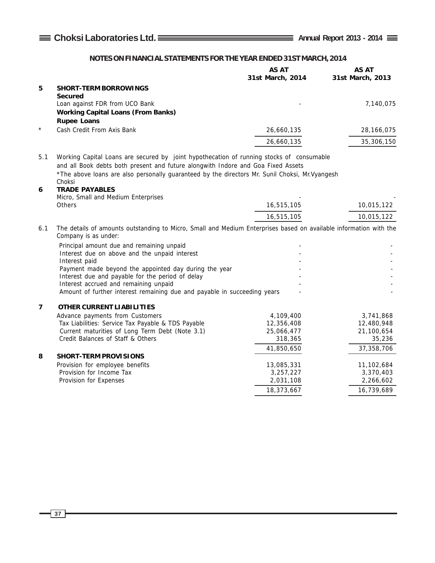|            |                                                                                                                                                                                                                                                                                                                                                                                                                                                                                            | AS AT<br>31st March, 2014 | AS AT<br>31st March, 2013 |
|------------|--------------------------------------------------------------------------------------------------------------------------------------------------------------------------------------------------------------------------------------------------------------------------------------------------------------------------------------------------------------------------------------------------------------------------------------------------------------------------------------------|---------------------------|---------------------------|
| 5          | SHORT-TERM BORROWINGS                                                                                                                                                                                                                                                                                                                                                                                                                                                                      |                           |                           |
|            | Secured                                                                                                                                                                                                                                                                                                                                                                                                                                                                                    |                           |                           |
|            | Loan against FDR from UCO Bank                                                                                                                                                                                                                                                                                                                                                                                                                                                             |                           | 7,140,075                 |
|            | <b>Working Capital Loans (From Banks)</b>                                                                                                                                                                                                                                                                                                                                                                                                                                                  |                           |                           |
|            | Rupee Loans                                                                                                                                                                                                                                                                                                                                                                                                                                                                                |                           |                           |
| $^{\star}$ | Cash Credit From Axis Bank                                                                                                                                                                                                                                                                                                                                                                                                                                                                 | 26,660,135                | 28,166,075                |
|            |                                                                                                                                                                                                                                                                                                                                                                                                                                                                                            |                           |                           |
|            |                                                                                                                                                                                                                                                                                                                                                                                                                                                                                            | 26,660,135                | 35,306,150                |
| 5.1        | Working Capital Loans are secured by joint hypothecation of running stocks of consumable<br>and all Book debts both present and future alongwith Indore and Goa Fixed Assets<br>*The above loans are also personally guaranteed by the directors Mr. Sunil Choksi, Mr. Vyangesh<br>Choksi                                                                                                                                                                                                  |                           |                           |
| 6          | <b>TRADE PAYABLES</b>                                                                                                                                                                                                                                                                                                                                                                                                                                                                      |                           |                           |
|            | Micro, Small and Medium Enterprises                                                                                                                                                                                                                                                                                                                                                                                                                                                        |                           |                           |
|            | Others                                                                                                                                                                                                                                                                                                                                                                                                                                                                                     | 16,515,105                | 10,015,122                |
|            |                                                                                                                                                                                                                                                                                                                                                                                                                                                                                            | 16,515,105                | 10,015,122                |
| 6.1        | The details of amounts outstanding to Micro, Small and Medium Enterprises based on available information with the<br>Company is as under:<br>Principal amount due and remaining unpaid<br>Interest due on above and the unpaid interest<br>Interest paid<br>Payment made beyond the appointed day during the year<br>Interest due and payable for the period of delay<br>Interest accrued and remaining unpaid<br>Amount of further interest remaining due and payable in succeeding years |                           |                           |
| 7          | OTHER CURRENT LIABILITIES                                                                                                                                                                                                                                                                                                                                                                                                                                                                  |                           |                           |
|            | Advance payments from Customers                                                                                                                                                                                                                                                                                                                                                                                                                                                            | 4,109,400                 | 3,741,868                 |
|            | Tax Liabilities: Service Tax Payable & TDS Payable                                                                                                                                                                                                                                                                                                                                                                                                                                         | 12,356,408                | 12,480,948                |
|            | Current maturities of Long Term Debt (Note 3.1)                                                                                                                                                                                                                                                                                                                                                                                                                                            | 25,066,477                | 21,100,654                |
|            | Credit Balances of Staff & Others                                                                                                                                                                                                                                                                                                                                                                                                                                                          | 318,365                   | 35,236                    |
|            |                                                                                                                                                                                                                                                                                                                                                                                                                                                                                            | 41,850,650                | 37,358,706                |
| 8          | SHORT-TERM PROVISIONS                                                                                                                                                                                                                                                                                                                                                                                                                                                                      |                           |                           |
|            | Provision for employee benefits                                                                                                                                                                                                                                                                                                                                                                                                                                                            | 13,085,331                | 11,102,684                |
|            | Provision for Income Tax                                                                                                                                                                                                                                                                                                                                                                                                                                                                   | 3,257,227                 | 3,370,403                 |
|            | Provision for Expenses                                                                                                                                                                                                                                                                                                                                                                                                                                                                     | 2,031,108                 | 2,266,602                 |
|            |                                                                                                                                                                                                                                                                                                                                                                                                                                                                                            | 18,373,667                | 16,739,689                |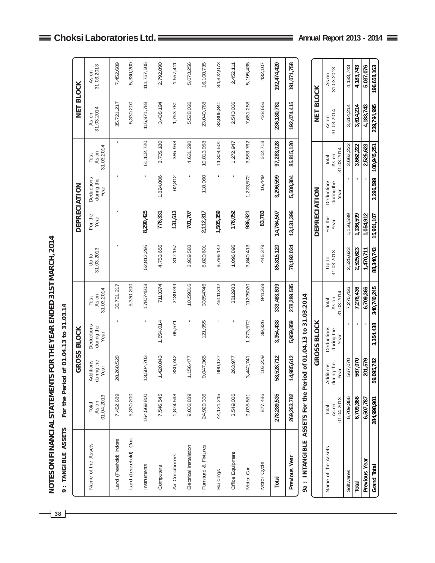**NOTIFICATE AND ARTIST AND ARTIST AND ARTIST AND A CONSEQUENCE AND A CONSEQUENCE AND ARRESTS AND A CONSEQUENCE AND A CONSEQUENCE AND A STRAIN AND A STRAIN AND A STRAIN AND A STRAIN AND A STRAIN AND A STRAIN AND A STRAIN**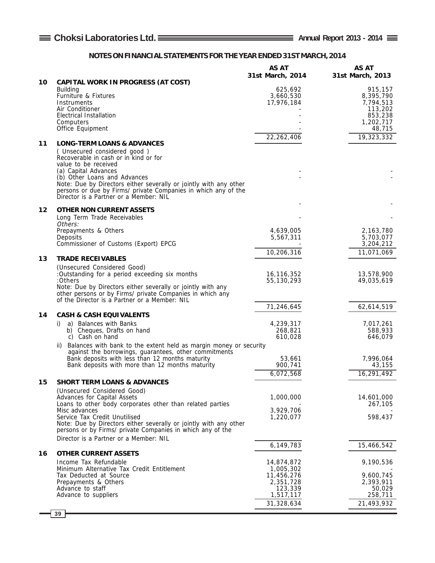|    |                                                                                                                            | AS AT                   | AS AT                  |
|----|----------------------------------------------------------------------------------------------------------------------------|-------------------------|------------------------|
| 10 | CAPITAL WORK IN PROGRESS (AT COST)                                                                                         | 31st March, 2014        | 31st March, 2013       |
|    | <b>Building</b>                                                                                                            | 625,692                 | 915,157                |
|    | Furniture & Fixtures<br><b>Instruments</b>                                                                                 | 3,660,530<br>17,976,184 | 8,395,790<br>7,794,513 |
|    | Air Conditioner                                                                                                            |                         | 113,202                |
|    | <b>Electrical Installation</b>                                                                                             |                         | 853,238                |
|    | Computers<br>Office Equipment                                                                                              |                         | 1,202,717<br>48,715    |
|    |                                                                                                                            | 22,262,406              | 19,323,332             |
| 11 | <b>LONG-TERM LOANS &amp; ADVANCES</b>                                                                                      |                         |                        |
|    | (Unsecured considered good)<br>Recoverable in cash or in kind or for                                                       |                         |                        |
|    | value to be received                                                                                                       |                         |                        |
|    | (a) Capital Advances                                                                                                       |                         |                        |
|    | (b) Other Loans and Advances<br>Note: Due by Directors either severally or jointly with any other                          |                         |                        |
|    | persons or due by Firms/ private Companies in which any of the                                                             |                         |                        |
|    | Director is a Partner or a Member: NIL                                                                                     |                         |                        |
| 12 | <b>OTHER NON CURRENT ASSETS</b>                                                                                            |                         |                        |
|    | Long Term Trade Receivables                                                                                                |                         |                        |
|    | Others:<br>Prepayments & Others                                                                                            | 4,639,005               | 2,163,780              |
|    | Deposits                                                                                                                   | 5,567,311               | 5,703,077              |
|    | Commissioner of Customs (Export) EPCG                                                                                      |                         | 3,204,212              |
| 13 | <b>TRADE RECEIVABLES</b>                                                                                                   | 10,206,316              | 11,071,069             |
|    | (Unsecured Considered Good)                                                                                                |                         |                        |
|    | :Outstanding for a period exceeding six months                                                                             | 16,116,352              | 13,578,900             |
|    | :Others<br>Note: Due by Directors either severally or jointly with any                                                     | 55,130,293              | 49,035,619             |
|    | other persons or by Firms/ private Companies in which any                                                                  |                         |                        |
|    | of the Director is a Partner or a Member: NIL                                                                              | 71,246,645              | 62,614,519             |
| 14 | <b>CASH &amp; CASH EQUIVALENTS</b>                                                                                         |                         |                        |
|    | a) Balances with Banks<br>i)                                                                                               | 4,239,317               | 7,017,261              |
|    | b) Cheques, Drafts on hand                                                                                                 | 268,821                 | 588,933                |
|    | c) Cash on hand                                                                                                            | 610,028                 | 646,079                |
|    | Balances with bank to the extent held as margin money or security<br>against the borrowings, guarantees, other commitments |                         |                        |
|    | Bank deposits with less than 12 months maturity                                                                            | 53,661                  | 7,996,064              |
|    | Bank deposits with more than 12 months maturity                                                                            | 900,741                 | 43,155                 |
|    |                                                                                                                            | 6,072,568               | 16,291,492             |
| 15 | <b>SHORT TERM LOANS &amp; ADVANCES</b>                                                                                     |                         |                        |
|    | (Unsecured Considered Good)<br>Advances for Capital Assets                                                                 | 1,000,000               | 14,601,000             |
|    | Loans to other body corporates other than related parties                                                                  |                         | 267,105                |
|    | Misc advances<br>Service Tax Credit Unutilised                                                                             | 3,929,706<br>1,220,077  | 598,437                |
|    | Note: Due by Directors either severally or jointly with any other                                                          |                         |                        |
|    | persons or by Firms/ private Companies in which any of the                                                                 |                         |                        |
|    | Director is a Partner or a Member: NIL                                                                                     | 6,149,783               | 15,466,542             |
| 16 | <b>OTHER CURRENT ASSETS</b>                                                                                                |                         |                        |
|    | Income Tax Refundable                                                                                                      | 14,874,872              | 9,190,536              |
|    | Minimum Alternative Tax Credit Entitlement                                                                                 | 1,005,302               |                        |
|    | Tax Deducted at Source<br>Prepayments & Others                                                                             | 11,456,276<br>2,351,728 | 9,600,745<br>2,393,911 |
|    | Advance to staff                                                                                                           | 123,339                 | 50,029                 |
|    | Advance to suppliers                                                                                                       | 1,517,117               | 258,711                |
|    |                                                                                                                            | 31,328,634              | 21,493,932             |
|    | 39                                                                                                                         |                         |                        |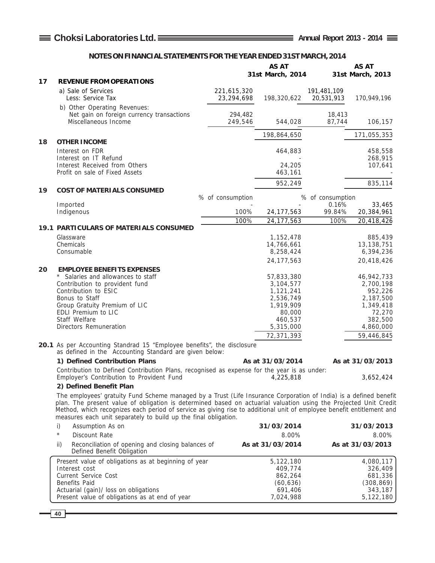| a) Sale of Services<br>191,481,109<br>221,615,320<br>23,294,698<br>198,320,622<br>20,531,913<br>170,949,196<br>Less: Service Tax<br>b) Other Operating Revenues:<br>Net gain on foreign currency transactions<br>18,413<br>294,482<br>Miscellaneous Income<br>87,744<br>249,546<br>544,028<br>106,157<br>171,055,353<br>198,864,650<br><b>OTHER INCOME</b><br>Interest on FDR<br>464,883<br>458,558<br>Interest on IT Refund<br>268,915<br>24,205<br>Interest Received from Others<br>107,641<br>Profit on sale of Fixed Assets<br>463,161<br>952,249<br>835,114<br>19<br><b>COST OF MATERIALS CONSUMED</b><br>% of consumption<br>% of consumption<br>Imported<br>0.16%<br>33,465<br>100%<br>99.84%<br>Indigenous<br>24, 177, 563<br>20,384,961<br>100%<br>24, 177, 563<br>100%<br>20,418,426<br>19.1 PARTICULARS OF MATERIALS CONSUMED<br>Glassware<br>1,152,478<br>885,439<br>13, 138, 751<br>Chemicals<br>14,766,661<br>Consumable<br>8,258,424<br>6,394,236<br>24, 177, 563<br>20,418,426<br>20<br><b>EMPLOYEE BENEFITS EXPENSES</b><br>Salaries and allowances to staff<br>57,833,380<br>46,942,733<br>Contribution to provident fund<br>3,104,577<br>2,700,198<br>Contribution to ESIC<br>1,121,241<br>952,226<br>Bonus to Staff<br>2,536,749<br>2,187,500<br>Group Gratuity Premium of LIC<br>1,919,909<br>1,349,418<br><b>EDLI Premium to LIC</b><br>80,000<br>72,270<br>382,500<br>Staff Welfare<br>460,537<br>Directors Remuneration<br>5,315,000<br>4,860,000<br>72,371,393<br>59,446,845<br>20.1 As per Accounting Standrad 15 "Employee benefits", the disclosure<br>as defined in the Accounting Standard are given below:<br>1) Defined Contribution Plans<br>As at 31/03/2014<br>As at 31/03/2013<br>Contribution to Defined Contribution Plans, recognised as expense for the year is as under:<br>Employer's Contribution to Provident Fund 1,225,818<br>3,652,424<br>2) Defined Benefit Plan<br>The employees' gratuity Fund Scheme managed by a Trust (Life Insurance Corporation of India) is a defined benefit<br>plan. The present value of obligation is determined based on actuarial valuation using the Projected Unit Credit<br>Method, which recognizes each period of service as giving rise to additional unit of employee benefit entitlement and<br>measures each unit separately to build up the final obligation.<br>i)<br>Assumption As on<br>31/03/2014<br>31/03/2013<br>$\star$<br>Discount Rate<br>8.00%<br>8.00%<br>Reconciliation of opening and closing balances of<br>As at 31/03/2014<br>As at 31/03/2013<br>ii)<br>Defined Benefit Obligation<br>Present value of obligations as at beginning of year<br>5,122,180<br>Interest cost<br>409,774<br>Current Service Cost<br>862,264<br>681,336<br><b>Benefits Paid</b><br>(60, 636)<br>(308, 869)<br>Actuarial (gain)/ loss on obligations<br>691,406<br>343,187<br>Present value of obligations as at end of year<br>7,024,988 |    |                                | ------------ | AS AT<br>31st March, 2014 | AS AT<br>31st March, 2013 |
|-----------------------------------------------------------------------------------------------------------------------------------------------------------------------------------------------------------------------------------------------------------------------------------------------------------------------------------------------------------------------------------------------------------------------------------------------------------------------------------------------------------------------------------------------------------------------------------------------------------------------------------------------------------------------------------------------------------------------------------------------------------------------------------------------------------------------------------------------------------------------------------------------------------------------------------------------------------------------------------------------------------------------------------------------------------------------------------------------------------------------------------------------------------------------------------------------------------------------------------------------------------------------------------------------------------------------------------------------------------------------------------------------------------------------------------------------------------------------------------------------------------------------------------------------------------------------------------------------------------------------------------------------------------------------------------------------------------------------------------------------------------------------------------------------------------------------------------------------------------------------------------------------------------------------------------------------------------------------------------------------------------------------------------------------------------------------------------------------------------------------------------------------------------------------------------------------------------------------------------------------------------------------------------------------------------------------------------------------------------------------------------------------------------------------------------------------------------------------------------------------------------------------------------------------------------------------------------------------------------------------------------------------------------------------------------------------------------------------------------------------------------------------------------------------------------------------------------------------------------------------------------------------------------------------------|----|--------------------------------|--------------|---------------------------|---------------------------|
|                                                                                                                                                                                                                                                                                                                                                                                                                                                                                                                                                                                                                                                                                                                                                                                                                                                                                                                                                                                                                                                                                                                                                                                                                                                                                                                                                                                                                                                                                                                                                                                                                                                                                                                                                                                                                                                                                                                                                                                                                                                                                                                                                                                                                                                                                                                                                                                                                                                                                                                                                                                                                                                                                                                                                                                                                                                                                                                             | 17 | <b>REVENUE FROM OPERATIONS</b> |              |                           |                           |
|                                                                                                                                                                                                                                                                                                                                                                                                                                                                                                                                                                                                                                                                                                                                                                                                                                                                                                                                                                                                                                                                                                                                                                                                                                                                                                                                                                                                                                                                                                                                                                                                                                                                                                                                                                                                                                                                                                                                                                                                                                                                                                                                                                                                                                                                                                                                                                                                                                                                                                                                                                                                                                                                                                                                                                                                                                                                                                                             |    |                                |              |                           |                           |
|                                                                                                                                                                                                                                                                                                                                                                                                                                                                                                                                                                                                                                                                                                                                                                                                                                                                                                                                                                                                                                                                                                                                                                                                                                                                                                                                                                                                                                                                                                                                                                                                                                                                                                                                                                                                                                                                                                                                                                                                                                                                                                                                                                                                                                                                                                                                                                                                                                                                                                                                                                                                                                                                                                                                                                                                                                                                                                                             |    |                                |              |                           |                           |
|                                                                                                                                                                                                                                                                                                                                                                                                                                                                                                                                                                                                                                                                                                                                                                                                                                                                                                                                                                                                                                                                                                                                                                                                                                                                                                                                                                                                                                                                                                                                                                                                                                                                                                                                                                                                                                                                                                                                                                                                                                                                                                                                                                                                                                                                                                                                                                                                                                                                                                                                                                                                                                                                                                                                                                                                                                                                                                                             |    |                                |              |                           |                           |
|                                                                                                                                                                                                                                                                                                                                                                                                                                                                                                                                                                                                                                                                                                                                                                                                                                                                                                                                                                                                                                                                                                                                                                                                                                                                                                                                                                                                                                                                                                                                                                                                                                                                                                                                                                                                                                                                                                                                                                                                                                                                                                                                                                                                                                                                                                                                                                                                                                                                                                                                                                                                                                                                                                                                                                                                                                                                                                                             | 18 |                                |              |                           |                           |
|                                                                                                                                                                                                                                                                                                                                                                                                                                                                                                                                                                                                                                                                                                                                                                                                                                                                                                                                                                                                                                                                                                                                                                                                                                                                                                                                                                                                                                                                                                                                                                                                                                                                                                                                                                                                                                                                                                                                                                                                                                                                                                                                                                                                                                                                                                                                                                                                                                                                                                                                                                                                                                                                                                                                                                                                                                                                                                                             |    |                                |              |                           |                           |
|                                                                                                                                                                                                                                                                                                                                                                                                                                                                                                                                                                                                                                                                                                                                                                                                                                                                                                                                                                                                                                                                                                                                                                                                                                                                                                                                                                                                                                                                                                                                                                                                                                                                                                                                                                                                                                                                                                                                                                                                                                                                                                                                                                                                                                                                                                                                                                                                                                                                                                                                                                                                                                                                                                                                                                                                                                                                                                                             |    |                                |              |                           |                           |
|                                                                                                                                                                                                                                                                                                                                                                                                                                                                                                                                                                                                                                                                                                                                                                                                                                                                                                                                                                                                                                                                                                                                                                                                                                                                                                                                                                                                                                                                                                                                                                                                                                                                                                                                                                                                                                                                                                                                                                                                                                                                                                                                                                                                                                                                                                                                                                                                                                                                                                                                                                                                                                                                                                                                                                                                                                                                                                                             |    |                                |              |                           |                           |
|                                                                                                                                                                                                                                                                                                                                                                                                                                                                                                                                                                                                                                                                                                                                                                                                                                                                                                                                                                                                                                                                                                                                                                                                                                                                                                                                                                                                                                                                                                                                                                                                                                                                                                                                                                                                                                                                                                                                                                                                                                                                                                                                                                                                                                                                                                                                                                                                                                                                                                                                                                                                                                                                                                                                                                                                                                                                                                                             |    |                                |              |                           |                           |
|                                                                                                                                                                                                                                                                                                                                                                                                                                                                                                                                                                                                                                                                                                                                                                                                                                                                                                                                                                                                                                                                                                                                                                                                                                                                                                                                                                                                                                                                                                                                                                                                                                                                                                                                                                                                                                                                                                                                                                                                                                                                                                                                                                                                                                                                                                                                                                                                                                                                                                                                                                                                                                                                                                                                                                                                                                                                                                                             |    |                                |              |                           |                           |
|                                                                                                                                                                                                                                                                                                                                                                                                                                                                                                                                                                                                                                                                                                                                                                                                                                                                                                                                                                                                                                                                                                                                                                                                                                                                                                                                                                                                                                                                                                                                                                                                                                                                                                                                                                                                                                                                                                                                                                                                                                                                                                                                                                                                                                                                                                                                                                                                                                                                                                                                                                                                                                                                                                                                                                                                                                                                                                                             |    |                                |              |                           |                           |
|                                                                                                                                                                                                                                                                                                                                                                                                                                                                                                                                                                                                                                                                                                                                                                                                                                                                                                                                                                                                                                                                                                                                                                                                                                                                                                                                                                                                                                                                                                                                                                                                                                                                                                                                                                                                                                                                                                                                                                                                                                                                                                                                                                                                                                                                                                                                                                                                                                                                                                                                                                                                                                                                                                                                                                                                                                                                                                                             |    |                                |              |                           |                           |
|                                                                                                                                                                                                                                                                                                                                                                                                                                                                                                                                                                                                                                                                                                                                                                                                                                                                                                                                                                                                                                                                                                                                                                                                                                                                                                                                                                                                                                                                                                                                                                                                                                                                                                                                                                                                                                                                                                                                                                                                                                                                                                                                                                                                                                                                                                                                                                                                                                                                                                                                                                                                                                                                                                                                                                                                                                                                                                                             |    |                                |              |                           |                           |
|                                                                                                                                                                                                                                                                                                                                                                                                                                                                                                                                                                                                                                                                                                                                                                                                                                                                                                                                                                                                                                                                                                                                                                                                                                                                                                                                                                                                                                                                                                                                                                                                                                                                                                                                                                                                                                                                                                                                                                                                                                                                                                                                                                                                                                                                                                                                                                                                                                                                                                                                                                                                                                                                                                                                                                                                                                                                                                                             |    |                                |              |                           |                           |
|                                                                                                                                                                                                                                                                                                                                                                                                                                                                                                                                                                                                                                                                                                                                                                                                                                                                                                                                                                                                                                                                                                                                                                                                                                                                                                                                                                                                                                                                                                                                                                                                                                                                                                                                                                                                                                                                                                                                                                                                                                                                                                                                                                                                                                                                                                                                                                                                                                                                                                                                                                                                                                                                                                                                                                                                                                                                                                                             |    |                                |              |                           |                           |
|                                                                                                                                                                                                                                                                                                                                                                                                                                                                                                                                                                                                                                                                                                                                                                                                                                                                                                                                                                                                                                                                                                                                                                                                                                                                                                                                                                                                                                                                                                                                                                                                                                                                                                                                                                                                                                                                                                                                                                                                                                                                                                                                                                                                                                                                                                                                                                                                                                                                                                                                                                                                                                                                                                                                                                                                                                                                                                                             |    |                                |              |                           |                           |
|                                                                                                                                                                                                                                                                                                                                                                                                                                                                                                                                                                                                                                                                                                                                                                                                                                                                                                                                                                                                                                                                                                                                                                                                                                                                                                                                                                                                                                                                                                                                                                                                                                                                                                                                                                                                                                                                                                                                                                                                                                                                                                                                                                                                                                                                                                                                                                                                                                                                                                                                                                                                                                                                                                                                                                                                                                                                                                                             |    |                                |              |                           |                           |
|                                                                                                                                                                                                                                                                                                                                                                                                                                                                                                                                                                                                                                                                                                                                                                                                                                                                                                                                                                                                                                                                                                                                                                                                                                                                                                                                                                                                                                                                                                                                                                                                                                                                                                                                                                                                                                                                                                                                                                                                                                                                                                                                                                                                                                                                                                                                                                                                                                                                                                                                                                                                                                                                                                                                                                                                                                                                                                                             |    |                                |              |                           |                           |
|                                                                                                                                                                                                                                                                                                                                                                                                                                                                                                                                                                                                                                                                                                                                                                                                                                                                                                                                                                                                                                                                                                                                                                                                                                                                                                                                                                                                                                                                                                                                                                                                                                                                                                                                                                                                                                                                                                                                                                                                                                                                                                                                                                                                                                                                                                                                                                                                                                                                                                                                                                                                                                                                                                                                                                                                                                                                                                                             |    |                                |              |                           |                           |
|                                                                                                                                                                                                                                                                                                                                                                                                                                                                                                                                                                                                                                                                                                                                                                                                                                                                                                                                                                                                                                                                                                                                                                                                                                                                                                                                                                                                                                                                                                                                                                                                                                                                                                                                                                                                                                                                                                                                                                                                                                                                                                                                                                                                                                                                                                                                                                                                                                                                                                                                                                                                                                                                                                                                                                                                                                                                                                                             |    |                                |              |                           |                           |
|                                                                                                                                                                                                                                                                                                                                                                                                                                                                                                                                                                                                                                                                                                                                                                                                                                                                                                                                                                                                                                                                                                                                                                                                                                                                                                                                                                                                                                                                                                                                                                                                                                                                                                                                                                                                                                                                                                                                                                                                                                                                                                                                                                                                                                                                                                                                                                                                                                                                                                                                                                                                                                                                                                                                                                                                                                                                                                                             |    |                                |              |                           |                           |
|                                                                                                                                                                                                                                                                                                                                                                                                                                                                                                                                                                                                                                                                                                                                                                                                                                                                                                                                                                                                                                                                                                                                                                                                                                                                                                                                                                                                                                                                                                                                                                                                                                                                                                                                                                                                                                                                                                                                                                                                                                                                                                                                                                                                                                                                                                                                                                                                                                                                                                                                                                                                                                                                                                                                                                                                                                                                                                                             |    |                                |              |                           |                           |
|                                                                                                                                                                                                                                                                                                                                                                                                                                                                                                                                                                                                                                                                                                                                                                                                                                                                                                                                                                                                                                                                                                                                                                                                                                                                                                                                                                                                                                                                                                                                                                                                                                                                                                                                                                                                                                                                                                                                                                                                                                                                                                                                                                                                                                                                                                                                                                                                                                                                                                                                                                                                                                                                                                                                                                                                                                                                                                                             |    |                                |              |                           |                           |
|                                                                                                                                                                                                                                                                                                                                                                                                                                                                                                                                                                                                                                                                                                                                                                                                                                                                                                                                                                                                                                                                                                                                                                                                                                                                                                                                                                                                                                                                                                                                                                                                                                                                                                                                                                                                                                                                                                                                                                                                                                                                                                                                                                                                                                                                                                                                                                                                                                                                                                                                                                                                                                                                                                                                                                                                                                                                                                                             |    |                                |              |                           |                           |
|                                                                                                                                                                                                                                                                                                                                                                                                                                                                                                                                                                                                                                                                                                                                                                                                                                                                                                                                                                                                                                                                                                                                                                                                                                                                                                                                                                                                                                                                                                                                                                                                                                                                                                                                                                                                                                                                                                                                                                                                                                                                                                                                                                                                                                                                                                                                                                                                                                                                                                                                                                                                                                                                                                                                                                                                                                                                                                                             |    |                                |              |                           |                           |
|                                                                                                                                                                                                                                                                                                                                                                                                                                                                                                                                                                                                                                                                                                                                                                                                                                                                                                                                                                                                                                                                                                                                                                                                                                                                                                                                                                                                                                                                                                                                                                                                                                                                                                                                                                                                                                                                                                                                                                                                                                                                                                                                                                                                                                                                                                                                                                                                                                                                                                                                                                                                                                                                                                                                                                                                                                                                                                                             |    |                                |              |                           |                           |
|                                                                                                                                                                                                                                                                                                                                                                                                                                                                                                                                                                                                                                                                                                                                                                                                                                                                                                                                                                                                                                                                                                                                                                                                                                                                                                                                                                                                                                                                                                                                                                                                                                                                                                                                                                                                                                                                                                                                                                                                                                                                                                                                                                                                                                                                                                                                                                                                                                                                                                                                                                                                                                                                                                                                                                                                                                                                                                                             |    |                                |              |                           |                           |
|                                                                                                                                                                                                                                                                                                                                                                                                                                                                                                                                                                                                                                                                                                                                                                                                                                                                                                                                                                                                                                                                                                                                                                                                                                                                                                                                                                                                                                                                                                                                                                                                                                                                                                                                                                                                                                                                                                                                                                                                                                                                                                                                                                                                                                                                                                                                                                                                                                                                                                                                                                                                                                                                                                                                                                                                                                                                                                                             |    |                                |              |                           |                           |
|                                                                                                                                                                                                                                                                                                                                                                                                                                                                                                                                                                                                                                                                                                                                                                                                                                                                                                                                                                                                                                                                                                                                                                                                                                                                                                                                                                                                                                                                                                                                                                                                                                                                                                                                                                                                                                                                                                                                                                                                                                                                                                                                                                                                                                                                                                                                                                                                                                                                                                                                                                                                                                                                                                                                                                                                                                                                                                                             |    |                                |              |                           |                           |
|                                                                                                                                                                                                                                                                                                                                                                                                                                                                                                                                                                                                                                                                                                                                                                                                                                                                                                                                                                                                                                                                                                                                                                                                                                                                                                                                                                                                                                                                                                                                                                                                                                                                                                                                                                                                                                                                                                                                                                                                                                                                                                                                                                                                                                                                                                                                                                                                                                                                                                                                                                                                                                                                                                                                                                                                                                                                                                                             |    |                                |              |                           |                           |
|                                                                                                                                                                                                                                                                                                                                                                                                                                                                                                                                                                                                                                                                                                                                                                                                                                                                                                                                                                                                                                                                                                                                                                                                                                                                                                                                                                                                                                                                                                                                                                                                                                                                                                                                                                                                                                                                                                                                                                                                                                                                                                                                                                                                                                                                                                                                                                                                                                                                                                                                                                                                                                                                                                                                                                                                                                                                                                                             |    |                                |              |                           |                           |
|                                                                                                                                                                                                                                                                                                                                                                                                                                                                                                                                                                                                                                                                                                                                                                                                                                                                                                                                                                                                                                                                                                                                                                                                                                                                                                                                                                                                                                                                                                                                                                                                                                                                                                                                                                                                                                                                                                                                                                                                                                                                                                                                                                                                                                                                                                                                                                                                                                                                                                                                                                                                                                                                                                                                                                                                                                                                                                                             |    |                                |              |                           |                           |
|                                                                                                                                                                                                                                                                                                                                                                                                                                                                                                                                                                                                                                                                                                                                                                                                                                                                                                                                                                                                                                                                                                                                                                                                                                                                                                                                                                                                                                                                                                                                                                                                                                                                                                                                                                                                                                                                                                                                                                                                                                                                                                                                                                                                                                                                                                                                                                                                                                                                                                                                                                                                                                                                                                                                                                                                                                                                                                                             |    |                                |              |                           |                           |
|                                                                                                                                                                                                                                                                                                                                                                                                                                                                                                                                                                                                                                                                                                                                                                                                                                                                                                                                                                                                                                                                                                                                                                                                                                                                                                                                                                                                                                                                                                                                                                                                                                                                                                                                                                                                                                                                                                                                                                                                                                                                                                                                                                                                                                                                                                                                                                                                                                                                                                                                                                                                                                                                                                                                                                                                                                                                                                                             |    |                                |              |                           |                           |
|                                                                                                                                                                                                                                                                                                                                                                                                                                                                                                                                                                                                                                                                                                                                                                                                                                                                                                                                                                                                                                                                                                                                                                                                                                                                                                                                                                                                                                                                                                                                                                                                                                                                                                                                                                                                                                                                                                                                                                                                                                                                                                                                                                                                                                                                                                                                                                                                                                                                                                                                                                                                                                                                                                                                                                                                                                                                                                                             |    |                                |              |                           |                           |
|                                                                                                                                                                                                                                                                                                                                                                                                                                                                                                                                                                                                                                                                                                                                                                                                                                                                                                                                                                                                                                                                                                                                                                                                                                                                                                                                                                                                                                                                                                                                                                                                                                                                                                                                                                                                                                                                                                                                                                                                                                                                                                                                                                                                                                                                                                                                                                                                                                                                                                                                                                                                                                                                                                                                                                                                                                                                                                                             |    |                                |              |                           | 4,080,117                 |
|                                                                                                                                                                                                                                                                                                                                                                                                                                                                                                                                                                                                                                                                                                                                                                                                                                                                                                                                                                                                                                                                                                                                                                                                                                                                                                                                                                                                                                                                                                                                                                                                                                                                                                                                                                                                                                                                                                                                                                                                                                                                                                                                                                                                                                                                                                                                                                                                                                                                                                                                                                                                                                                                                                                                                                                                                                                                                                                             |    |                                |              |                           | 326,409                   |
|                                                                                                                                                                                                                                                                                                                                                                                                                                                                                                                                                                                                                                                                                                                                                                                                                                                                                                                                                                                                                                                                                                                                                                                                                                                                                                                                                                                                                                                                                                                                                                                                                                                                                                                                                                                                                                                                                                                                                                                                                                                                                                                                                                                                                                                                                                                                                                                                                                                                                                                                                                                                                                                                                                                                                                                                                                                                                                                             |    |                                |              |                           |                           |
|                                                                                                                                                                                                                                                                                                                                                                                                                                                                                                                                                                                                                                                                                                                                                                                                                                                                                                                                                                                                                                                                                                                                                                                                                                                                                                                                                                                                                                                                                                                                                                                                                                                                                                                                                                                                                                                                                                                                                                                                                                                                                                                                                                                                                                                                                                                                                                                                                                                                                                                                                                                                                                                                                                                                                                                                                                                                                                                             |    |                                |              |                           |                           |
|                                                                                                                                                                                                                                                                                                                                                                                                                                                                                                                                                                                                                                                                                                                                                                                                                                                                                                                                                                                                                                                                                                                                                                                                                                                                                                                                                                                                                                                                                                                                                                                                                                                                                                                                                                                                                                                                                                                                                                                                                                                                                                                                                                                                                                                                                                                                                                                                                                                                                                                                                                                                                                                                                                                                                                                                                                                                                                                             |    |                                |              |                           | 5,122,180                 |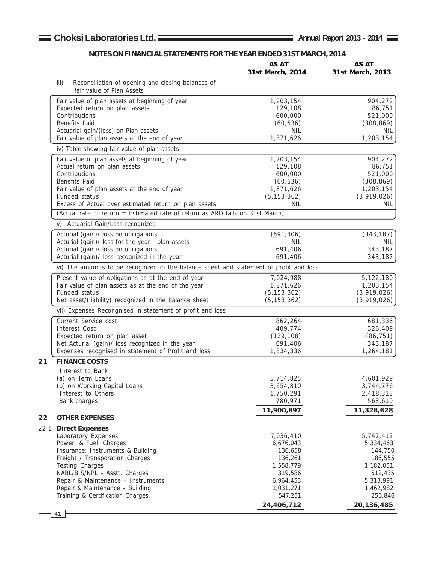|      | <u>VAI VUTAL JITA I LIVILIVI JI UN TIIL TEAN LIVIDLIJ JI JI IVIANUI I, ZU I T</u>                                  | AS AT<br>31st March, 2014   | AS AT<br>31st March, 2013 |
|------|--------------------------------------------------------------------------------------------------------------------|-----------------------------|---------------------------|
|      | Reconciliation of opening and closing balances of<br>iii)<br>fair value of Plan Assets                             |                             |                           |
|      | Fair value of plan assets at beginning of year                                                                     | 1,203,154                   | 904,272                   |
|      | Expected return on plan assets                                                                                     | 129,108                     | 86,751                    |
|      | Contributions                                                                                                      | 600,000                     | 521,000                   |
|      | <b>Benefits Paid</b>                                                                                               | (60, 636)                   | (308, 869)                |
|      | Actuarial gain/(loss) on Plan assets<br>Fair value of plan assets at the end of year                               | <b>NIL</b><br>1,871,626     | NIL.<br>1,203,154         |
|      | iv) Table showing fair value of plan assets                                                                        |                             |                           |
|      | Fair value of plan assets at beginning of year                                                                     | 1,203,154                   | 904,272                   |
|      | Actual return on plan assets                                                                                       | 129,108                     | 86,751                    |
|      | Contributions                                                                                                      | 600,000                     | 521,000                   |
|      | Benefits Paid                                                                                                      | (60, 636)                   | (308, 869)                |
|      | Fair value of plan assets at the end of year                                                                       | 1,871,626                   | 1,203,154                 |
|      | Funded status<br>Excess of Actual over estimated return on plan assets                                             | (5, 153, 362)<br><b>NIL</b> | (3,919,026)<br>NIL.       |
|      | (Actual rate of return = Estimated rate of return as ARD falls on 31st March)                                      |                             |                           |
|      | v) Actuarial Gain/Loss recognized                                                                                  |                             |                           |
|      | Acturial (gain)/ loss on obiligations                                                                              | (691, 406)                  | (343, 187)                |
|      | Acturial (gain)/ loss for the year - plan assets                                                                   | <b>NIL</b>                  | NIL.                      |
|      | Acturial (gain)/ loss on obiligations                                                                              | 691,406                     | 343,187                   |
|      | Acturial (gain)/ loss recognized in the year                                                                       | 691,406                     | 343,187                   |
|      | vi) The amounts to be recognized in the balance sheet and statement of profit and loss                             |                             |                           |
|      | Present value of obligations as at the end of year                                                                 | 7,024,988                   | 5,122,180                 |
|      | Fair value of plan assets as at the end of the year                                                                | 1,871,626                   | 1,203,154                 |
|      | Funded status                                                                                                      | (5, 153, 362)               | (3,919,026)               |
|      | Net asset/(liability) recognized in the balance sheet<br>vii) Expenses Recongnised in statement of profit and loss | (5, 153, 362)               | (3,919,026)               |
|      |                                                                                                                    |                             |                           |
|      | Current Service cost<br>Interest Cost                                                                              | 862,264<br>409,774          | 681,336<br>326,409        |
|      | Expected return on plan asset                                                                                      | (129, 108)                  | (86, 751)                 |
|      | Net Acturial (gain)/ loss recognized in the year                                                                   | 691,406                     | 343,187                   |
|      | Expenses recognised in statement of Profit and loss                                                                | 1,834,336                   | 1,264,181                 |
| 21   | <b>FINANCE COSTS</b>                                                                                               |                             |                           |
|      | Interest to Bank                                                                                                   |                             |                           |
|      | (a) on Term Loans                                                                                                  | 5,714,825                   | 4,601,929                 |
|      | (b) on Working Capital Loans                                                                                       | 3,654,810                   | 3,744,776                 |
|      | Interest to Others                                                                                                 | 1,750,291                   | 2,418,313                 |
|      | Bank charges                                                                                                       | 780,971                     | 563,610                   |
| 22   | <b>OTHER EXPENSES</b>                                                                                              | 11,900,897                  | 11,328,628                |
|      |                                                                                                                    |                             |                           |
| 22.1 | <b>Direct Expenses</b><br>Laboratory Expenses                                                                      | 7,036,410                   | 5,742,412                 |
|      | Power & Fuel Charges                                                                                               | 6,676,043                   | 5,334,463                 |
|      | Insurance: Instruments & Building                                                                                  | 136,658                     | 144,750                   |
|      | Freight / Transporation Charges                                                                                    | 136,261                     | 186,555                   |
|      | Testing Charges                                                                                                    | 1,558,779                   | 1,182,051                 |
|      | NABL/BIS/NPL - Asstt. Charges                                                                                      | 319,586                     | 512,435                   |
|      | Repair & Maintenance - Instruments                                                                                 | 6,964,453                   | 5,313,991                 |
|      | Repair & Maintenance - Building                                                                                    | 1,031,271                   | 1,462,982                 |
|      | Training & Certification Charges                                                                                   | 547,251                     | 256,846                   |
|      |                                                                                                                    | 24,406,712                  | 20,136,485                |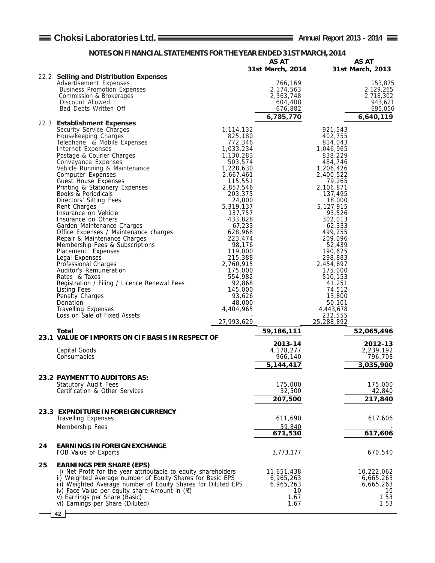|    |                                                                                                                                                                                                                                                                                                                                                                                                                                                                                                                                                                                                                                                                                                                                                                                                                                     |                                                                                                                                                                                                                                                                                                                                                       | AS AT                                                      | $5.1777$ and $1.1971$ and $1.1971$ and $1.1971$ and $1.1971$ and $1.1971$ and $1.1971$ and $1.1971$ and $1.1971$ and $1.1971$ and $1.1971$ and $1.1971$ and $1.1971$ and $1.1971$ and $1.1971$ and $1.1971$ and $1.1971$ and                                                                                                                              | AS AT                                                      |
|----|-------------------------------------------------------------------------------------------------------------------------------------------------------------------------------------------------------------------------------------------------------------------------------------------------------------------------------------------------------------------------------------------------------------------------------------------------------------------------------------------------------------------------------------------------------------------------------------------------------------------------------------------------------------------------------------------------------------------------------------------------------------------------------------------------------------------------------------|-------------------------------------------------------------------------------------------------------------------------------------------------------------------------------------------------------------------------------------------------------------------------------------------------------------------------------------------------------|------------------------------------------------------------|-----------------------------------------------------------------------------------------------------------------------------------------------------------------------------------------------------------------------------------------------------------------------------------------------------------------------------------------------------------|------------------------------------------------------------|
|    |                                                                                                                                                                                                                                                                                                                                                                                                                                                                                                                                                                                                                                                                                                                                                                                                                                     |                                                                                                                                                                                                                                                                                                                                                       | 31st March, 2014 31st March, 2013                          |                                                                                                                                                                                                                                                                                                                                                           |                                                            |
|    | 22.2 Selling and Distribution Expenses<br>Advertisement Expenses<br><b>Business Promotion Expenses</b><br>Commission & Brokerages<br>Discount Allowed<br>Bad Debts Written Off                                                                                                                                                                                                                                                                                                                                                                                                                                                                                                                                                                                                                                                      |                                                                                                                                                                                                                                                                                                                                                       | 766,169<br>2,174,563<br>2,563,748<br>604,408<br>676,882    |                                                                                                                                                                                                                                                                                                                                                           | 153,875<br>2,129,265<br>2,718,302<br>943,621<br>695,056    |
|    |                                                                                                                                                                                                                                                                                                                                                                                                                                                                                                                                                                                                                                                                                                                                                                                                                                     |                                                                                                                                                                                                                                                                                                                                                       | 6,785,770                                                  |                                                                                                                                                                                                                                                                                                                                                           | 6,640,119                                                  |
|    | 22.3 Establishment Expenses<br>Security Service Charges<br>Housekeeping Charges<br>Telephone & Mobile Expenses<br>Internet Expenses<br>Postage & Courier Charges<br>Conveyance Expenses<br>Vehicle Running & Maintenance<br>Computer Expenses<br>Guest House Expenses<br>Printing & Stationery Expenses<br>Books & Periodicals<br>Directors' Sitting Fees<br>Rent Charges<br>Insurance on Vehicle<br>Insurance on Others<br>Garden Maintenance Charges<br>Office Expenses / Maintenance charges<br>Repair & Maintenance Charges<br>Membership Fees & Subscriptions<br>Placement Expenses<br>Legal Expenses<br>Professional Charges<br>Auditor's Remuneration<br>Rates & Taxes<br>Registration / Filing / Licence Renewal Fees<br>Listing Fees<br>Penalty Charges<br>Donation<br>Travelling Expenses<br>Loss on Sale of Fixed Assets | 1,114,132<br>825,180<br>772,346<br>1,033,234<br>1,130,283<br>503,574<br>1,228,630<br>2,667,461<br>115,551<br>2,857,546<br>203,375<br>24,000<br>5,319,137<br>137,757<br>433,828<br>67,233<br>628,968<br>223,474<br>98,176<br>119,000<br>215,388<br>2,760,915<br>175,000<br>554,982<br>92,868<br>145,000<br>93,626<br>48,000<br>4,404,965<br>27,993,629 |                                                            | 921,543<br>402,755<br>814,043<br>1,046,965<br>838,229<br>484,746<br>1,206,426<br>2,400,522<br>79,265<br>2,106,871<br>137,495<br>18,000<br>5,127,915<br>93,526<br>302,013<br>62,333<br>499,255<br>209,096<br>52,439<br>190,625<br>298,883<br>2,454,897<br>175,000<br>510,153<br>41,251<br>74,512<br>13,800<br>50,101<br>4,443,678<br>232,555<br>25,288,892 |                                                            |
|    | Total                                                                                                                                                                                                                                                                                                                                                                                                                                                                                                                                                                                                                                                                                                                                                                                                                               |                                                                                                                                                                                                                                                                                                                                                       | 59,186,111                                                 |                                                                                                                                                                                                                                                                                                                                                           | 52,065,496                                                 |
|    | 23.1 VALUE OF IMPORTS ON CIF BASIS IN RESPECT OF<br>Capital Goods<br>Consumables                                                                                                                                                                                                                                                                                                                                                                                                                                                                                                                                                                                                                                                                                                                                                    |                                                                                                                                                                                                                                                                                                                                                       | 2013-14<br>4,178,277<br>966,140<br>5, 144, 417             |                                                                                                                                                                                                                                                                                                                                                           | 2012-13<br>2,239,192<br>796,708<br>3,035,900               |
|    | 23.2 PAYMENT TO AUDITORS AS:                                                                                                                                                                                                                                                                                                                                                                                                                                                                                                                                                                                                                                                                                                                                                                                                        |                                                                                                                                                                                                                                                                                                                                                       |                                                            |                                                                                                                                                                                                                                                                                                                                                           |                                                            |
|    | <b>Statutory Audit Fees</b><br>Certification & Other Services                                                                                                                                                                                                                                                                                                                                                                                                                                                                                                                                                                                                                                                                                                                                                                       |                                                                                                                                                                                                                                                                                                                                                       | 175,000<br>32,500<br>207,500                               |                                                                                                                                                                                                                                                                                                                                                           | 175,000<br>42,840<br>217,840                               |
|    | 23.3 EXPNDITURE IN FOREIGN CURRENCY<br><b>Travelling Expenses</b>                                                                                                                                                                                                                                                                                                                                                                                                                                                                                                                                                                                                                                                                                                                                                                   |                                                                                                                                                                                                                                                                                                                                                       | 611,690                                                    |                                                                                                                                                                                                                                                                                                                                                           | 617,606                                                    |
|    | Membership Fees                                                                                                                                                                                                                                                                                                                                                                                                                                                                                                                                                                                                                                                                                                                                                                                                                     |                                                                                                                                                                                                                                                                                                                                                       | 59,840<br>671,530                                          |                                                                                                                                                                                                                                                                                                                                                           | 617,606                                                    |
| 24 | <b>EARNINGS IN FOREIGN EXCHANGE</b><br>FOB Value of Exports                                                                                                                                                                                                                                                                                                                                                                                                                                                                                                                                                                                                                                                                                                                                                                         |                                                                                                                                                                                                                                                                                                                                                       | 3,773,177                                                  |                                                                                                                                                                                                                                                                                                                                                           | 670,540                                                    |
| 25 | <b>EARNINGS PER SHARE (EPS)</b><br>i) Net Profit for the year attributable to equity shareholders<br>ii) Weighted Average number of Equity Shares for Basic EPS<br>iii) Weighted Average number of Equity Shares for Diluted EPS<br>iv) Face Value per equity share Amount in $(\vec{x})$<br>v) Earnings per Share (Basic)<br>vi) Earnings per Share (Diluted)<br>42                                                                                                                                                                                                                                                                                                                                                                                                                                                                |                                                                                                                                                                                                                                                                                                                                                       | 11,651,438<br>6,965,263<br>6,965,263<br>10<br>1.67<br>1.67 |                                                                                                                                                                                                                                                                                                                                                           | 10,222,062<br>6,665,263<br>6,665,263<br>10<br>1.53<br>1.53 |
|    |                                                                                                                                                                                                                                                                                                                                                                                                                                                                                                                                                                                                                                                                                                                                                                                                                                     |                                                                                                                                                                                                                                                                                                                                                       |                                                            |                                                                                                                                                                                                                                                                                                                                                           |                                                            |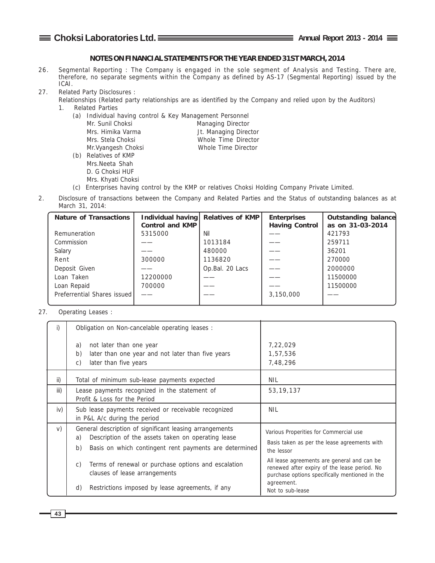#### **NOTES ON FINANCIAL STATEMENTS FOR THE YEAR ENDED 31ST MARCH, 2014**

- 26. Segmental Reporting : The Company is engaged in the sole segment of Analysis and Testing. There are, therefore, no separate segments within the Company as defined by AS-17 (Segmental Reporting) issued by the ICAI.
- 27. Related Party Disclosures :
	- Relationships (Related party relationships are as identified by the Company and relied upon by the Auditors)
		- 1. Related Parties
			- (a) Individual having control & Key Management Personnel Mr. Sunil Choksi Managing Director Mrs. Himika Varma Varmanda Jt. Managing Director Mrs. Stela Choksi Whole Time Director Mr. Vyangesh Choksi Whole Time Director (b) Relatives of KMP Mrs.Neeta Shah
			- D. G Choksi HUF Mrs. Khyati Choksi
			- (c) Enterprises having control by the KMP or relatives Choksi Holding Company Private Limited.
- 2. Disclosure of transactions between the Company and Related Parties and the Status of outstanding balances as at March 31, 2014:

| Nature of Transactions      | Control and KMP | Individual having Relatives of KMP | Enterprises<br>Having Control | Outstanding balance<br>as on 31-03-2014 |
|-----------------------------|-----------------|------------------------------------|-------------------------------|-----------------------------------------|
| Remuneration                | 5315000         | Nil                                |                               | 421793                                  |
| Commission                  |                 | 1013184                            |                               | 259711                                  |
| Salary                      |                 | 480000                             |                               | 36201                                   |
| Rent                        | 300000          | 1136820                            |                               | 270000                                  |
| Deposit Given               |                 | Op.Bal. 20 Lacs                    |                               | 2000000                                 |
| Loan Taken                  | 12200000        |                                    |                               | 11500000                                |
| Loan Repaid                 | 700000          |                                    |                               | 11500000                                |
| Preferrential Shares issued |                 |                                    | 3,150,000                     |                                         |
|                             |                 |                                    |                               |                                         |

27. Operating Leases :

| i)            | Obligation on Non-cancelable operating leases :                                                                                                                                                                                                                                   |                                                                                                                                                                                                                                                       |
|---------------|-----------------------------------------------------------------------------------------------------------------------------------------------------------------------------------------------------------------------------------------------------------------------------------|-------------------------------------------------------------------------------------------------------------------------------------------------------------------------------------------------------------------------------------------------------|
|               | not later than one year<br>a)<br>later than one year and not later than five years<br>b)<br>later than five years<br>C)                                                                                                                                                           | 7,22,029<br>1,57,536<br>7,48,296                                                                                                                                                                                                                      |
| $\mathsf{ii}$ | Total of minimum sub-lease payments expected                                                                                                                                                                                                                                      | <b>NIL</b>                                                                                                                                                                                                                                            |
| iii)          | Lease payments recognized in the statement of<br>Profit & Loss for the Period                                                                                                                                                                                                     | 53, 19, 137                                                                                                                                                                                                                                           |
| iv)           | Sub lease payments received or receivable recognized<br>in P&L A/c during the period                                                                                                                                                                                              | <b>NIL</b>                                                                                                                                                                                                                                            |
| V)            | General description of significant leasing arrangements<br>Description of the assets taken on operating lease<br>a)<br>Basis on which contingent rent payments are determined<br>b)<br>Terms of renewal or purchase options and escalation<br>C)<br>clauses of lease arrangements | Various Properities for Commercial use<br>Basis taken as per the lease agreements with<br>the lessor<br>All lease agreements are general and can be<br>renewed after expiry of the lease period. No<br>purchase options specifically mentioned in the |
|               | Restrictions imposed by lease agreements, if any<br>d)                                                                                                                                                                                                                            | agreement.<br>Not to sub-lease                                                                                                                                                                                                                        |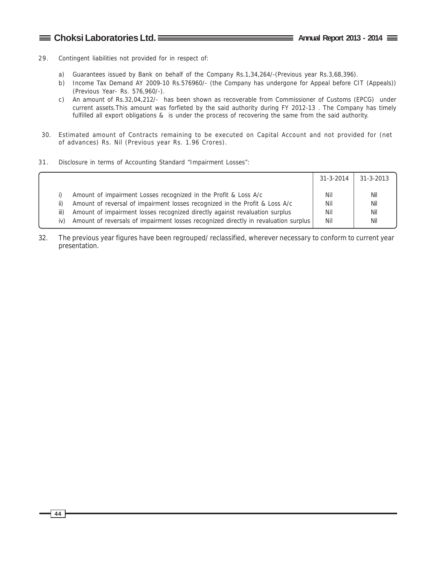- 29. Contingent liabilities not provided for in respect of:
	- a) Guarantees issued by Bank on behalf of the Company Rs.1,34,264/-(Previous year Rs.3,68,396).
	- b) Income Tax Demand AY 2009-10 Rs.576960/- (the Company has undergone for Appeal before CIT (Appeals)) (Previous Year- Rs. 576,960/-).
	- c) An amount of Rs.32,04,212/- has been shown as recoverable from Commissioner of Customs (EPCG) under current assets.This amount was forfieted by the said authority during FY 2012-13 . The Company has timely fulfilled all export obligations & is under the process of recovering the same from the said authority.
- 30. Estimated amount of Contracts remaining to be executed on Capital Account and not provided for (net of advances) Rs. Nil (Previous year Rs. 1.96 Crores).
- 31. Disclosure in terms of Accounting Standard "Impairment Losses":

|                                                                                                                                                                                                                                                                                                                                            | 31-3-2014                | $31 - 3 - 2013$          |
|--------------------------------------------------------------------------------------------------------------------------------------------------------------------------------------------------------------------------------------------------------------------------------------------------------------------------------------------|--------------------------|--------------------------|
| Amount of impairment Losses recognized in the Profit & Loss A/c<br>Amount of reversal of impairment losses recognized in the Profit & Loss A/c<br>ii)<br>Amount of impairment losses recognized directly against revaluation surplus<br>iii)<br>Amount of reversals of impairment losses recognized directly in revaluation surplus<br>IV) | Nil<br>Nil<br>Nil<br>Nil | Nil<br>Nil<br>Nil<br>Nil |

32. The previous year figures have been regrouped/ reclassified, wherever necessary to conform to current year presentation.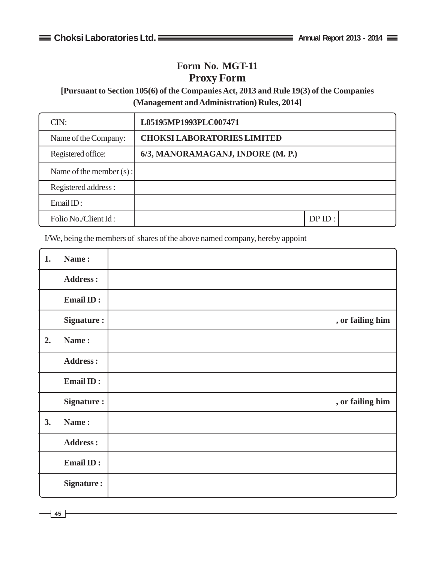# **Form No. MGT-11 Proxy Form**

## **[Pursuant to Section 105(6) of the Companies Act, 2013 and Rule 19(3) of the Companies (Management and Administration) Rules, 2014]**

| CIN:                       | L85195MP1993PLC007471              |       |  |
|----------------------------|------------------------------------|-------|--|
| Name of the Company:       | <b>CHOKSI LABORATORIES LIMITED</b> |       |  |
| Registered office:         | 6/3, MANORAMAGANJ, INDORE (M. P.)  |       |  |
| Name of the member $(s)$ : |                                    |       |  |
| Registered address :       |                                    |       |  |
| EmailID:                   |                                    |       |  |
| Folio No./Client Id:       |                                    | DPID: |  |

I/We, being the members of shares of the above named company, hereby appoint

| 1. | Name:             |                  |
|----|-------------------|------------------|
|    | <b>Address:</b>   |                  |
|    | Email ID:         |                  |
|    | <b>Signature:</b> | , or failing him |
| 2. | Name:             |                  |
|    | <b>Address:</b>   |                  |
|    | <b>Email ID:</b>  |                  |
|    | <b>Signature:</b> | , or failing him |
| 3. | Name:             |                  |
|    | <b>Address:</b>   |                  |
|    | <b>Email ID:</b>  |                  |
|    | Signature:        |                  |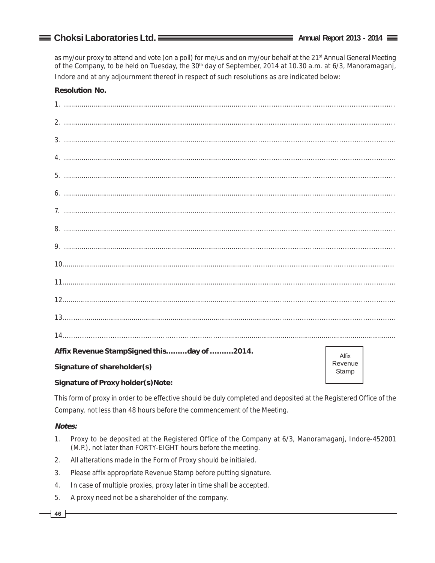as my/our proxy to attend and vote (on a poll) for me/us and on my/our behalf at the 21<sup>st</sup> Annual General Meeting of the Company, to be held on Tuesday, the 30<sup>th</sup> day of September, 2014 at 10.30 a.m. at 6/3, Manoramaganj, Indore and at any adjournment thereof in respect of such resolutions as are indicated below:

### **Resolution No.**

| Affix Revenue StampSigned thisday of 2014. | Affix            |
|--------------------------------------------|------------------|
| Signature of shareholder(s)                | Revenue<br>Stamp |
| Signature of Proxy holder(s)Note:          |                  |

This form of proxy in order to be effective should be duly completed and deposited at the Registered Office of the Company, not less than 48 hours before the commencement of the Meeting.

### **Notes:**

- 1. Proxy to be deposited at the Registered Office of the Company at 6/3, Manoramaganj, Indore-452001 (M.P.), not later than FORTY-EIGHT hours before the meeting.
- 2. All alterations made in the Form of Proxy should be initialed.
- 3. Please affix appropriate Revenue Stamp before putting signature.
- 4. In case of multiple proxies, proxy later in time shall be accepted.
- 5. A proxy need not be a shareholder of the company.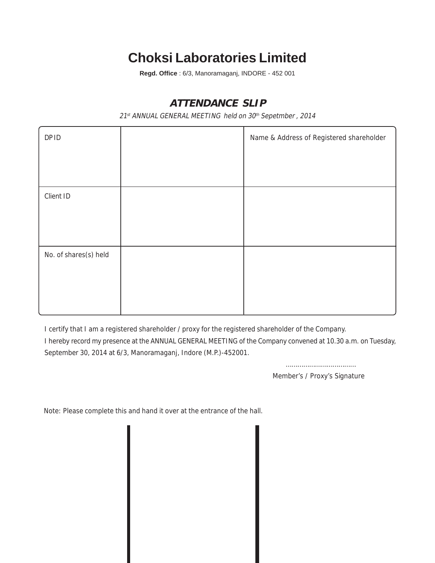# **Choksi Laboratories Limited**

**Regd. Office** : 6/3, Manoramaganj, INDORE - 452 001

# **ATTENDANCE SLIP**

21st ANNUAL GENERAL MEETING held on 30th Sepetmber, 2014

| DPID                  | Name & Address of Registered shareholder |
|-----------------------|------------------------------------------|
|                       |                                          |
| Client ID             |                                          |
|                       |                                          |
| No. of shares(s) held |                                          |
|                       |                                          |
|                       |                                          |

I certify that I am a registered shareholder / proxy for the registered shareholder of the Company. I hereby record my presence at the ANNUAL GENERAL MEETING of the Company convened at 10.30 a.m. on Tuesday,

………………………………

Member's / Proxy's Signature

Note: Please complete this and hand it over at the entrance of the hall.

September 30, 2014 at 6/3, Manoramaganj, Indore (M.P.)-452001.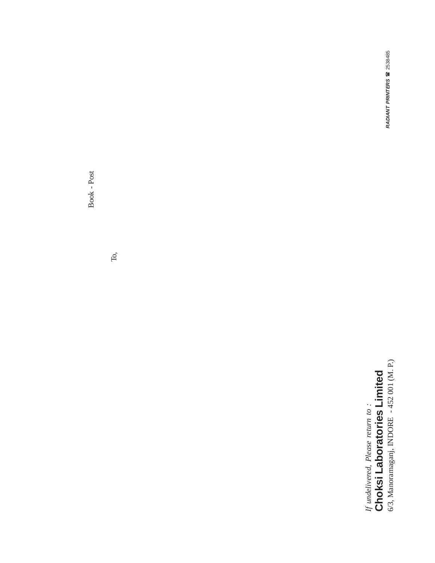RADIANT PRINTERS <sup>2538485</sup>

6/3, Manoramaganj, INDORE - 452 001 (M. P.) *RADIANT PRINTERS* 2538485

*If undelivered, Please return to*:<br>**Choksi Laboratories Limited**<br> $6/3$ , Manoramaganj, INDORE - 452 001 (M. P.) **Choksi Laboratories Limited** *If undelivered, Please return to :*

To,

Book - Post

Book - Post